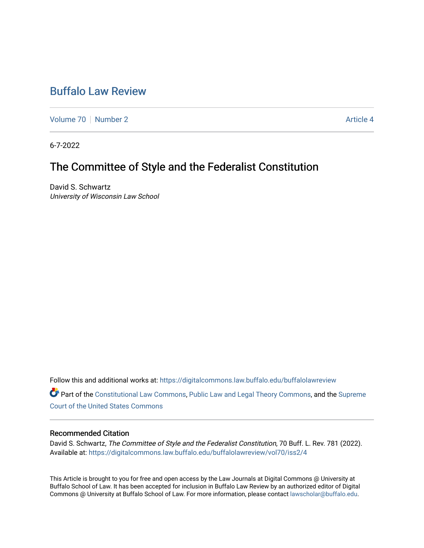# [Buffalo Law Review](https://digitalcommons.law.buffalo.edu/buffalolawreview)

[Volume 70](https://digitalcommons.law.buffalo.edu/buffalolawreview/vol70) [Number 2](https://digitalcommons.law.buffalo.edu/buffalolawreview/vol70/iss2) Article 4

6-7-2022

## The Committee of Style and the Federalist Constitution

David S. Schwartz University of Wisconsin Law School

Follow this and additional works at: [https://digitalcommons.law.buffalo.edu/buffalolawreview](https://digitalcommons.law.buffalo.edu/buffalolawreview?utm_source=digitalcommons.law.buffalo.edu%2Fbuffalolawreview%2Fvol70%2Fiss2%2F4&utm_medium=PDF&utm_campaign=PDFCoverPages) 

Part of the [Constitutional Law Commons,](https://network.bepress.com/hgg/discipline/589?utm_source=digitalcommons.law.buffalo.edu%2Fbuffalolawreview%2Fvol70%2Fiss2%2F4&utm_medium=PDF&utm_campaign=PDFCoverPages) [Public Law and Legal Theory Commons](https://network.bepress.com/hgg/discipline/871?utm_source=digitalcommons.law.buffalo.edu%2Fbuffalolawreview%2Fvol70%2Fiss2%2F4&utm_medium=PDF&utm_campaign=PDFCoverPages), and the [Supreme](https://network.bepress.com/hgg/discipline/1350?utm_source=digitalcommons.law.buffalo.edu%2Fbuffalolawreview%2Fvol70%2Fiss2%2F4&utm_medium=PDF&utm_campaign=PDFCoverPages)  [Court of the United States Commons](https://network.bepress.com/hgg/discipline/1350?utm_source=digitalcommons.law.buffalo.edu%2Fbuffalolawreview%2Fvol70%2Fiss2%2F4&utm_medium=PDF&utm_campaign=PDFCoverPages)

#### Recommended Citation

David S. Schwartz, The Committee of Style and the Federalist Constitution, 70 Buff. L. Rev. 781 (2022). Available at: [https://digitalcommons.law.buffalo.edu/buffalolawreview/vol70/iss2/4](https://digitalcommons.law.buffalo.edu/buffalolawreview/vol70/iss2/4?utm_source=digitalcommons.law.buffalo.edu%2Fbuffalolawreview%2Fvol70%2Fiss2%2F4&utm_medium=PDF&utm_campaign=PDFCoverPages) 

This Article is brought to you for free and open access by the Law Journals at Digital Commons @ University at Buffalo School of Law. It has been accepted for inclusion in Buffalo Law Review by an authorized editor of Digital Commons @ University at Buffalo School of Law. For more information, please contact [lawscholar@buffalo.edu](mailto:lawscholar@buffalo.edu).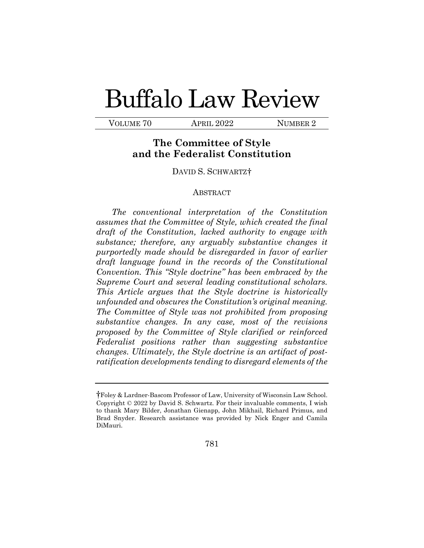# Buffalo Law Review

VOLUME 70 APRIL 2022 NUMBER 2

## **The Committee of Style and the Federalist Constitution**

DAVID S. SCHWARTZ[†](#page-1-0)

#### ABSTRACT

 *The Committee of Style was not prohibited from proposing The conventional interpretation of the Constitution assumes that the Committee of Style, which created the final draft of the Constitution, lacked authority to engage with substance; therefore, any arguably substantive changes it purportedly made should be disregarded in favor of earlier draft language found in the records of the Constitutional Convention. This "Style doctrine" has been embraced by the Supreme Court and several leading constitutional scholars. This Article argues that the Style doctrine is historically unfounded and obscures the Constitution's original meaning. substantive changes. In any case, most of the revisions proposed by the Committee of Style clarified or reinforced Federalist positions rather than suggesting substantive changes. Ultimately, the Style doctrine is an artifact of postratification developments tending to disregard elements of the* 

<span id="page-1-0"></span><sup>†</sup>Foley & Lardner-Bascom Professor of Law, University of Wisconsin Law School. Copyright © 2022 by David S. Schwartz. For their invaluable comments, I wish to thank Mary Bilder, Jonathan Gienapp, John Mikhail, Richard Primus, and Brad Snyder. Research assistance was provided by Nick Enger and Camila DiMauri.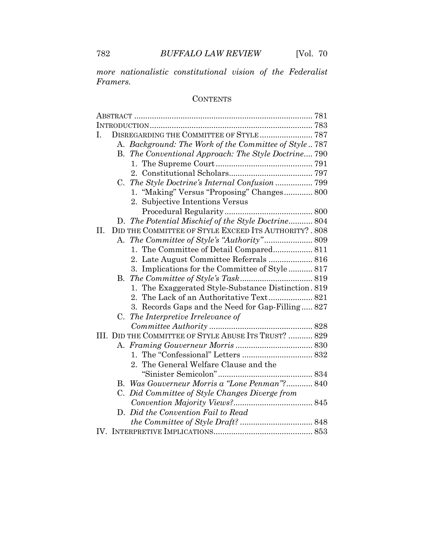*more nationalistic constitutional vision of the Federalist Framers.* 

### **CONTENTS**

| I. |    |                                                        |  |
|----|----|--------------------------------------------------------|--|
|    |    | A. Background: The Work of the Committee of Style787   |  |
|    |    | B. The Conventional Approach: The Style Doctrine 790   |  |
|    |    |                                                        |  |
|    |    |                                                        |  |
|    |    | C. The Style Doctrine's Internal Confusion  799        |  |
|    |    | 1. "Making" Versus "Proposing" Changes 800             |  |
|    |    | 2. Subjective Intentions Versus                        |  |
|    |    |                                                        |  |
|    |    | D. The Potential Mischief of the Style Doctrine 804    |  |
| П. |    | DID THE COMMITTEE OF STYLE EXCEED ITS AUTHORITY? . 808 |  |
|    |    |                                                        |  |
|    |    |                                                        |  |
|    |    | 2. Late August Committee Referrals  816                |  |
|    |    | 3. Implications for the Committee of Style  817        |  |
|    |    |                                                        |  |
|    |    | 1. The Exaggerated Style-Substance Distinction. 819    |  |
|    |    | The Lack of an Authoritative Text 821<br>2.            |  |
|    |    | 3. Records Gaps and the Need for Gap-Filling 827       |  |
|    | C. | The Interpretive Irrelevance of                        |  |
|    |    |                                                        |  |
|    |    | III. DID THE COMMITTEE OF STYLE ABUSE ITS TRUST?  829  |  |
|    |    |                                                        |  |
|    |    |                                                        |  |
|    |    | 2. The General Welfare Clause and the                  |  |
|    |    |                                                        |  |
|    |    | B. Was Gouverneur Morris a "Lone Penman"? 840          |  |
|    | C. | Did Committee of Style Changes Diverge from            |  |
|    |    |                                                        |  |
|    |    | D. Did the Convention Fail to Read                     |  |
|    |    |                                                        |  |
|    |    |                                                        |  |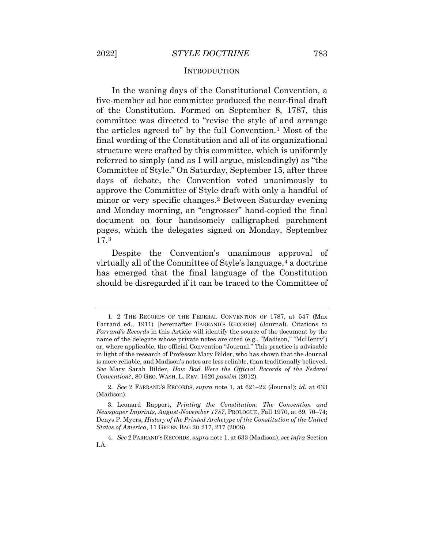#### INTRODUCTION

 committee was directed to "revise the style of and arrange minor or very specific changes.[2](#page-3-1) Between Saturday evening In the waning days of the Constitutional Convention, a five-member ad hoc committee produced the near-final draft of the Constitution. Formed on September 8, 1787, this the articles agreed to" by the full Convention.[1](#page-3-0) Most of the final wording of the Constitution and all of its organizational structure were crafted by this committee, which is uniformly referred to simply (and as I will argue, misleadingly) as "the Committee of Style." On Saturday, September 15, after three days of debate, the Convention voted unanimously to approve the Committee of Style draft with only a handful of and Monday morning, an "engrosser" hand-copied the final document on four handsomely calligraphed parchment pages, which the delegates signed on Monday, September 17.[3](#page-3-2) 

Despite the Convention's unanimous approval of virtually all of the Committee of Style's language,<sup>[4](#page-3-3)</sup> a doctrine has emerged that the final language of the Constitution should be disregarded if it can be traced to the Committee of

<span id="page-3-0"></span> Farrand ed., 1911) [hereinafter FARRAND'S RECORDS] (Journal). Citations to is more reliable, and Madison's notes are less reliable, than traditionally believed. *See* Mary Sarah Bilder, *How Bad Were the Official Records of the Federal Convention?*, 80 GEO. WASH. L. REV. 1620 *passim* (2012). 1. 2 THE RECORDS OF THE FEDERAL CONVENTION OF 1787, at 547 (Max *Farrand's Records* in this Article will identify the source of the document by the name of the delegate whose private notes are cited (e.g., "Madison," "McHenry") or, where applicable, the official Convention "Journal." This practice is advisable in light of the research of Professor Mary Bilder, who has shown that the Journal

<span id="page-3-2"></span><span id="page-3-1"></span> 2. *See* 2 FARRAND'S RECORDS, *supra* note 1, at 621–22 (Journal); *id.* at 633 (Madison).

 *Newspaper Imprints, August-November 1787*, PROLOGUE, Fall 1970, at 69, 70–74; *States of America*, 11 GREEN BAG 2D 217, 217 (2008). 3. Leonard Rapport, *Printing the Constitution: The Convention and*  Denys P. Myers, *History of the Printed Archetype of the Constitution of the United* 

<span id="page-3-3"></span> 4. *See* 2 FARRAND'S RECORDS, *supra* note 1, at 633 (Madison); *see infra* Section I.A.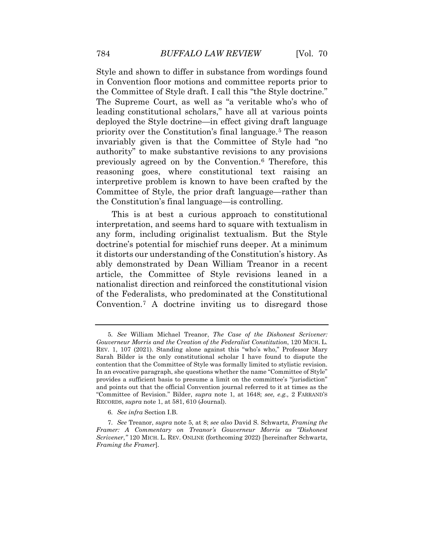The Supreme Court, as well as "a veritable who's who of deployed the Style doctrine—in effect giving draft language interpretive problem is known to have been crafted by the Style and shown to differ in substance from wordings found in Convention floor motions and committee reports prior to the Committee of Style draft. I call this "the Style doctrine." leading constitutional scholars," have all at various points priority over the Constitution's final language.[5](#page-4-0) The reason invariably given is that the Committee of Style had "no authority" to make substantive revisions to any provisions previously agreed on by the Convention.[6](#page-4-1) Therefore, this reasoning goes, where constitutional text raising an Committee of Style, the prior draft language—rather than the Constitution's final language—is controlling.

This is at best a curious approach to constitutional interpretation, and seems hard to square with textualism in any form, including originalist textualism. But the Style doctrine's potential for mischief runs deeper. At a minimum it distorts our understanding of the Constitution's history. As ably demonstrated by Dean William Treanor in a recent article, the Committee of Style revisions leaned in a nationalist direction and reinforced the constitutional vision of the Federalists, who predominated at the Constitutional Convention.[7](#page-4-2) A doctrine inviting us to disregard those

<span id="page-4-0"></span> *Gouverneur Morris and the Creation of the Federalist Constitution*, 120 MICH. L. In an evocative paragraph, she questions whether the name "Committee of Style" and points out that the official Convention journal referred to it at times as the RECORDS, *supra* note 1, at 581, 610 (Journal). 5. *See* William Michael Treanor, *The Case of the Dishonest Scrivener:*  REV. 1, 107 (2021). Standing alone against this "who's who," Professor Mary Sarah Bilder is the only constitutional scholar I have found to dispute the contention that the Committee of Style was formally limited to stylistic revision. provides a sufficient basis to presume a limit on the committee's "jurisdiction" "Committee of Revision." Bilder, *supra* note 1, at 1648; *see, e.g.,* 2 FARRAND'S

 6. *See infra* Section I.B.

<span id="page-4-2"></span><span id="page-4-1"></span> 7. *See* Treanor, *supra* note 5, at 8; *see also* David S. Schwartz, *Framing the Framer: A Commentary on Treanor's Gouverneur Morris as "Dishonest Scrivener*,*"* 120 MICH. L. REV. ONLINE (forthcoming 2022) [hereinafter Schwartz, *Framing the Framer*].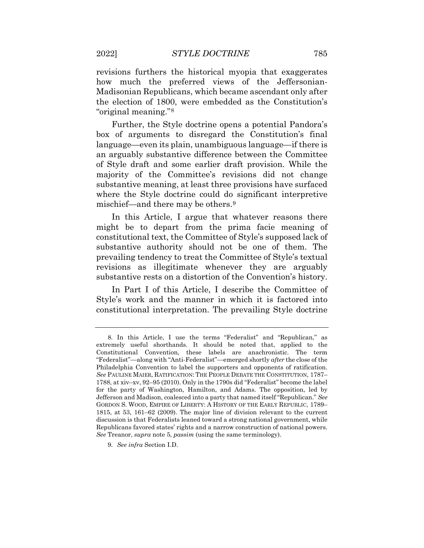revisions furthers the historical myopia that exaggerates how much the preferred views of the Jeffersonian-Madisonian Republicans, which became ascendant only after the election of 1800, were embedded as the Constitution's "original meaning."[8](#page-5-0)

 substantive meaning, at least three provisions have surfaced Further, the Style doctrine opens a potential Pandora's box of arguments to disregard the Constitution's final language—even its plain, unambiguous language—if there is an arguably substantive difference between the Committee of Style draft and some earlier draft provision. While the majority of the Committee's revisions did not change where the Style doctrine could do significant interpretive mischief—and there may be others.[9](#page-5-1) 

In this Article, I argue that whatever reasons there might be to depart from the prima facie meaning of constitutional text, the Committee of Style's supposed lack of substantive authority should not be one of them. The prevailing tendency to treat the Committee of Style's textual revisions as illegitimate whenever they are arguably substantive rests on a distortion of the Convention's history.

In Part I of this Article, I describe the Committee of Style's work and the manner in which it is factored into constitutional interpretation. The prevailing Style doctrine

<span id="page-5-0"></span> Constitutional Convention, these labels are anachronistic. The term 1788, at xiv–xv, 92–95 (2010). Only in the 1790s did "Federalist" become the label Jefferson and Madison, coalesced into a party that named itself "Republican." *See*  GORDON S. WOOD, EMPIRE OF LIBERTY: A HISTORY OF THE EARLY REPUBLIC, 1789– discussion is that Federalists leaned toward a strong national government, while Republicans favored states' rights and a narrow construction of national powers. 8. In this Article, I use the terms "Federalist" and "Republican," as extremely useful shorthands. It should be noted that, applied to the "Federalist"—along with "Anti-Federalist"—emerged shortly *after* the close of the Philadelphia Convention to label the supporters and opponents of ratification. *See* PAULINE MAIER, RATIFICATION: THE PEOPLE DEBATE THE CONSTITUTION, 1787– for the party of Washington, Hamilton, and Adams. The opposition, led by 1815, at 53, 161–62 (2009). The major line of division relevant to the current *See* Treanor, *supra* note 5, *passim* (using the same terminology).

<span id="page-5-1"></span><sup>9.</sup> *See infra* Section I.D.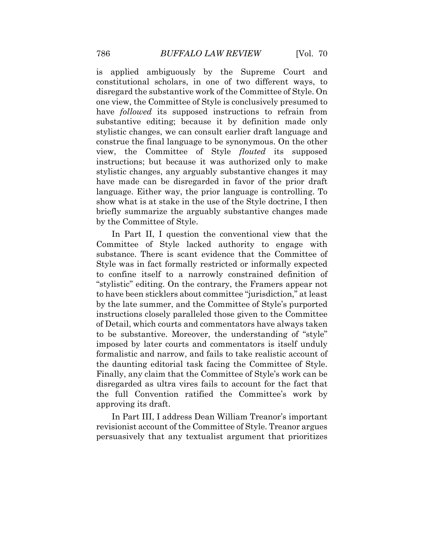show what is at stake in the use of the Style doctrine, I then is applied ambiguously by the Supreme Court and constitutional scholars, in one of two different ways, to disregard the substantive work of the Committee of Style. On one view, the Committee of Style is conclusively presumed to have *followed* its supposed instructions to refrain from substantive editing; because it by definition made only stylistic changes, we can consult earlier draft language and construe the final language to be synonymous. On the other view, the Committee of Style *flouted* its supposed instructions; but because it was authorized only to make stylistic changes, any arguably substantive changes it may have made can be disregarded in favor of the prior draft language. Either way, the prior language is controlling. To briefly summarize the arguably substantive changes made by the Committee of Style.

 Style was in fact formally restricted or informally expected to have been sticklers about committee "jurisdiction," at least of Detail, which courts and commentators have always taken disregarded as ultra vires fails to account for the fact that In Part II, I question the conventional view that the Committee of Style lacked authority to engage with substance. There is scant evidence that the Committee of to confine itself to a narrowly constrained definition of "stylistic" editing. On the contrary, the Framers appear not by the late summer, and the Committee of Style's purported instructions closely paralleled those given to the Committee to be substantive. Moreover, the understanding of "style" imposed by later courts and commentators is itself unduly formalistic and narrow, and fails to take realistic account of the daunting editorial task facing the Committee of Style. Finally, any claim that the Committee of Style's work can be the full Convention ratified the Committee's work by approving its draft.

 revisionist account of the Committee of Style. Treanor argues In Part III, I address Dean William Treanor's important persuasively that any textualist argument that prioritizes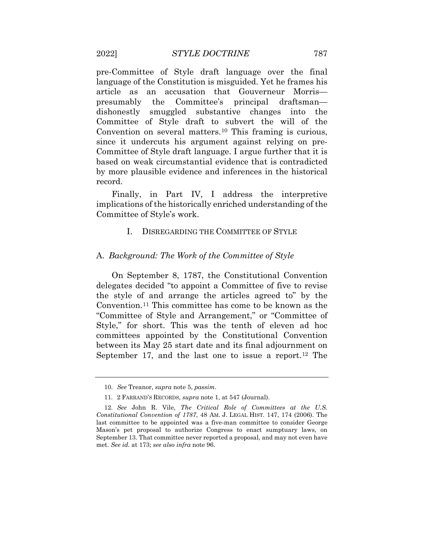based on weak circumstantial evidence that is contradicted by more plausible evidence and inferences in the historical pre-Committee of Style draft language over the final language of the Constitution is misguided. Yet he frames his article as an accusation that Gouverneur Morris presumably the Committee's principal draftsman dishonestly smuggled substantive changes into the Committee of Style draft to subvert the will of the Convention on several matters.[10](#page-7-0) This framing is curious, since it undercuts his argument against relying on pre-Committee of Style draft language. I argue further that it is record.

Finally, in Part IV, I address the interpretive implications of the historically enriched understanding of the Committee of Style's work.

#### I. DISREGARDING THE COMMITTEE OF STYLE

#### A. *Background: The Work of the Committee of Style*

On September 8, 1787, the Constitutional Convention delegates decided "to appoint a Committee of five to revise the style of and arrange the articles agreed to" by the Convention.[11](#page-7-1) This committee has come to be known as the "Committee of Style and Arrangement," or "Committee of Style," for short. This was the tenth of eleven ad hoc committees appointed by the Constitutional Convention between its May 25 start date and its final adjournment on September 17, and the last one to issue a report.<sup>[12](#page-7-2)</sup> The

 10. *See* Treanor, *supra* note 5, *passim*.

<sup>11. 2</sup> FARRAND'S RECORDS, *supra* note 1, at 547 (Journal).

<span id="page-7-2"></span><span id="page-7-1"></span><span id="page-7-0"></span> 12. *See* John R. Vile, *The Critical Role of Committees at the U.S. Constitutional Convention of 1787*, 48 AM. J. LEGAL HIST. 147, 174 (2006). The Mason's pet proposal to authorize Congress to enact sumptuary laws, on September 13. That committee never reported a proposal, and may not even have met. *See id.* at 173; *see also infra* note 96. last committee to be appointed was a five-man committee to consider George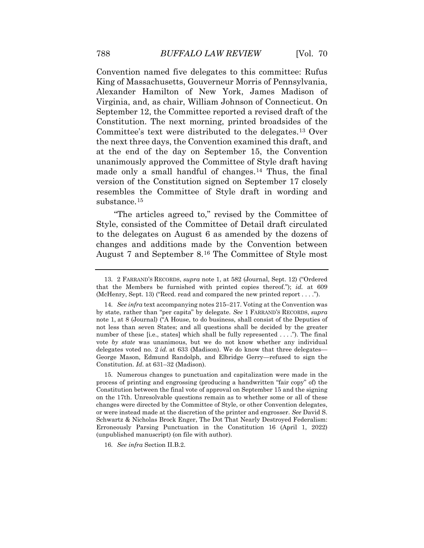Convention named five delegates to this committee: Rufus King of Massachusetts, Gouverneur Morris of Pennsylvania, Alexander Hamilton of New York, James Madison of Virginia, and, as chair, William Johnson of Connecticut. On September 12, the Committee reported a revised draft of the Constitution. The next morning, printed broadsides of the Committee's text were distributed to the delegates.[13](#page-8-0) Over the next three days, the Convention examined this draft, and at the end of the day on September 15, the Convention unanimously approved the Committee of Style draft having made only a small handful of changes.<sup>14</sup> Thus, the final version of the Constitution signed on September 17 closely resembles the Committee of Style draft in wording and substance.[15](#page-8-2) 

"The articles agreed to," revised by the Committee of Style, consisted of the Committee of Detail draft circulated to the delegates on August 6 as amended by the dozens of changes and additions made by the Convention between August 7 and September 8.[16](#page-9-0) The Committee of Style most

<span id="page-8-2"></span> changes were directed by the Committee of Style, or other Convention delegates, Schwartz & Nicholas Brock Enger, The Dot That Nearly Destroyed Federalism: Erroneously Parsing Punctuation in the Constitution 16 (April 1, 2022) 15. Numerous changes to punctuation and capitalization were made in the process of printing and engrossing (producing a handwritten "fair copy" of) the Constitution between the final vote of approval on September 15 and the signing on the 17th. Unresolvable questions remain as to whether some or all of these or were instead made at the discretion of the printer and engrosser. *See* David S. (unpublished manuscript) (on file with author).

16. *See infra* Section II.B.2.

<span id="page-8-0"></span> that the Members be furnished with printed copies thereof."); *id.* at 609 (McHenry, Sept. 13) ("Recd. read and compared the new printed report . . . ."). 13. 2 FARRAND'S RECORDS, *supra* note 1, at 582 (Journal, Sept. 12) ("Ordered

<span id="page-8-1"></span> 14. *See infra* text accompanying notes 215–217. Voting at the Convention was by state, rather than "per capita" by delegate. *See* 1 FARRAND'S RECORDS, *supra*  note 1, at 8 (Journal) ("A House, to do business, shall consist of the Deputies of number of these [i.e., states] which shall be fully represented . . . ."). The final delegates voted no. 2 *id.* at 633 (Madison). We do know that three delegates— Constitution. *Id.* at 631–32 (Madison). not less than seven States; and all questions shall be decided by the greater vote *by state* was unanimous, but we do not know whether any individual George Mason, Edmund Randolph, and Elbridge Gerry—refused to sign the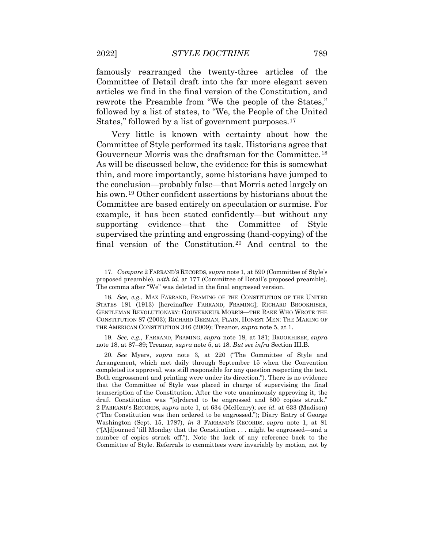Committee of Detail draft into the far more elegant seven famously rearranged the twenty-three articles of the articles we find in the final version of the Constitution, and rewrote the Preamble from "We the people of the States," followed by a list of states, to "We, the People of the United States," followed by a list of government purposes.<sup>[17](#page-9-1)</sup>

 Gouverneur Morris was the draftsman for the Committee.[18](#page-9-2) Very little is known with certainty about how the Committee of Style performed its task. Historians agree that As will be discussed below, the evidence for this is somewhat thin, and more importantly, some historians have jumped to the conclusion—probably false—that Morris acted largely on his own.<sup>19</sup> Other confident assertions by historians about the Committee are based entirely on speculation or surmise. For example, it has been stated confidently—but without any supporting evidence—that the Committee of Style supervised the printing and engrossing (hand-copying) of the final version of the Constitution.[20](#page-9-4) And central to the

<span id="page-9-1"></span> 19. *See, e.g.*, FARRAND, FRAMING, *supra* note 18, at 181; BROOKHISER, *supra*  note 18, at 87–89; Treanor, *supra* note 5, at 18. *But see infra* Section III.B.

 17. *Compare* 2 FARRAND'S RECORDS, *supra* note 1, at 590 (Committee of Style's proposed preamble), *with id.* at 177 (Committee of Detail's proposed preamble). The comma after "We" was deleted in the final engrossed version.

<span id="page-9-0"></span> CONSTITUTION 87 (2003); RICHARD BEEMAN, PLAIN, HONEST MEN: THE MAKING OF 18. *See, e.g.*, MAX FARRAND, FRAMING OF THE CONSTITUTION OF THE UNITED STATES 181 (1913) [hereinafter FARRAND, FRAMING]; RICHARD BROOKHISER, GENTLEMAN REVOLUTIONARY: GOUVERNEUR MORRIS—THE RAKE WHO WROTE THE THE AMERICAN CONSTITUTION 346 (2009); Treanor, *supra* note 5, at 1.

<span id="page-9-4"></span><span id="page-9-3"></span><span id="page-9-2"></span> completed its approval, was still responsible for any question respecting the text. that the Committee of Style was placed in charge of supervising the final ("The Constitution was then ordered to be engrossed."); Diary Entry of George ("[A]djourned 'till Monday that the Constitution . . . might be engrossed—and a 20. *See* Myers, *supra* note 3, at 220 ("The Committee of Style and Arrangement, which met daily through September 15 when the Convention Both engrossment and printing were under its direction."). There is no evidence transcription of the Constitution. After the vote unanimously approving it, the draft Constitution was "[o]rdered to be engrossed and 500 copies struck." 2 FARRAND'S RECORDS, *supra* note 1, at 634 (McHenry); *see id.* at 633 (Madison) Washington (Sept. 15, 1787), *in* 3 FARRAND'S RECORDS, *supra* note 1, at 81 number of copies struck off."). Note the lack of any reference back to the Committee of Style. Referrals to committees were invariably by motion, not by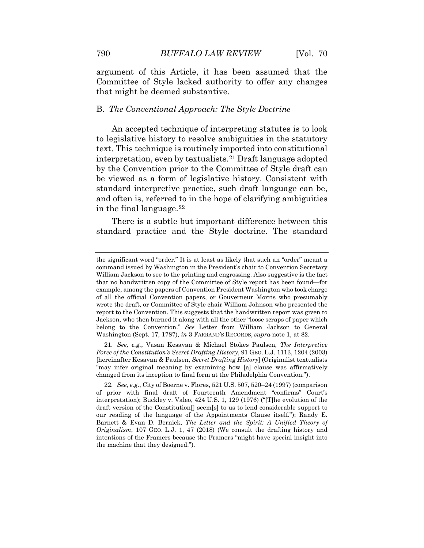argument of this Article, it has been assumed that the Committee of Style lacked authority to offer any changes that might be deemed substantive.

#### B. *The Conventional Approach: The Style Doctrine*

 be viewed as a form of legislative history. Consistent with and often is, referred to in the hope of clarifying ambiguities An accepted technique of interpreting statutes is to look to legislative history to resolve ambiguities in the statutory text. This technique is routinely imported into constitutional interpretation, even by textualists.[21](#page-10-0) Draft language adopted by the Convention prior to the Committee of Style draft can standard interpretive practice, such draft language can be, in the final language.  $22$ 

There is a subtle but important difference between this standard practice and the Style doctrine. The standard

 command issued by Washington in the President's chair to Convention Secretary example, among the papers of Convention President Washington who took charge report to the Convention. This suggests that the handwritten report was given to Jackson, who then burned it along with all the other "loose scraps of paper which belong to the Convention." *See* Letter from William Jackson to General the significant word "order." It is at least as likely that such an "order" meant a William Jackson to see to the printing and engrossing. Also suggestive is the fact that no handwritten copy of the Committee of Style report has been found—for of all the official Convention papers, or Gouverneur Morris who presumably wrote the draft, or Committee of Style chair William Johnson who presented the Washington (Sept. 17, 1787), *in* 3 FARRAND'S RECORDS, *supra* note 1, at 82.

 "may infer original meaning by examining how [a] clause was affirmatively 21. *See, e.g.*, Vasan Kesavan & Michael Stokes Paulsen, *The Interpretive Force of the Constitution's Secret Drafting History*, 91 GEO. L.J. 1113, 1204 (2003) [hereinafter Kesavan & Paulsen, *Secret Drafting History*] (Originalist textualists changed from its inception to final form at the Philadelphia Convention.").

<span id="page-10-1"></span><span id="page-10-0"></span> of prior with final draft of Fourteenth Amendment "confirms" Court's interpretation); Buckley v. Valeo, 424 U.S. 1, 129 (1976) ("[T]he evolution of the  Barnett & Evan D. Bernick, *The Letter and the Spirit: A Unified Theory of Originalism*, 107 GEO. L.J. 1, 47 (2018) (We consult the drafting history and the machine that they designed."). 22. *See, e.g.*, City of Boerne v. Flores, 521 U.S. 507, 520–24 (1997) (comparison draft version of the Constitution[] seem[s] to us to lend considerable support to our reading of the language of the Appointments Clause itself."); Randy E. intentions of the Framers because the Framers "might have special insight into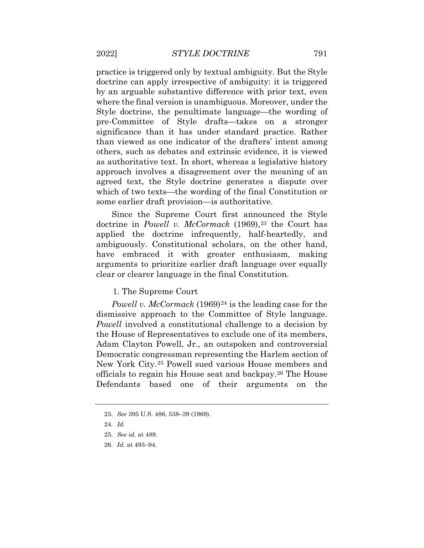doctrine can apply irrespective of ambiguity: it is triggered significance than it has under standard practice. Rather others, such as debates and extrinsic evidence, it is viewed as authoritative text. In short, whereas a legislative history practice is triggered only by textual ambiguity. But the Style by an arguable substantive difference with prior text, even where the final version is unambiguous. Moreover, under the Style doctrine, the penultimate language—the wording of pre-Committee of Style drafts—takes on a stronger than viewed as one indicator of the drafters' intent among approach involves a disagreement over the meaning of an agreed text, the Style doctrine generates a dispute over which of two texts—the wording of the final Constitution or some earlier draft provision—is authoritative.

doctrine in *Powell v. McCormack* (1969),<sup>[23](#page-11-0)</sup> the Court has arguments to prioritize earlier draft language over equally Since the Supreme Court first announced the Style applied the doctrine infrequently, half-heartedly, and ambiguously. Constitutional scholars, on the other hand, have embraced it with greater enthusiasm, making clear or clearer language in the final Constitution.

1. The Supreme Court

*Powell v. McCormack* (1969)<sup>24</sup> is the leading case for the officials to regain his House seat and backpay.[26](#page-12-1) The House dismissive approach to the Committee of Style language. *Powell* involved a constitutional challenge to a decision by the House of Representatives to exclude one of its members, Adam Clayton Powell, Jr., an outspoken and controversial Democratic congressman representing the Harlem section of New York City.[25](#page-12-0) Powell sued various House members and Defendants based one of their arguments on the

 23. *See* 395 U.S. 486, 538–39 (1969).

<span id="page-11-0"></span> 24. *Id.* 

<span id="page-11-1"></span><sup>25.</sup> *See id.* at 489.

 26. *Id.* at 493–94.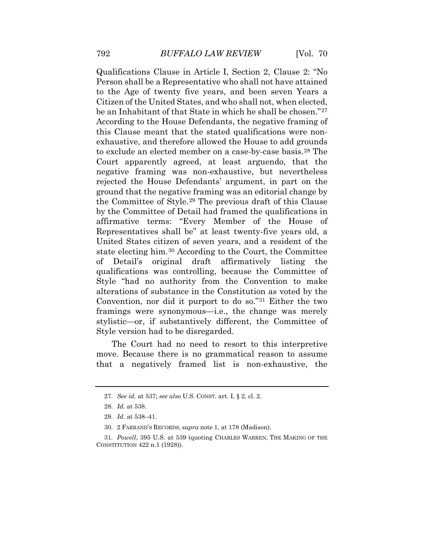to exclude an elected member on a case-by-case basis.[28](#page-12-3) The the Committee of Style.[29](#page-12-4) The previous draft of this Clause state electing him.[30](#page-12-5) According to the Court, the Committee stylistic—or, if substantively different, the Committee of Qualifications Clause in Article I, Section 2, Clause 2: "No Person shall be a Representative who shall not have attained to the Age of twenty five years, and been seven Years a Citizen of the United States, and who shall not, when elected, be an Inhabitant of that State in which he shall be chosen."[27](#page-12-2) According to the House Defendants, the negative framing of this Clause meant that the stated qualifications were nonexhaustive, and therefore allowed the House to add grounds Court apparently agreed, at least arguendo, that the negative framing was non-exhaustive, but nevertheless rejected the House Defendants' argument, in part on the ground that the negative framing was an editorial change by by the Committee of Detail had framed the qualifications in affirmative terms: "Every Member of the House of Representatives shall be" at least twenty-five years old, a United States citizen of seven years, and a resident of the of Detail's original draft affirmatively listing the qualifications was controlling, because the Committee of Style "had no authority from the Convention to make alterations of substance in the Constitution as voted by the Convention, nor did it purport to do so."[31](#page-13-0) Either the two framings were synonymous—i.e., the change was merely Style version had to be disregarded.

<span id="page-12-0"></span>The Court had no need to resort to this interpretive move. Because there is no grammatical reason to assume that a negatively framed list is non-exhaustive, the

<span id="page-12-1"></span> 27. *See id.* at 537; *see also* U.S. CONST. art. I, § 2, cl. 2.

 28. *Id.* at 538.

 29. *Id.* at 538–41.

<sup>30. 2</sup> FARRAND'S RECORDS, *supra* note 1, at 178 (Madison).

<span id="page-12-5"></span><span id="page-12-4"></span><span id="page-12-3"></span><span id="page-12-2"></span> 31. *Powell*, 395 U.S. at 539 (quoting CHARLES WARREN, THE MAKING OF THE CONSTITUTION 422 n.1 (1928)).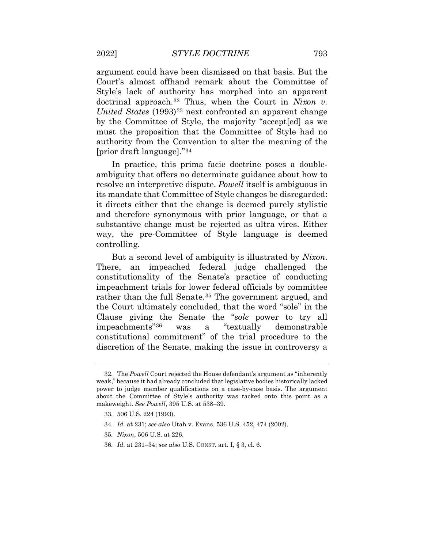by the Committee of Style, the majority "accept[ed] as we must the proposition that the Committee of Style had no argument could have been dismissed on that basis. But the Court's almost offhand remark about the Committee of Style's lack of authority has morphed into an apparent doctrinal approach.[32](#page-13-1) Thus, when the Court in *Nixon v. United States* (1993)<sup>33</sup> next confronted an apparent change authority from the Convention to alter the meaning of the [prior draft language]."[34](#page-13-3) 

 In practice, this prima facie doctrine poses a double- ambiguity that offers no determinate guidance about how to resolve an interpretive dispute. *Powell* itself is ambiguous in its mandate that Committee of Style changes be disregarded: it directs either that the change is deemed purely stylistic and therefore synonymous with prior language, or that a substantive change must be rejected as ultra vires. Either way, the pre-Committee of Style language is deemed controlling.

 constitutional commitment" of the trial procedure to the But a second level of ambiguity is illustrated by *Nixon*. There, an impeached federal judge challenged the constitutionality of the Senate's practice of conducting impeachment trials for lower federal officials by committee rather than the full Senate.<sup>[35](#page-14-0)</sup> The government argued, and the Court ultimately concluded, that the word "sole" in the Clause giving the Senate the "*sole* power to try all impeachments"[36](#page-14-1) was a "textually demonstrable discretion of the Senate, making the issue in controversy a

<span id="page-13-1"></span><span id="page-13-0"></span> weak," because it had already concluded that legislative bodies historically lacked power to judge member qualifications on a case-by-case basis. The argument about the Committee of Style's authority was tacked onto this point as a 32. The *Powell* Court rejected the House defendant's argument as "inherently makeweight. *See Powell*, 395 U.S. at 538–39.

<sup>33. 506</sup> U.S. 224 (1993).

<span id="page-13-2"></span><sup>34.</sup> *Id.* at 231; *see also* Utah v. Evans, 536 U.S. 452, 474 (2002).

<span id="page-13-3"></span><sup>35.</sup> *Nixon*, 506 U.S. at 226.

<sup>36.</sup> *Id.* at 231–34; *see also* U.S. CONST. art. I, § 3, cl. 6.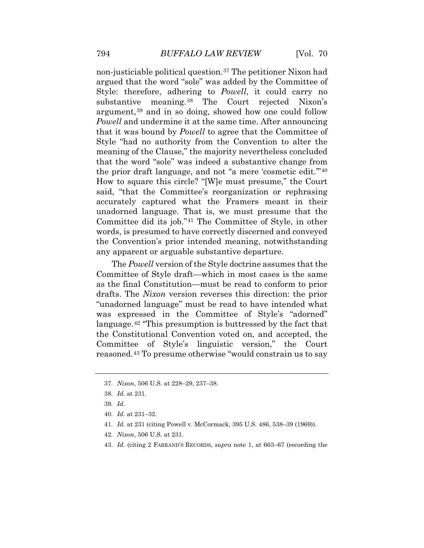substantive meaning.[38](#page-14-3) The Court rejected Nixon's argument,[39](#page-14-4) and in so doing, showed how one could follow *Powell* and undermine it at the same time. After announcing unadorned language. That is, we must presume that the Committee did its job."[41](#page-14-6) The Committee of Style, in other non-justiciable political question.[37](#page-14-2) The petitioner Nixon had argued that the word "sole" was added by the Committee of Style: therefore, adhering to *Powell*, it could carry no that it was bound by *Powell* to agree that the Committee of Style "had no authority from the Convention to alter the meaning of the Clause," the majority nevertheless concluded that the word "sole" was indeed a substantive change from the prior draft language, and not "a mere 'cosmetic edit.'"[40](#page-14-5) How to square this circle? "[W]e must presume," the Court said, "that the Committee's reorganization or rephrasing accurately captured what the Framers meant in their words, is presumed to have correctly discerned and conveyed the Convention's prior intended meaning, notwithstanding any apparent or arguable substantive departure.

 Committee of Style draft—which in most cases is the same reasoned.[43](#page-15-1) To presume otherwise "would constrain us to say The *Powell* version of the Style doctrine assumes that the as the final Constitution—must be read to conform to prior drafts. The *Nixon* version reverses this direction: the prior "unadorned language" must be read to have intended what was expressed in the Committee of Style's "adorned" language.[42](#page-15-0) "This presumption is buttressed by the fact that the Constitutional Convention voted on, and accepted, the Committee of Style's linguistic version," the Court

- 41. *Id.* at 231 (citing Powell v. McCormack, 395 U.S. 486, 538–39 (1969)).
- <span id="page-14-6"></span><span id="page-14-5"></span>42. *Nixon*, 506 U.S. at 231.
- 43. *Id.* (citing 2 FARRAND'S RECORDS, *supra* note 1, at 663–67 (recording the

<span id="page-14-2"></span><span id="page-14-1"></span><span id="page-14-0"></span><sup>37.</sup> *Nixon*, 506 U.S. at 228–29, 237–38.

<sup>38.</sup> *Id.* at 231.

<span id="page-14-4"></span><span id="page-14-3"></span><sup>39.</sup> *Id.* 

 40. *Id.* at 231–32.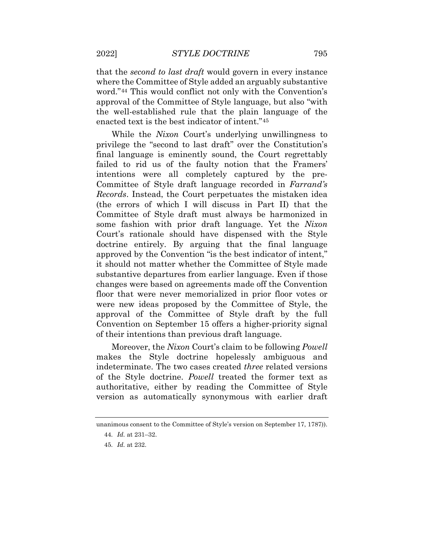word."[44](#page-15-2) This would conflict not only with the Convention's that the *second to last draft* would govern in every instance where the Committee of Style added an arguably substantive approval of the Committee of Style language, but also "with the well-established rule that the plain language of the enacted text is the best indicator of intent."[45](#page-15-3)

 changes were based on agreements made off the Convention While the *Nixon* Court's underlying unwillingness to privilege the "second to last draft" over the Constitution's final language is eminently sound, the Court regrettably failed to rid us of the faulty notion that the Framers' intentions were all completely captured by the pre-Committee of Style draft language recorded in *Farrand's Records*. Instead, the Court perpetuates the mistaken idea (the errors of which I will discuss in Part II) that the Committee of Style draft must always be harmonized in some fashion with prior draft language. Yet the *Nixon*  Court's rationale should have dispensed with the Style doctrine entirely. By arguing that the final language approved by the Convention "is the best indicator of intent," it should not matter whether the Committee of Style made substantive departures from earlier language. Even if those floor that were never memorialized in prior floor votes or were new ideas proposed by the Committee of Style, the approval of the Committee of Style draft by the full Convention on September 15 offers a higher-priority signal of their intentions than previous draft language.

Moreover, the *Nixon* Court's claim to be following *Powell*  makes the Style doctrine hopelessly ambiguous and indeterminate. The two cases created *three* related versions of the Style doctrine. *Powell* treated the former text as authoritative, either by reading the Committee of Style version as automatically synonymous with earlier draft

<span id="page-15-3"></span><span id="page-15-2"></span><span id="page-15-1"></span><span id="page-15-0"></span>unanimous consent to the Committee of Style's version on September 17, 1787)).

<sup>44.</sup> *Id.* at 231–32.

<sup>45.</sup> *Id.* at 232.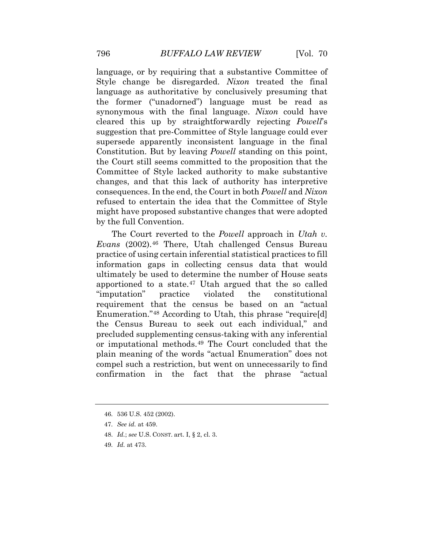language, or by requiring that a substantive Committee of Style change be disregarded. *Nixon* treated the final language as authoritative by conclusively presuming that the former ("unadorned") language must be read as synonymous with the final language. *Nixon* could have cleared this up by straightforwardly rejecting *Powell*'s suggestion that pre-Committee of Style language could ever supersede apparently inconsistent language in the final Constitution. But by leaving *Powell* standing on this point, the Court still seems committed to the proposition that the Committee of Style lacked authority to make substantive changes, and that this lack of authority has interpretive consequences. In the end, the Court in both *Powell* and *Nixon*  refused to entertain the idea that the Committee of Style might have proposed substantive changes that were adopted by the full Convention.

 *Evans* (2002).[46](#page-16-0) There, Utah challenged Census Bureau information gaps in collecting census data that would apportioned to a state.<sup>[47](#page-17-0)</sup> Utah argued that the so called plain meaning of the words "actual Enumeration" does not compel such a restriction, but went on unnecessarily to find The Court reverted to the *Powell* approach in *Utah v.*  practice of using certain inferential statistical practices to fill ultimately be used to determine the number of House seats "imputation" practice violated the constitutional requirement that the census be based on an "actual Enumeration."[48](#page-17-1) According to Utah, this phrase "require[d] the Census Bureau to seek out each individual," and precluded supplementing census-taking with any inferential or imputational methods.[49](#page-17-2) The Court concluded that the confirmation in the fact that the phrase "actual

<sup>46. 536</sup> U.S. 452 (2002).

<sup>47.</sup> *See id.* at 459.

 48. *Id.*; *see* U.S. CONST. art. I, § 2, cl. 3.

<span id="page-16-0"></span><sup>49.</sup> *Id.* at 473.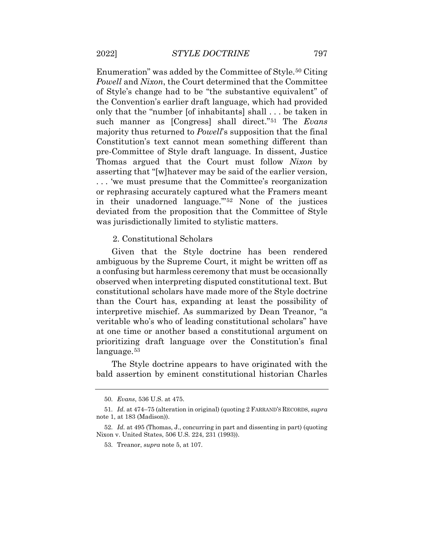Enumeration" was added by the Committee of Style.[50](#page-17-3) Citing the Convention's earlier draft language, which had provided only that the "number [of inhabitants] shall . . . be taken in pre-Committee of Style draft language. In dissent, Justice . . . 'we must presume that the Committee's reorganization *Powell* and *Nixon*, the Court determined that the Committee of Style's change had to be "the substantive equivalent" of such manner as [Congress] shall direct."[51](#page-17-4) The *Evans*  majority thus returned to *Powell*'s supposition that the final Constitution's text cannot mean something different than Thomas argued that the Court must follow *Nixon* by asserting that "[w]hatever may be said of the earlier version, or rephrasing accurately captured what the Framers meant in their unadorned language.'"[52](#page-17-5) None of the justices deviated from the proposition that the Committee of Style was jurisdictionally limited to stylistic matters.

2. Constitutional Scholars

Given that the Style doctrine has been rendered ambiguous by the Supreme Court, it might be written off as a confusing but harmless ceremony that must be occasionally observed when interpreting disputed constitutional text. But constitutional scholars have made more of the Style doctrine than the Court has, expanding at least the possibility of interpretive mischief. As summarized by Dean Treanor, "a veritable who's who of leading constitutional scholars" have at one time or another based a constitutional argument on prioritizing draft language over the Constitution's final language.<sup>[53](#page-18-0)</sup>

<span id="page-17-1"></span><span id="page-17-0"></span>The Style doctrine appears to have originated with the bald assertion by eminent constitutional historian Charles

<sup>50.</sup> *Evans*, 536 U.S. at 475.

<span id="page-17-4"></span><span id="page-17-3"></span><span id="page-17-2"></span> 51. *Id.* at 474–75 (alteration in original) (quoting 2 FARRAND'S RECORDS, *supra*  note 1, at 183 (Madison)).

<span id="page-17-5"></span> 52. *Id.* at 495 (Thomas, J., concurring in part and dissenting in part) (quoting Nixon v. United States, 506 U.S. 224, 231 (1993)).

<sup>53.</sup> Treanor, *supra* note 5, at 107.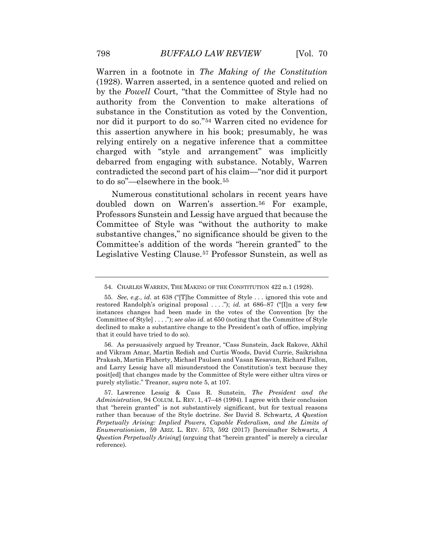by the *Powell* Court, "that the Committee of Style had no Warren in a footnote in *The Making of the Constitution*  (1928). Warren asserted, in a sentence quoted and relied on authority from the Convention to make alterations of substance in the Constitution as voted by the Convention, nor did it purport to do so."[54](#page-18-1) Warren cited no evidence for this assertion anywhere in his book; presumably, he was relying entirely on a negative inference that a committee charged with "style and arrangement" was implicitly debarred from engaging with substance. Notably, Warren contradicted the second part of his claim—"nor did it purport to do so"—elsewhere in the book.[55](#page-18-2)

Numerous constitutional scholars in recent years have doubled down on Warren's assertion.<sup>[56](#page-18-3)</sup> For example, Professors Sunstein and Lessig have argued that because the Committee of Style was "without the authority to make substantive changes," no significance should be given to the Committee's addition of the words "herein granted" to the Legislative Vesting Clause.[57](#page-19-0) Professor Sunstein, as well as

<sup>54.</sup> CHARLES WARREN, THE MAKING OF THE CONSTITUTION 422 n.1 (1928).

 55. *See, e.g.*, *id.* at 638 ("[T]he Committee of Style . . . ignored this vote and restored Randolph's original proposal ...."); *id.* at 686–87 ("[I]n a very few Committee of Style] . . . ."); *see also id.* at 650 (noting that the Committee of Style instances changes had been made in the votes of the Convention [by the declined to make a substantive change to the President's oath of office, implying that it could have tried to do so).

<span id="page-18-0"></span> and Larry Lessig have all misunderstood the Constitution's text because they posit[ed] that changes made by the Committee of Style were either ultra vires or 56. As persuasively argued by Treanor, "Cass Sunstein, Jack Rakove, Akhil and Vikram Amar, Martin Redish and Curtis Woods, David Currie, Saikrishna Prakash, Martin Flaherty, Michael Paulsen and Vasan Kesavan, Richard Fallon, purely stylistic." Treanor, *supra* note 5, at 107.

<span id="page-18-3"></span><span id="page-18-2"></span><span id="page-18-1"></span> *Administration*, 94 COLUM. L. REV. 1, 47–48 (1994). I agree with their conclusion *Enumerationism*, 59 ARIZ. L. REV. 573, 592 (2017) [hereinafter Schwartz, *A*  57. Lawrence Lessig & Cass R. Sunstein, *The President and the*  that "herein granted" is not substantively significant, but for textual reasons rather than because of the Style doctrine. *See* David S. Schwartz, *A Question Perpetually Arising: Implied Powers, Capable Federalism, and the Limits of Question Perpetually Arising*] (arguing that "herein granted" is merely a circular reference).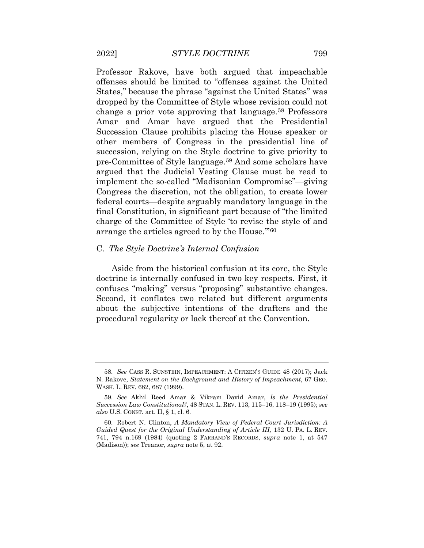Professor Rakove, have both argued that impeachable offenses should be limited to "offenses against the United States," because the phrase "against the United States" was dropped by the Committee of Style whose revision could not change a prior vote approving that language.[58](#page-19-1) Professors Amar and Amar have argued that the Presidential Succession Clause prohibits placing the House speaker or other members of Congress in the presidential line of succession, relying on the Style doctrine to give priority to pre-Committee of Style language.[59](#page-19-2) And some scholars have argued that the Judicial Vesting Clause must be read to implement the so-called "Madisonian Compromise"—giving Congress the discretion, not the obligation, to create lower federal courts—despite arguably mandatory language in the final Constitution, in significant part because of "the limited charge of the Committee of Style 'to revise the style of and arrange the articles agreed to by the House.'"[60](#page-20-0)

#### C. *The Style Doctrine's Internal Confusion*

 Aside from the historical confusion at its core, the Style doctrine is internally confused in two key respects. First, it about the subjective intentions of the drafters and the confuses "making" versus "proposing" substantive changes. Second, it conflates two related but different arguments procedural regularity or lack thereof at the Convention.

<span id="page-19-0"></span> 58. *See* CASS R. SUNSTEIN, IMPEACHMENT: A CITIZEN'S GUIDE 48 (2017); Jack N. Rakove, *Statement on the Background and History of Impeachment*, 67 GEO. WASH. L. REV. 682, 687 (1999).

<span id="page-19-1"></span> 59. *See* Akhil Reed Amar & Vikram David Amar, *Is the Presidential Succession Law Constitutional?*, 48 STAN. L. REV. 113, 115–16, 118–19 (1995); *see also* U.S. CONST. art. II, § 1, cl. 6.

<span id="page-19-2"></span>Guided Quest for the Original Understanding of Article III, 132 U. PA. L. REV. 741, 794 n.169 (1984) (quoting 2 FARRAND'S RECORDS, *supra* note 1, at 547 60. Robert N. Clinton, *A Mandatory View of Federal Court Jurisdiction: A*  (Madison)); *see* Treanor, *supra* note 5, at 92.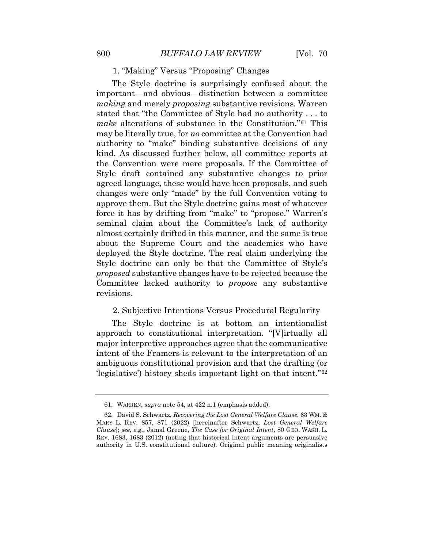#### 1. "Making" Versus "Proposing" Changes

 stated that "the Committee of Style had no authority . . . to *make* alterations of substance in the Constitution."[61](#page-21-0) This about the Supreme Court and the academics who have Style doctrine can only be that the Committee of Style's The Style doctrine is surprisingly confused about the important—and obvious—distinction between a committee *making* and merely *proposing* substantive revisions. Warren may be literally true, for *no* committee at the Convention had authority to "make" binding substantive decisions of any kind. As discussed further below, all committee reports at the Convention were mere proposals. If the Committee of Style draft contained any substantive changes to prior agreed language, these would have been proposals, and such changes were only "made" by the full Convention voting to approve them. But the Style doctrine gains most of whatever force it has by drifting from "make" to "propose." Warren's seminal claim about the Committee's lack of authority almost certainly drifted in this manner, and the same is true deployed the Style doctrine. The real claim underlying the *proposed* substantive changes have to be rejected because the Committee lacked authority to *propose* any substantive revisions.

#### 2. Subjective Intentions Versus Procedural Regularity

The Style doctrine is at bottom an intentionalist approach to constitutional interpretation. "[V]irtually all major interpretive approaches agree that the communicative intent of the Framers is relevant to the interpretation of an ambiguous constitutional provision and that the drafting (or 'legislative') history sheds important light on that intent."[62](#page-21-1)

<sup>61.</sup> WARREN, *supra* note 54, at 422 n.1 (emphasis added).

<span id="page-20-0"></span> *Clause*]; *see, e.g.*, Jamal Greene, *The Case for Original Intent*, 80 GEO. WASH. L. REV. 1683, 1683 (2012) (noting that historical intent arguments are persuasive 62. David S. Schwartz, *Recovering the Lost General Welfare Clause*, 63 WM. & MARY L. REV. 857, 871 (2022) [hereinafter Schwartz, *Lost General Welfare*  authority in U.S. constitutional culture). Original public meaning originalists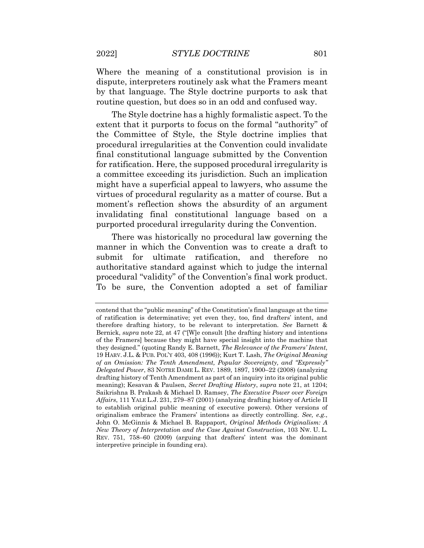by that language. The Style doctrine purports to ask that routine question, but does so in an odd and confused way. Where the meaning of a constitutional provision is in dispute, interpreters routinely ask what the Framers meant

 extent that it purports to focus on the formal "authority" of for ratification. Here, the supposed procedural irregularity is moment's reflection shows the absurdity of an argument The Style doctrine has a highly formalistic aspect. To the the Committee of Style, the Style doctrine implies that procedural irregularities at the Convention could invalidate final constitutional language submitted by the Convention a committee exceeding its jurisdiction. Such an implication might have a superficial appeal to lawyers, who assume the virtues of procedural regularity as a matter of course. But a invalidating final constitutional language based on a purported procedural irregularity during the Convention.

 There was historically no procedural law governing the procedural "validity" of the Convention's final work product. To be sure, the Convention adopted a set of familiar manner in which the Convention was to create a draft to submit for ultimate ratification, and therefore no authoritative standard against which to judge the internal

<span id="page-21-1"></span><span id="page-21-0"></span> of ratification is determinative; yet even they, too, find drafters' intent, and therefore drafting history, to be relevant to interpretation. *See* Barnett & of the Framers] because they might have special insight into the machine that 19 HARV. J.L. & PUB. POL'Y 403, 408 (1996)); Kurt T. Lash, *The Original Meaning of an Omission: The Tenth Amendment, Popular Sovereignty, and "Expressly"*  drafting history of Tenth Amendment as part of an inquiry into its original public *Affairs*, 111 YALE L.J. 231, 279–87 (2001) (analyzing drafting history of Article II  John O. McGinnis & Michael B. Rappaport, *Original Methods Originalism: A New Theory of Interpretation and the Case Against Construction*, 103 NW. U. L. REV. 751, 758–60 (2009) (arguing that drafters' intent was the dominant contend that the "public meaning" of the Constitution's final language at the time Bernick, *supra* note 22, at 47 ("[W]e consult [the drafting history and intentions they designed." (quoting Randy E. Barnett, *The Relevance of the Framers' Intent*, *Delegated Power*, 83 NOTRE DAME L. REV. 1889, 1897, 1900–22 (2008) (analyzing meaning); Kesavan & Paulsen, *Secret Drafting History*, *supra* note 21, at 1204; Saikrishna B. Prakash & Michael D. Ramsey, *The Executive Power over Foreign*  to establish original public meaning of executive powers). Other versions of originalism embrace the Framers' intentions as directly controlling. *See, e.g.*, interpretive principle in founding era).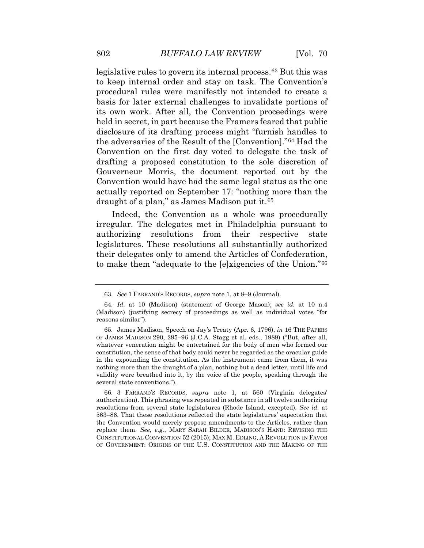Gouverneur Morris, the document reported out by the legislative rules to govern its internal process.[63](#page-23-0) But this was to keep internal order and stay on task. The Convention's procedural rules were manifestly not intended to create a basis for later external challenges to invalidate portions of its own work. After all, the Convention proceedings were held in secret, in part because the Framers feared that public disclosure of its drafting process might "furnish handles to the adversaries of the Result of the [Convention]."[64](#page-23-1) Had the Convention on the first day voted to delegate the task of drafting a proposed constitution to the sole discretion of Convention would have had the same legal status as the one actually reported on September 17: "nothing more than the draught of a plan," as James Madison put it.[65](#page-23-2)

Indeed, the Convention as a whole was procedurally irregular. The delegates met in Philadelphia pursuant to authorizing resolutions from their respective state legislatures. These resolutions all substantially authorized their delegates only to amend the Articles of Confederation, to make them "adequate to the [e]xigencies of the Union."[66](#page-23-3)

 CONSTITUTIONAL CONVENTION 52 (2015); MAX M. EDLING, A REVOLUTION IN FAVOR OF GOVERNMENT: ORIGINS OF THE U.S. CONSTITUTION AND THE MAKING OF THE 66. 3 FARRAND'S RECORDS, *supra* note 1, at 560 (Virginia delegates' authorization). This phrasing was repeated in substance in all twelve authorizing resolutions from several state legislatures (Rhode Island, excepted). *See id.* at 563–86. That these resolutions reflected the state legislatures' expectation that the Convention would merely propose amendments to the Articles, rather than replace them. *See, e.g.*, MARY SARAH BILDER, MADISON'S HAND: REVISING THE

 63. *See* 1 FARRAND'S RECORDS, *supra* note 1, at 8–9 (Journal).

<sup>64.</sup> *Id.* at 10 (Madison) (statement of George Mason); *see id.* at 10 n.4 (Madison) (justifying secrecy of proceedings as well as individual votes "for reasons similar").

 OF JAMES MADISON 290, 295–96 (J.C.A. Stagg et al. eds., 1989) ("But, after all, whatever veneration might be entertained for the body of men who formed our constitution, the sense of that body could never be regarded as the oracular guide validity were breathed into it, by the voice of the people, speaking through the 65. James Madison, Speech on Jay's Treaty (Apr. 6, 1796), *in* 16 THE PAPERS in the expounding the constitution. As the instrument came from them, it was nothing more than the draught of a plan, nothing but a dead letter, until life and several state conventions.").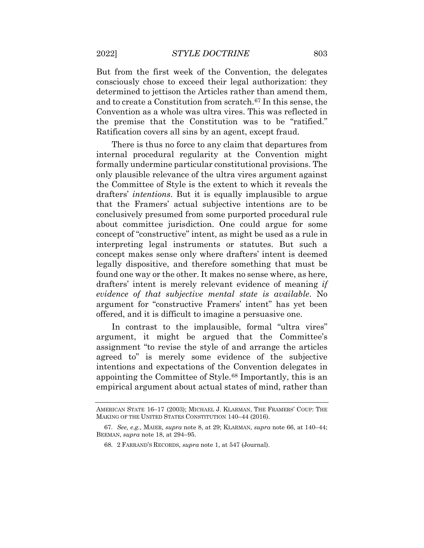But from the first week of the Convention, the delegates and to create a Constitution from scratch.[67](#page-24-0) In this sense, the consciously chose to exceed their legal authorization: they determined to jettison the Articles rather than amend them, Convention as a whole was ultra vires. This was reflected in the premise that the Constitution was to be "ratified." Ratification covers all sins by an agent, except fraud.

 found one way or the other. It makes no sense where, as here, There is thus no force to any claim that departures from internal procedural regularity at the Convention might formally undermine particular constitutional provisions. The only plausible relevance of the ultra vires argument against the Committee of Style is the extent to which it reveals the drafters' *intentions*. But it is equally implausible to argue that the Framers' actual subjective intentions are to be conclusively presumed from some purported procedural rule about committee jurisdiction. One could argue for some concept of "constructive" intent, as might be used as a rule in interpreting legal instruments or statutes. But such a concept makes sense only where drafters' intent is deemed legally dispositive, and therefore something that must be drafters' intent is merely relevant evidence of meaning *if evidence of that subjective mental state is available*. No argument for "constructive Framers' intent" has yet been offered, and it is difficult to imagine a persuasive one.

<span id="page-23-2"></span><span id="page-23-1"></span><span id="page-23-0"></span> agreed to" is merely some evidence of the subjective appointing the Committee of Style.<sup>[68](#page-25-0)</sup> Importantly, this is an In contrast to the implausible, formal "ultra vires" argument, it might be argued that the Committee's assignment "to revise the style of and arrange the articles intentions and expectations of the Convention delegates in empirical argument about actual states of mind, rather than

<span id="page-23-3"></span> AMERICAN STATE 16–17 (2003); MICHAEL J. KLARMAN, THE FRAMERS' COUP: THE MAKING OF THE UNITED STATES CONSTITUTION 140–44 (2016).

 67. *See, e.g.*, MAIER, *supra* note 8, at 29; KLARMAN, *supra* note 66, at 140–44; BEEMAN, *supra* note 18, at 294–95.

<sup>68. 2</sup> FARRAND'S RECORDS, *supra* note 1, at 547 (Journal).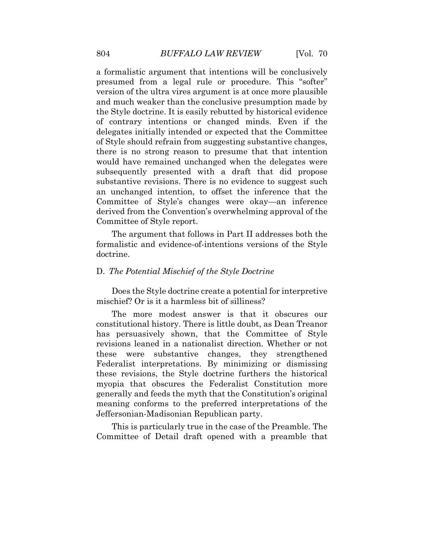and much weaker than the conclusive presumption made by an unchanged intention, to offset the inference that the a formalistic argument that intentions will be conclusively presumed from a legal rule or procedure. This "softer" version of the ultra vires argument is at once more plausible the Style doctrine. It is easily rebutted by historical evidence of contrary intentions or changed minds. Even if the delegates initially intended or expected that the Committee of Style should refrain from suggesting substantive changes, there is no strong reason to presume that that intention would have remained unchanged when the delegates were subsequently presented with a draft that did propose substantive revisions. There is no evidence to suggest such Committee of Style's changes were okay—an inference derived from the Convention's overwhelming approval of the Committee of Style report.

The argument that follows in Part II addresses both the formalistic and evidence-of-intentions versions of the Style doctrine.

#### D. *The Potential Mischief of the Style Doctrine*

Does the Style doctrine create a potential for interpretive mischief? Or is it a harmless bit of silliness?

 has persuasively shown, that the Committee of Style these revisions, the Style doctrine furthers the historical meaning conforms to the preferred interpretations of the The more modest answer is that it obscures our constitutional history. There is little doubt, as Dean Treanor revisions leaned in a nationalist direction. Whether or not these were substantive changes, they strengthened Federalist interpretations. By minimizing or dismissing myopia that obscures the Federalist Constitution more generally and feeds the myth that the Constitution's original Jeffersonian-Madisonian Republican party.

<span id="page-24-0"></span>This is particularly true in the case of the Preamble. The Committee of Detail draft opened with a preamble that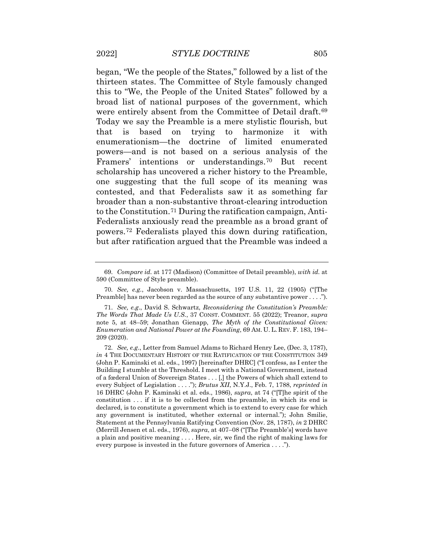contested, and that Federalists saw it as something far to the Constitution.[71](#page-26-2) During the ratification campaign, Anti- Federalists anxiously read the preamble as a broad grant of began, "We the people of the States," followed by a list of the thirteen states. The Committee of Style famously changed this to "We, the People of the United States" followed by a broad list of national purposes of the government, which were entirely absent from the Committee of Detail draft.<sup>[69](#page-26-0)</sup> Today we say the Preamble is a mere stylistic flourish, but that is based on trying to harmonize it with enumerationism—the doctrine of limited enumerated powers—and is not based on a serious analysis of the Framers' intentions or understandings.[70](#page-26-1) But recent scholarship has uncovered a richer history to the Preamble, one suggesting that the full scope of its meaning was broader than a non-substantive throat-clearing introduction powers.[72](#page-26-3) Federalists played this down during ratification, but after ratification argued that the Preamble was indeed a

<sup>69.</sup> *Compare id.* at 177 (Madison) (Committee of Detail preamble), *with id.* at 590 (Committee of Style preamble).

 70. *See, e.g.*, Jacobson v. Massachusetts, 197 U.S. 11, 22 (1905) ("[The Preamble] has never been regarded as the source of any substantive power . . . .").

 71. *See, e.g*., David S. Schwartz, *Reconsidering the Constitution's Preamble: Enumeration and National Power at the Founding*, 69 AM. U. L. REV. F. 183, 194– *The Words That Made Us U.S.*, 37 CONST. COMMENT. 55 (2022); Treanor, *supra*  note 5, at 48–59; Jonathan Gienapp, *The Myth of the Constitutional Given:*  209 (2020).

<span id="page-25-0"></span> 72. *See, e.g*., Letter from Samuel Adams to Richard Henry Lee, (Dec. 3, 1787), *in* 4 THE DOCUMENTARY HISTORY OF THE RATIFICATION OF THE CONSTITUTION 349 Building I stumble at the Threshold. I meet with a National Government, instead of a fœderal Union of Sovereign States . . . [,] the Powers of which shall extend to every Subject of Legislation . . . ."); *Brutus XII*, N.Y.J., Feb. 7, 1788, *reprinted in*  16 DHRC (John P. Kaminski et al. eds., 1986), *supra*, at 74 ("[T]he spirit of the constitution . . . if it is to be collected from the preamble, in which its end is any government is instituted, whether external or internal."); John Smilie, Statement at the Pennsylvania Ratifying Convention (Nov. 28, 1787), *in* 2 DHRC a plain and positive meaning . . . . Here, sir, we find the right of making laws for every purpose is invested in the future governors of America . . . ."). (John P. Kaminski et al. eds., 1997) [hereinafter DHRC] ("I confess, as I enter the declared, is to constitute a government which is to extend to every case for which (Merrill Jensen et al. eds., 1976), *supra*, at 407–08 ("[The Preamble's] words have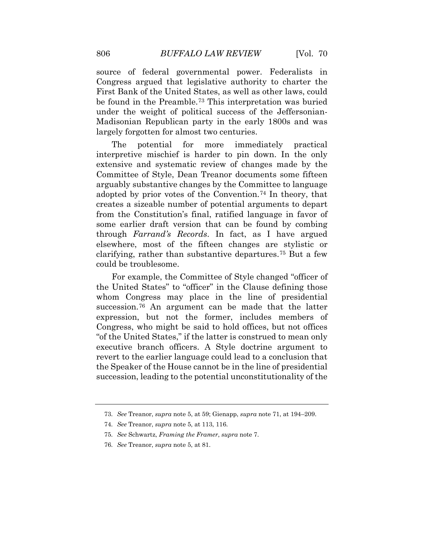First Bank of the United States, as well as other laws, could source of federal governmental power. Federalists in Congress argued that legislative authority to charter the be found in the Preamble.[73](#page-27-0) This interpretation was buried under the weight of political success of the Jeffersonian-Madisonian Republican party in the early 1800s and was largely forgotten for almost two centuries.

The potential for more immediately practical interpretive mischief is harder to pin down. In the only extensive and systematic review of changes made by the Committee of Style, Dean Treanor documents some fifteen arguably substantive changes by the Committee to language adopted by prior votes of the Convention.[74](#page-27-1) In theory, that creates a sizeable number of potential arguments to depart from the Constitution's final, ratified language in favor of some earlier draft version that can be found by combing through *Farrand's Records*. In fact, as I have argued elsewhere, most of the fifteen changes are stylistic or clarifying, rather than substantive departures.[75](#page-27-2) But a few could be troublesome.

<span id="page-26-1"></span><span id="page-26-0"></span> succession, leading to the potential unconstitutionality of the For example, the Committee of Style changed "officer of the United States" to "officer" in the Clause defining those whom Congress may place in the line of presidential succession.[76](#page-27-3) An argument can be made that the latter expression, but not the former, includes members of Congress, who might be said to hold offices, but not offices "of the United States," if the latter is construed to mean only executive branch officers. A Style doctrine argument to revert to the earlier language could lead to a conclusion that the Speaker of the House cannot be in the line of presidential

<span id="page-26-3"></span><span id="page-26-2"></span> 73. *See* Treanor, *supra* note 5, at 59; Gienapp, *supra* note 71, at 194–209.

<sup>74.</sup> *See* Treanor, *supra* note 5, at 113, 116.

 75. *See* Schwartz, *Framing the Framer*, *supra* note 7.

<sup>76.</sup> *See* Treanor, *supra* note 5, at 81.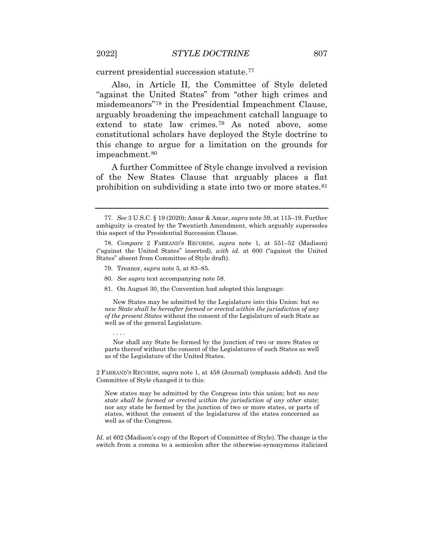current presidential succession statute.[77](#page-28-0)

 this change to argue for a limitation on the grounds for Also, in Article II, the Committee of Style deleted "against the United States" from "other high crimes and misdemeanors"[78](#page-28-1) in the Presidential Impeachment Clause, arguably broadening the impeachment catchall language to extend to state law crimes.[79](#page-28-2) As noted above, some constitutional scholars have deployed the Style doctrine to impeachment.<sup>[80](#page-28-3)</sup>

A further Committee of Style change involved a revision of the New States Clause that arguably places a flat prohibition on subdividing a state into two or more states.<sup>[81](#page-28-4)</sup>

79. Treanor, *supra* note 5, at 83–85.

. . . .

- 80. *See supra* text accompanying note 58.
- 81. On August 30, the Convention had adopted this language:

 *new State shall be hereafter formed or erected within the jurisdiction of any*  New States may be admitted by the Legislature into this Union: but *no of the present States* without the consent of the Legislature of such State as well as of the general Legislature.

Nor shall any State be formed by the junction of two or more States or parts thereof without the consent of the Legislatures of such States as well as of the Legislature of the United States.

<span id="page-27-0"></span> 2 FARRAND'S RECORDS, *supra* note 1, at 458 (Journal) (emphasis added). And the Committee of Style changed it to this:

New states may be admitted by the Congress into this union; but *no new state shall be formed or erected within the jurisdiction of any other state*; nor any state be formed by the junction of two or more states, or parts of states, without the consent of the legislatures of the states concerned as well as of the Congress.

<span id="page-27-3"></span><span id="page-27-2"></span><span id="page-27-1"></span> *Id.* at 602 (Madison's copy of the Report of Committee of Style). The change is the switch from a comma to a semicolon after the otherwise-synonymous italicized

 77. *See* 3 U.S.C. § 19 (2020); Amar & Amar, *supra* note 59, at 115–19. Further ambiguity is created by the Twentieth Amendment, which arguably supersedes this aspect of the Presidential Succession Clause.

<sup>78.</sup> *Compare* 2 FARRAND'S RECORDS, *supra* note 1, at 551–52 (Madison) ("against the United States" inserted), *with id.* at 600 ("against the United States" absent from Committee of Style draft).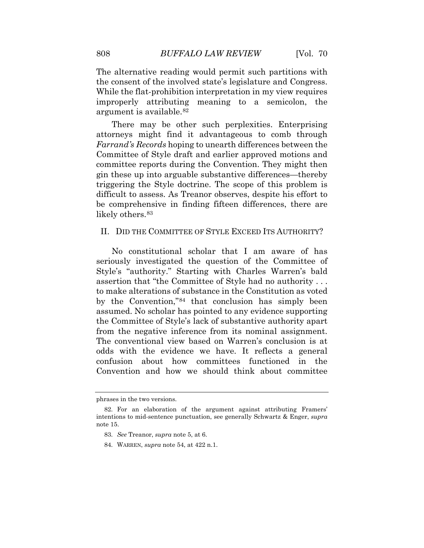The alternative reading would permit such partitions with the consent of the involved state's legislature and Congress. While the flat-prohibition interpretation in my view requires improperly attributing meaning to a semicolon, the argument is available.[82](#page-29-0) 

 difficult to assess. As Treanor observes, despite his effort to There may be other such perplexities. Enterprising attorneys might find it advantageous to comb through *Farrand's Records* hoping to unearth differences between the Committee of Style draft and earlier approved motions and committee reports during the Convention. They might then gin these up into arguable substantive differences—thereby triggering the Style doctrine. The scope of this problem is be comprehensive in finding fifteen differences, there are likely others.<sup>83</sup>

#### II. DID THE COMMITTEE OF STYLE EXCEED ITS AUTHORITY?

<span id="page-28-1"></span><span id="page-28-0"></span> odds with the evidence we have. It reflects a general No constitutional scholar that I am aware of has seriously investigated the question of the Committee of Style's "authority." Starting with Charles Warren's bald assertion that "the Committee of Style had no authority . . . to make alterations of substance in the Constitution as voted by the Convention,"[84](#page-30-0) that conclusion has simply been assumed. No scholar has pointed to any evidence supporting the Committee of Style's lack of substantive authority apart from the negative inference from its nominal assignment. The conventional view based on Warren's conclusion is at confusion about how committees functioned in the Convention and how we should think about committee

<span id="page-28-4"></span><span id="page-28-3"></span><span id="page-28-2"></span>phrases in the two versions.

 intentions to mid-sentence punctuation, see generally Schwartz & Enger, *supra*  82. For an elaboration of the argument against attributing Framers' note 15.

<sup>83.</sup> *See* Treanor, *supra* note 5, at 6.

<sup>84.</sup> WARREN, *supra* note 54, at 422 n.1.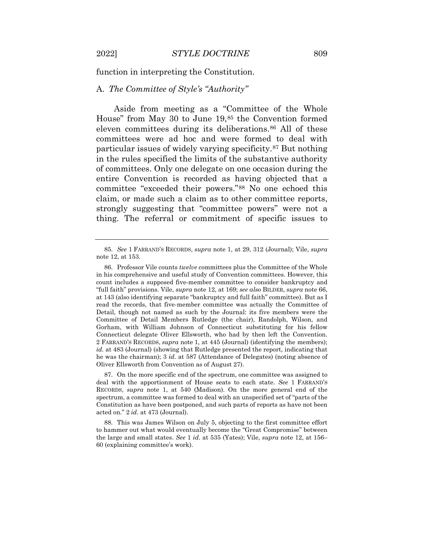function in interpreting the Constitution.

#### A. *The Committee of Style's "Authority"*

 in the rules specified the limits of the substantive authority committee "exceeded their powers."[88](#page-31-0) No one echoed this Aside from meeting as a "Committee of the Whole House" from May 30 to June 19,[85](#page-30-1) the Convention formed eleven committees during its deliberations.<sup>86</sup> All of these committees were ad hoc and were formed to deal with particular issues of widely varying specificity.[87](#page-30-3) But nothing of committees. Only one delegate on one occasion during the entire Convention is recorded as having objected that a claim, or made such a claim as to other committee reports, strongly suggesting that "committee powers" were not a thing. The referral or commitment of specific issues to

 deal with the apportionment of House seats to each state. *See* 1 FARRAND'S acted on." 2 *id.* at 473 (Journal). 87. On the more specific end of the spectrum, one committee was assigned to RECORDS, *supra* note 1, at 540 (Madison). On the more general end of the spectrum, a committee was formed to deal with an unspecified set of "parts of the Constitution as have been postponed, and such parts of reports as have not been

<span id="page-29-1"></span><span id="page-29-0"></span> to hammer out what would eventually become the "Great Compromise" between 88. This was James Wilson on July 5, objecting to the first committee effort the large and small states. *See* 1 *id.* at 535 (Yates); Vile, *supra* note 12, at 156– 60 (explaining committee's work).

<sup>85.</sup> *See* 1 FARRAND'S RECORDS, *supra* note 1, at 29, 312 (Journal); Vile, *supra*  note 12, at 153.

 in his comprehensive and useful study of Convention committees. However, this count includes a supposed five-member committee to consider bankruptcy and at 143 (also identifying separate "bankruptcy and full faith" committee). But as I read the records, that five-member committee was actually the Committee of Committee of Detail Members Rutledge (the chair), Randolph, Wilson, and *id.* at 483 (Journal) (showing that Rutledge presented the report, indicating that he was the chairman); 3 *id.* at 587 (Attendance of Delegates) (noting absence of 86. Professor Vile counts *twelve* committees plus the Committee of the Whole "full faith" provisions. Vile, *supra* note 12, at 169; *see also* BILDER, *supra* note 66, Detail, though not named as such by the Journal: its five members were the Gorham, with William Johnson of Connecticut substituting for his fellow Connecticut delegate Oliver Ellsworth, who had by then left the Convention. 2 FARRAND'S RECORDS, *supra* note 1, at 445 (Journal) (identifying the members); Oliver Ellsworth from Convention as of August 27).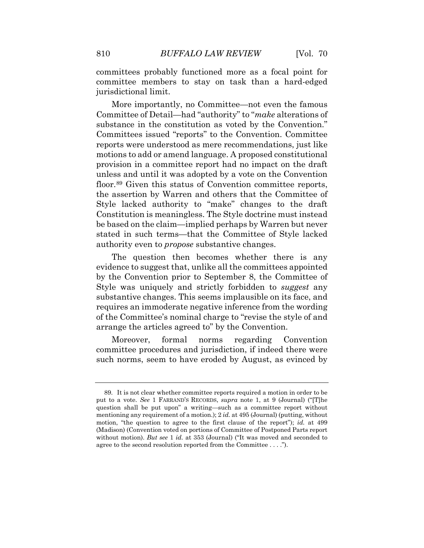committees probably functioned more as a focal point for committee members to stay on task than a hard-edged jurisdictional limit.

 unless and until it was adopted by a vote on the Convention Constitution is meaningless. The Style doctrine must instead More importantly, no Committee—not even the famous Committee of Detail—had "authority" to "*make* alterations of substance in the constitution as voted by the Convention." Committees issued "reports" to the Convention. Committee reports were understood as mere recommendations, just like motions to add or amend language. A proposed constitutional provision in a committee report had no impact on the draft floor.[89](#page-31-1) Given this status of Convention committee reports, the assertion by Warren and others that the Committee of Style lacked authority to "make" changes to the draft be based on the claim—implied perhaps by Warren but never stated in such terms—that the Committee of Style lacked authority even to *propose* substantive changes.

<span id="page-30-2"></span><span id="page-30-1"></span><span id="page-30-0"></span>The question then becomes whether there is any evidence to suggest that, unlike all the committees appointed by the Convention prior to September 8, the Committee of Style was uniquely and strictly forbidden to *suggest* any substantive changes. This seems implausible on its face, and requires an immoderate negative inference from the wording of the Committee's nominal charge to "revise the style of and arrange the articles agreed to" by the Convention.

 such norms, seem to have eroded by August, as evinced by Moreover, formal norms regarding Convention committee procedures and jurisdiction, if indeed there were

<span id="page-30-3"></span> put to a vote. *See* 1 FARRAND'S RECORDS, *supra* note 1, at 9 (Journal) ("[T]he mentioning any requirement of a motion.); 2 *id.* at 495 (Journal) (putting, without motion, "the question to agree to the first clause of the report"); *id.* at 499 (Madison) (Convention voted on portions of Committee of Postponed Parts report without motion). *But see* 1 *id.* at 353 (Journal) ("It was moved and seconded to agree to the second resolution reported from the Committee . . . ."). 89. It is not clear whether committee reports required a motion in order to be question shall be put upon" a writing—such as a committee report without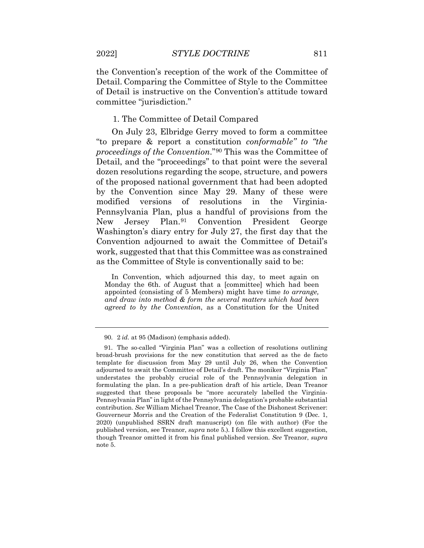the Convention's reception of the work of the Committee of Detail. Comparing the Committee of Style to the Committee of Detail is instructive on the Convention's attitude toward committee "jurisdiction."

#### 1. The Committee of Detail Compared

 "to prepare & report a constitution *conformable" to "the*  Pennsylvania Plan, plus a handful of provisions from the Convention adjourned to await the Committee of Detail's On July 23, Elbridge Gerry moved to form a committee *proceedings of the Convention*."[90](#page-32-0) This was the Committee of Detail, and the "proceedings" to that point were the several dozen resolutions regarding the scope, structure, and powers of the proposed national government that had been adopted by the Convention since May 29. Many of these were modified versions of resolutions in the Virginia-New Jersey Plan.[91](#page-32-1) Convention President George Washington's diary entry for July 27, the first day that the work, suggested that that this Committee was as constrained as the Committee of Style is conventionally said to be:

 *and draw into method & form the several matters which had been*  In Convention, which adjourned this day, to meet again on Monday the 6th. of August that a [committee] which had been appointed (consisting of 5 Members) might have time *to arrange, agreed to by the Convention*, as a Constitution for the United

<sup>90. 2</sup> *id.* at 95 (Madison) (emphasis added).

<span id="page-31-1"></span><span id="page-31-0"></span> template for discussion from May 29 until July 26, when the Convention suggested that these proposals be "more accurately labelled the Virginia- Pennsylvania Plan" in light of the Pennsylvania delegation's probable substantial contribution. *See* William Michael Treanor, The Case of the Dishonest Scrivener: Gouverneur Morris and the Creation of the Federalist Constitution 9 (Dec. 1, 2020) (unpublished SSRN draft manuscript) (on file with author) (For the though Treanor omitted it from his final published version. *See* Treanor, *supra*  91. The so-called "Virginia Plan" was a collection of resolutions outlining broad-brush provisions for the new constitution that served as the de facto adjourned to await the Committee of Detail's draft. The moniker "Virginia Plan" understates the probably crucial role of the Pennsylvania delegation in formulating the plan. In a pre-publication draft of his article, Dean Treanor published version, see Treanor, *supra* note 5.). I follow this excellent suggestion, note 5.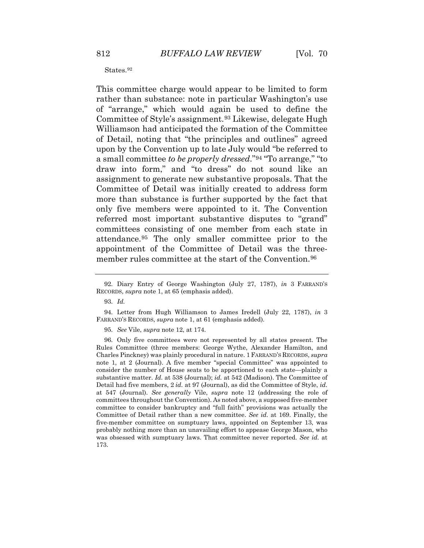#### States.<sup>[9](#page-33-0)2</sup>

 of Detail, noting that "the principles and outlines" agreed draw into form," and "to dress" do not sound like an referred most important substantive disputes to "grand" attendance.[95](#page-33-3) The only smaller committee prior to the This committee charge would appear to be limited to form rather than substance: note in particular Washington's use of "arrange," which would again be used to define the Committee of Style's assignment.[93](#page-33-1) Likewise, delegate Hugh Williamson had anticipated the formation of the Committee upon by the Convention up to late July would "be referred to a small committee *to be properly dressed*."[94](#page-33-2) "To arrange," "to assignment to generate new substantive proposals. That the Committee of Detail was initially created to address form more than substance is further supported by the fact that only five members were appointed to it. The Convention committees consisting of one member from each state in appointment of the Committee of Detail was the three-member rules committee at the start of the Convention.<sup>[96](#page-34-0)</sup>

95. *See* Vile, *supra* note 12, at 174.

<span id="page-32-1"></span><span id="page-32-0"></span> note 1, at 2 (Journal). A five member "special Committee" was appointed to consider the number of House seats to be apportioned to each state—plainly a substantive matter. *Id.* at 538 (Journal); *id.* at 542 (Madison). The Committee of Detail had five members, 2 *id.* at 97 (Journal), as did the Committee of Style, *id.*  at 547 (Journal). *See generally* Vile, *supra* note 12 (addressing the role of committees throughout the Convention). As noted above, a supposed five-member committee to consider bankruptcy and "full faith" provisions was actually the five-member committee on sumptuary laws, appointed on September 13, was probably nothing more than an unavailing effort to appease George Mason, who 96. Only five committees were not represented by all states present. The Rules Committee (three members: George Wythe, Alexander Hamilton, and Charles Pinckney) was plainly procedural in nature. 1 FARRAND'S RECORDS, *supra*  Committee of Detail rather than a new committee. *See id.* at 169. Finally, the was obsessed with sumptuary laws. That committee never reported. *See id.* at 173.

<sup>92.</sup> Diary Entry of George Washington (July 27, 1787), *in* 3 FARRAND'S RECORDS, *supra* note 1, at 65 (emphasis added).

 93. *Id.* 

<sup>94.</sup> Letter from Hugh Williamson to James Iredell (July 22, 1787), *in* 3 FARRAND'S RECORDS, *supra* note 1, at 61 (emphasis added).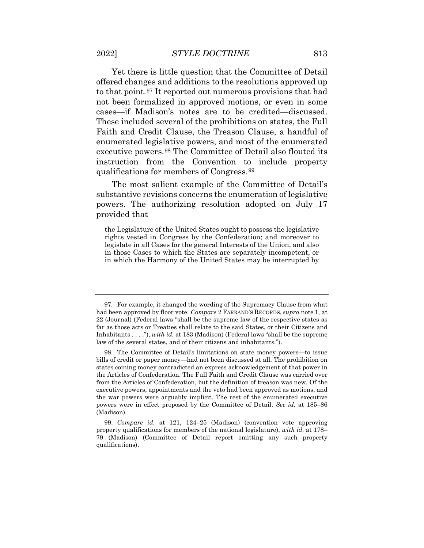Yet there is little question that the Committee of Detail offered changes and additions to the resolutions approved up to that point.[97](#page-34-1) It reported out numerous provisions that had not been formalized in approved motions, or even in some cases—if Madison's notes are to be credited—discussed. These included several of the prohibitions on states, the Full

Faith and Credit Clause, the Treason Clause, a handful of enumerated legislative powers, and most of the enumerated executive powers.[98](#page-34-2) The Committee of Detail also flouted its instruction from the Convention to include property qualifications for members of Congress.[99](#page-35-0) 

The most salient example of the Committee of Detail's substantive revisions concerns the enumeration of legislative powers. The authorizing resolution adopted on July 17 provided that

 the Legislature of the United States ought to possess the legislative legislate in all Cases for the general Interests of the Union, and also in those Cases to which the States are separately incompetent, or in which the Harmony of the United States may be interrupted by rights vested in Congress by the Confederation; and moreover to

 22 (Journal) (Federal laws "shall be the supreme law of the respective states as Inhabitants . . . ."), *with id.* at 183 (Madison) (Federal laws "shall be the supreme 97. For example, it changed the wording of the Supremacy Clause from what had been approved by floor vote. *Compare* 2 FARRAND'S RECORDS, *supra* note 1, at far as those acts or Treaties shall relate to the said States, or their Citizens and law of the several states, and of their citizens and inhabitants.").

 bills of credit or paper money—had not been discussed at all. The prohibition on the Articles of Confederation. The Full Faith and Credit Clause was carried over from the Articles of Confederation, but the definition of treason was new. Of the the war powers were arguably implicit. The rest of the enumerated executive powers were in effect proposed by the Committee of Detail. *See id.* at 185–86 98. The Committee of Detail's limitations on state money powers—to issue states coining money contradicted an express acknowledgement of that power in executive powers, appointments and the veto had been approved as motions, and (Madison).

<span id="page-33-3"></span><span id="page-33-2"></span><span id="page-33-1"></span><span id="page-33-0"></span> property qualifications for members of the national legislature), *with id.* at 178– 79 (Madison) (Committee of Detail report omitting any such property 99. *Compare id.* at 121, 124–25 (Madison) (convention vote approving qualifications).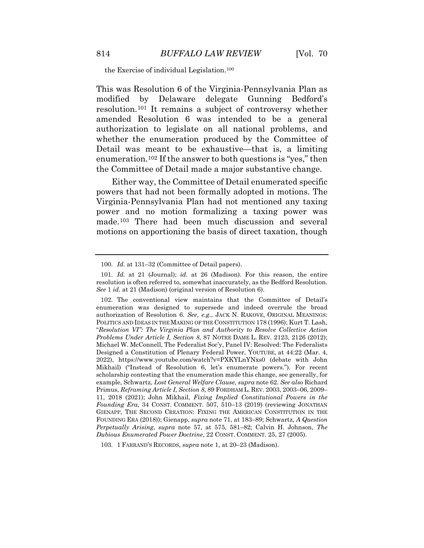the Exercise of individual Legislation.[10](#page-35-1)0

This was Resolution 6 of the Virginia-Pennsylvania Plan as modified by Delaware delegate Gunning Bedford's resolution.[101](#page-35-2) It remains a subject of controversy whether amended Resolution 6 was intended to be a general authorization to legislate on all national problems, and whether the enumeration produced by the Committee of Detail was meant to be exhaustive—that is, a limiting enumeration.<sup>[102](#page-35-3)</sup> If the answer to both questions is "yes," then the Committee of Detail made a major substantive change.

<span id="page-34-0"></span>Either way, the Committee of Detail enumerated specific powers that had not been formally adopted in motions. The Virginia-Pennsylvania Plan had not mentioned any taxing power and no motion formalizing a taxing power was made.[103](#page-36-0) There had been much discussion and several motions on apportioning the basis of direct taxation, though

<span id="page-34-2"></span>103. 1 FARRAND'S RECORDS, *supra* note 1, at 20–23 (Madison).

 100. *Id.* at 131–32 (Committee of Detail papers).

 *See* 1 *id.* at 21 (Madison) (original version of Resolution 6). 101. *Id.* at 21 (Journal); *id.* at 26 (Madison). For this reason, the entire resolution is often referred to, somewhat inaccurately, as the Bedford Resolution.

<span id="page-34-1"></span> POLITICS AND IDEAS IN THE MAKING OF THE CONSTITUTION 178 (1996); Kurt T. Lash, *Problems Under Article I, Section 8*, 87 NOTRE DAME L. REV. 2123, 2126 (2012); Mikhail) ("Instead of Resolution 6, let's enumerate powers."). For recent scholarship contesting that the enumeration made this change, see generally, for  example, Schwartz, *Lost General Welfare Clause*, *supra* note 62. *See also* Richard 11, 2018 (2021); John Mikhail, *Fixing Implied Constitutional Powers in the*  FOUNDING ERA (2018)); Gienapp, *supra* note 71, at 183–89; Schwartz, *A Question*  102. The conventional view maintains that the Committee of Detail's enumeration was designed to supersede and indeed overrule the broad authorization of Resolution 6. *See, e.g.*, JACK N. RAKOVE, ORIGINAL MEANINGS: "*Resolution VI": The Virginia Plan and Authority to Resolve Collective Action*  Michael W. McConnell, The Federalist Soc'y, Panel IV: Resolved: The Federalists Designed a Constitution of Plenary Federal Power, YOUTUBE, at 44:22 (Mar. 4, 2022), <https://www.youtube.com/watch?v=PXKYLnYNxs0> (debate with John Primus, *Reframing Article I, Section 8*, 89 FORDHAM L. REV. 2003, 2003–06, 2009– *Founding Era*, 34 CONST. COMMENT. 507, 510–13 (2019) (reviewing JONATHAN GIENAPP, THE SECOND CREATION: FIXING THE AMERICAN CONSTITUTION IN THE *Perpetually Arising*, *supra* note 57, at 575, 581–82; Calvin H. Johnson, *The Dubious Enumerated Power Doctrine*, 22 CONST. COMMENT. 25, 27 (2005).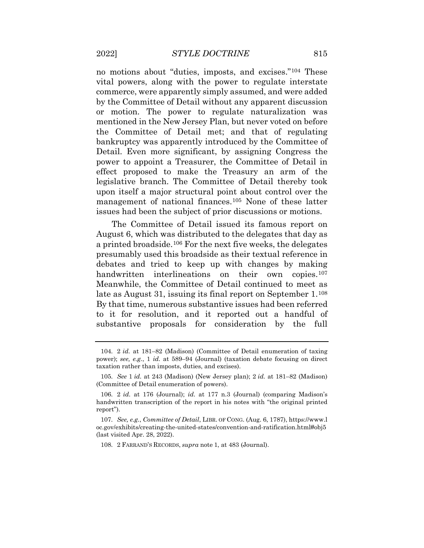vital powers, along with the power to regulate interstate the Committee of Detail met; and that of regulating power to appoint a Treasurer, the Committee of Detail in no motions about "duties, imposts, and excises."[104](#page-36-1) These commerce, were apparently simply assumed, and were added by the Committee of Detail without any apparent discussion or motion. The power to regulate naturalization was mentioned in the New Jersey Plan, but never voted on before bankruptcy was apparently introduced by the Committee of Detail. Even more significant, by assigning Congress the effect proposed to make the Treasury an arm of the legislative branch. The Committee of Detail thereby took upon itself a major structural point about control over the management of national finances.[105](#page-36-2) None of these latter issues had been the subject of prior discussions or motions.

<span id="page-35-0"></span> August 6, which was distributed to the delegates that day as debates and tried to keep up with changes by making The Committee of Detail issued its famous report on a printed broadside.[106](#page-37-0) For the next five weeks, the delegates presumably used this broadside as their textual reference in handwritten interlineations on their own copies.<sup>[107](#page-37-1)</sup> Meanwhile, the Committee of Detail continued to meet as late as August 31, issuing its final report on September 1.[108](#page-37-2) By that time, numerous substantive issues had been referred to it for resolution, and it reported out a handful of substantive proposals for consideration by the full

<span id="page-35-3"></span><span id="page-35-2"></span><span id="page-35-1"></span> power); *see, e.g.*, 1 *id.* at 589–94 (Journal) (taxation debate focusing on direct 104. 2 *id.* at 181–82 (Madison) (Committee of Detail enumeration of taxing taxation rather than imposts, duties, and excises).

 105. *See* 1 *id.* at 243 (Madison) (New Jersey plan); 2 *id.* at 181–82 (Madison) (Committee of Detail enumeration of powers).

 handwritten transcription of the report in his notes with "the original printed 106. 2 *id.* at 176 (Journal); *id.* at 177 n.3 (Journal) (comparing Madison's report").

<sup>107.</sup> *See, e.g.*, *Committee of Detail*, LIBR. OF CONG. (Aug. 6, 1787),<https://www.l> oc.gov/exhibits/creating-the-united-states/convention-and-ratification.html#obj5 (last visited Apr. 28, 2022).

<sup>108. 2</sup> FARRAND'S RECORDS, *supra* note 1, at 483 (Journal).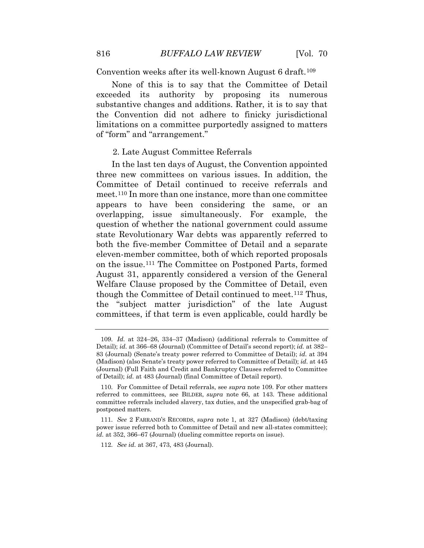Convention weeks after its well-known August 6 draft.[109](#page-37-0) 

 limitations on a committee purportedly assigned to matters None of this is to say that the Committee of Detail exceeded its authority by proposing its numerous substantive changes and additions. Rather, it is to say that the Convention did not adhere to finicky jurisdictional of "form" and "arrangement."

## 2. Late August Committee Referrals

 appears to have been considering the same, or an question of whether the national government could assume the "subject matter jurisdiction" of the late August In the last ten days of August, the Convention appointed three new committees on various issues. In addition, the Committee of Detail continued to receive referrals and meet.[110](#page-37-1) In more than one instance, more than one committee overlapping, issue simultaneously. For example, the state Revolutionary War debts was apparently referred to both the five-member Committee of Detail and a separate eleven-member committee, both of which reported proposals on the issue.[111](#page-38-0) The Committee on Postponed Parts, formed August 31, apparently considered a version of the General Welfare Clause proposed by the Committee of Detail, even though the Committee of Detail continued to meet.[112](#page-38-1) Thus, committees, if that term is even applicable, could hardly be

 Detail); *id.* at 366–68 (Journal) (Committee of Detail's second report); *id.* at 382– (Madison) (also Senate's treaty power referred to Committee of Detail); *id.* at 445  of Detail); *id.* at 483 (Journal) (final Committee of Detail report). 109. *Id.* at 324–26, 334–37 (Madison) (additional referrals to Committee of 83 (Journal) (Senate's treaty power referred to Committee of Detail); *id.* at 394 (Journal) (Full Faith and Credit and Bankruptcy Clauses referred to Committee

 110. For Committee of Detail referrals, see *supra* note 109. For other matters committee referrals included slavery, tax duties, and the unspecified grab-bag of referred to committees, see BILDER, *supra* note 66, at 143. These additional postponed matters.

 *id.* at 352, 366–67 (Journal) (dueling committee reports on issue). 111. *See* 2 FARRAND'S RECORDS, *supra* note 1, at 327 (Madison) (debt/taxing power issue referred both to Committee of Detail and new all-states committee);

 112. *See id.* at 367, 473, 483 (Journal).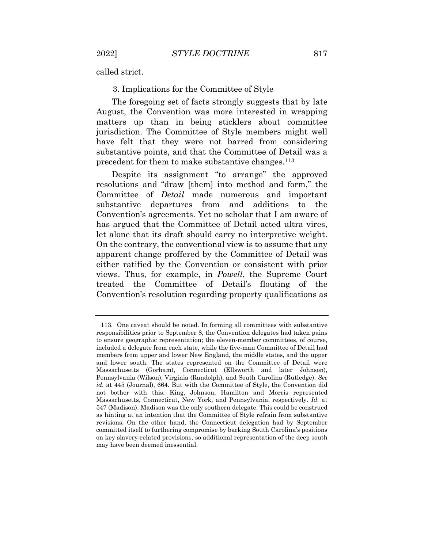called strict.

3. Implications for the Committee of Style

 August, the Convention was more interested in wrapping matters up than in being sticklers about committee The foregoing set of facts strongly suggests that by late jurisdiction. The Committee of Style members might well have felt that they were not barred from considering substantive points, and that the Committee of Detail was a precedent for them to make substantive changes.[113](#page-38-2)

 let alone that its draft should carry no interpretive weight. Despite its assignment "to arrange" the approved resolutions and "draw [them] into method and form," the Committee of *Detail* made numerous and important substantive departures from and additions to the Convention's agreements. Yet no scholar that I am aware of has argued that the Committee of Detail acted ultra vires, On the contrary, the conventional view is to assume that any apparent change proffered by the Committee of Detail was either ratified by the Convention or consistent with prior views. Thus, for example, in *Powell*, the Supreme Court treated the Committee of Detail's flouting of the Convention's resolution regarding property qualifications as

<span id="page-37-1"></span><span id="page-37-0"></span> to ensure geographic representation; the eleven-member committees, of course, included a delegate from each state, while the five-man Committee of Detail had members from upper and lower New England, the middle states, and the upper Pennsylvania (Wilson), Virginia (Randolph), and South Carolina (Rutledge). *See*  547 (Madison). Madison was the only southern delegate. This could be construed committed itself to furthering compromise by backing South Carolina's positions on key slavery-related provisions, so additional representation of the deep south 113. One caveat should be noted. In forming all committees with substantive responsibilities prior to September 8, the Convention delegates had taken pains and lower south. The states represented on the Committee of Detail were Massachusetts (Gorham), Connecticut (Ellsworth and later Johnson), *id.* at 445 (Journal), 664. But with the Committee of Style, the Convention did not bother with this: King, Johnson, Hamilton and Morris represented Massachusetts, Connecticut, New York, and Pennsylvania, respectively. *Id.* at as hinting at an intention that the Committee of Style refrain from substantive revisions. On the other hand, the Connecticut delegation had by September may have been deemed inessential.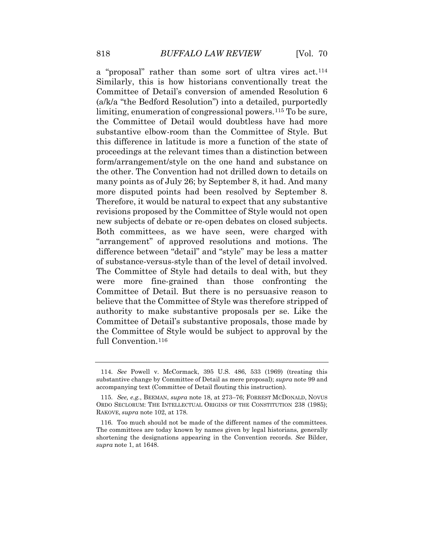Committee of Detail's conversion of amended Resolution 6 Therefore, it would be natural to expect that any substantive The Committee of Style had details to deal with, but they the Committee of Style would be subject to approval by the a "proposal" rather than some sort of ultra vires act.[114](#page-39-0) Similarly, this is how historians conventionally treat the (a/k/a "the Bedford Resolution") into a detailed, purportedly limiting, enumeration of congressional powers.<sup>[115](#page-39-1)</sup> To be sure, the Committee of Detail would doubtless have had more substantive elbow-room than the Committee of Style. But this difference in latitude is more a function of the state of proceedings at the relevant times than a distinction between form/arrangement/style on the one hand and substance on the other. The Convention had not drilled down to details on many points as of July 26; by September 8, it had. And many more disputed points had been resolved by September 8. revisions proposed by the Committee of Style would not open new subjects of debate or re-open debates on closed subjects. Both committees, as we have seen, were charged with "arrangement" of approved resolutions and motions. The difference between "detail" and "style" may be less a matter of substance-versus-style than of the level of detail involved. were more fine-grained than those confronting the Committee of Detail. But there is no persuasive reason to believe that the Committee of Style was therefore stripped of authority to make substantive proposals per se. Like the Committee of Detail's substantive proposals, those made by full Convention.[116](#page-40-0) 

<span id="page-38-2"></span><span id="page-38-1"></span><span id="page-38-0"></span> 114. *See* Powell v. McCormack, 395 U.S. 486, 533 (1969) (treating this substantive change by Committee of Detail as mere proposal); *supra* note 99 and accompanying text (Committee of Detail flouting this instruction).

 ORDO SECLORUM: THE INTELLECTUAL ORIGINS OF THE CONSTITUTION 238 (1985); RAKOVE, *supra* note 102, at 178. 115. *See, e.g.*, BEEMAN, *supra* note 18, at 273–76; FORREST MCDONALD, NOVUS

 shortening the designations appearing in the Convention records. *See* Bilder, 116. Too much should not be made of the different names of the committees. The committees are today known by names given by legal historians, generally *supra* note 1, at 1648.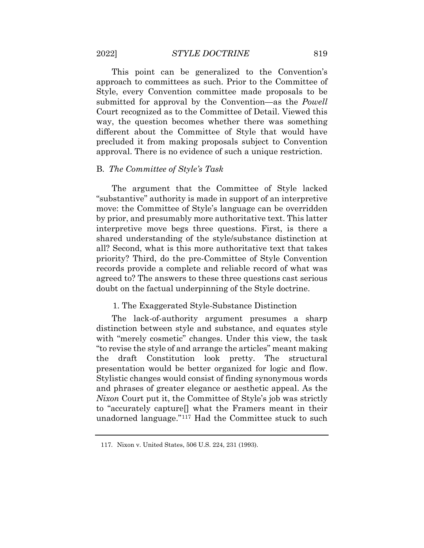This point can be generalized to the Convention's approach to committees as such. Prior to the Committee of Style, every Convention committee made proposals to be submitted for approval by the Convention—as the *Powell*  Court recognized as to the Committee of Detail. Viewed this way, the question becomes whether there was something different about the Committee of Style that would have precluded it from making proposals subject to Convention approval. There is no evidence of such a unique restriction.

# B. *The Committee of Style's Task*

 "substantive" authority is made in support of an interpretive all? Second, what is this more authoritative text that takes agreed to? The answers to these three questions cast serious The argument that the Committee of Style lacked move: the Committee of Style's language can be overridden by prior, and presumably more authoritative text. This latter interpretive move begs three questions. First, is there a shared understanding of the style/substance distinction at priority? Third, do the pre-Committee of Style Convention records provide a complete and reliable record of what was doubt on the factual underpinning of the Style doctrine.

#### 1. The Exaggerated Style-Substance Distinction

 The lack-of-authority argument presumes a sharp distinction between style and substance, and equates style with "merely cosmetic" changes. Under this view, the task "to revise the style of and arrange the articles" meant making the draft Constitution look pretty. The structural presentation would be better organized for logic and flow. Stylistic changes would consist of finding synonymous words and phrases of greater elegance or aesthetic appeal. As the *Nixon* Court put it, the Committee of Style's job was strictly to "accurately capture[] what the Framers meant in their unadorned language."[117](#page-41-0) Had the Committee stuck to such

<span id="page-39-1"></span><span id="page-39-0"></span><sup>117.</sup> Nixon v. United States, 506 U.S. 224, 231 (1993).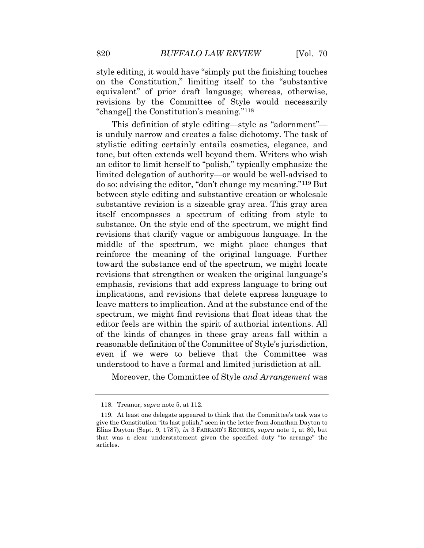revisions by the Committee of Style would necessarily style editing, it would have "simply put the finishing touches on the Constitution," limiting itself to the "substantive equivalent" of prior draft language; whereas, otherwise, "change[] the Constitution's meaning."[118](#page-41-1) 

 tone, but often extends well beyond them. Writers who wish between style editing and substantive creation or wholesale spectrum, we might find revisions that float ideas that the This definition of style editing—style as "adornment" is unduly narrow and creates a false dichotomy. The task of stylistic editing certainly entails cosmetics, elegance, and an editor to limit herself to "polish," typically emphasize the limited delegation of authority—or would be well-advised to do so: advising the editor, "don't change my meaning."[119](#page-41-2) But substantive revision is a sizeable gray area. This gray area itself encompasses a spectrum of editing from style to substance. On the style end of the spectrum, we might find revisions that clarify vague or ambiguous language. In the middle of the spectrum, we might place changes that reinforce the meaning of the original language. Further toward the substance end of the spectrum, we might locate revisions that strengthen or weaken the original language's emphasis, revisions that add express language to bring out implications, and revisions that delete express language to leave matters to implication. And at the substance end of the editor feels are within the spirit of authorial intentions. All of the kinds of changes in these gray areas fall within a reasonable definition of the Committee of Style's jurisdiction, even if we were to believe that the Committee was understood to have a formal and limited jurisdiction at all.

Moreover, the Committee of Style *and Arrangement* was

<sup>118.</sup> Treanor, *supra* note 5, at 112.

<span id="page-40-0"></span> Elias Dayton (Sept. 9, 1787), *in* 3 FARRAND'S RECORDS, *supra* note 1, at 80, but 119. At least one delegate appeared to think that the Committee's task was to give the Constitution "its last polish," seen in the letter from Jonathan Dayton to that was a clear understatement given the specified duty "to arrange" the articles.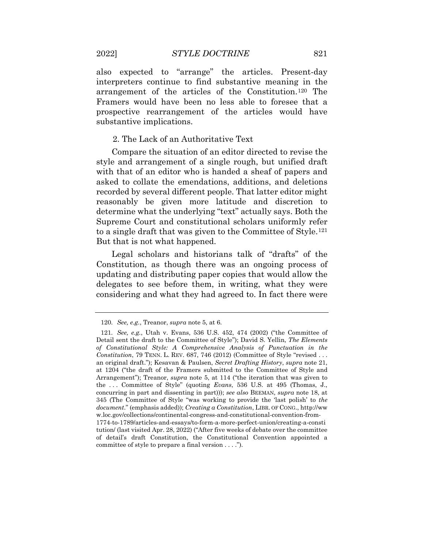interpreters continue to find substantive meaning in the also expected to "arrange" the articles. Present-day arrangement of the articles of the Constitution.[120](#page-42-0) The Framers would have been no less able to foresee that a prospective rearrangement of the articles would have substantive implications.

# 2. The Lack of an Authoritative Text

 to a single draft that was given to the Committee of Style.[121](#page-43-0) Compare the situation of an editor directed to revise the style and arrangement of a single rough, but unified draft with that of an editor who is handed a sheaf of papers and asked to collate the emendations, additions, and deletions recorded by several different people. That latter editor might reasonably be given more latitude and discretion to determine what the underlying "text" actually says. Both the Supreme Court and constitutional scholars uniformly refer But that is not what happened.

Legal scholars and historians talk of "drafts" of the Constitution, as though there was an ongoing process of updating and distributing paper copies that would allow the delegates to see before them, in writing, what they were considering and what they had agreed to. In fact there were

 120. *See, e.g.*, Treanor, *supra* note 5, at 6.

<span id="page-41-2"></span><span id="page-41-1"></span><span id="page-41-0"></span> *of Constitutional Style: A Comprehensive Analysis of Punctuation in the Constitution*, 79 TENN. L. REV. 687, 746 (2012) (Committee of Style "revised . . . an original draft."); Kesavan & Paulsen, *Secret Drafting History*, *supra* note 21, Arrangement"); Treanor, *supra* note 5, at 114 ("the iteration that was given to the . . . Committee of Style" (quoting *Evans*, 536 U.S. at 495 (Thomas, J., committee of style to prepare a final version . . . ."). 121. *See, e.g.*, Utah v. Evans, 536 U.S. 452, 474 (2002) ("the Committee of Detail sent the draft to the Committee of Style"); David S. Yellin, *The Elements*  at 1204 ("the draft of the Framers submitted to the Committee of Style and concurring in part and dissenting in part))); *see also* BEEMAN, *supra* note 18, at 345 (The Committee of Style "was working to provide the 'last polish' to *the document*." (emphasis added)); *Creating a Constitution*, LIBR. OF CONG.,<http://ww> [w.loc.gov/collections/continental-congress-and-constitutional-convention-from-](https://w.loc.gov/collections/continental-congress-and-constitutional-convention-from)1774-to-1789/articles-and-essays/to-form-a-more-perfect-union/creating-a-consti tution/ (last visited Apr. 28, 2022) ("After five weeks of debate over the committee of detail's draft Constitution, the Constitutional Convention appointed a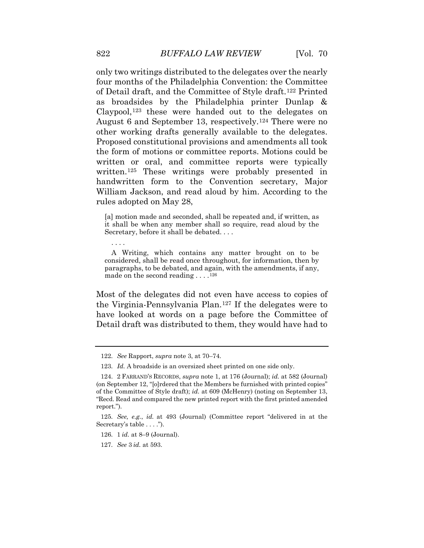of Detail draft, and the Committee of Style draft.[122](#page-43-1) Printed Proposed constitutional provisions and amendments all took William Jackson, and read aloud by him. According to the only two writings distributed to the delegates over the nearly four months of the Philadelphia Convention: the Committee as broadsides by the Philadelphia printer Dunlap & Claypool,[123](#page-43-2) these were handed out to the delegates on August 6 and September 13, respectively.[124](#page-43-3) There were no other working drafts generally available to the delegates. the form of motions or committee reports. Motions could be written or oral, and committee reports were typically written.[125](#page-44-0) These writings were probably presented in handwritten form to the Convention secretary, Major rules adopted on May 28,

 [a] motion made and seconded, shall be repeated and, if written, as Secretary, before it shall be debated. . . . it shall be when any member shall so require, read aloud by the

 A Writing, which contains any matter brought on to be considered, shall be read once throughout, for information, then by paragraphs, to be debated, and again, with the amendments, if any, made on the second reading  $\dots$ .<sup>[1](#page-44-1)26</sup>

Most of the delegates did not even have access to copies of the Virginia-Pennsylvania Plan.[127](#page-44-2) If the delegates were to have looked at words on a page before the Committee of Detail draft was distributed to them, they would have had to

. . . .

<sup>122.</sup> *See* Rapport, *supra* note 3, at 70–74.

 123. *Id.* A broadside is an oversized sheet printed on one side only.

 (on September 12, "[o]rdered that the Members be furnished with printed copies"  of the Committee of Style draft); *id.* at 609 (McHenry) (noting on September 13, 124. 2 FARRAND'S RECORDS, *supra* note 1, at 176 (Journal); *id.* at 582 (Journal) "Recd. Read and compared the new printed report with the first printed amended report.").

<span id="page-42-0"></span> 125. *See, e.g.*, *id.* at 493 (Journal) (Committee report "delivered in at the Secretary's table . . . .").

<sup>126. 1</sup> *id.* at 8–9 (Journal).

<sup>127.</sup> *See* 3 *id.* at 593.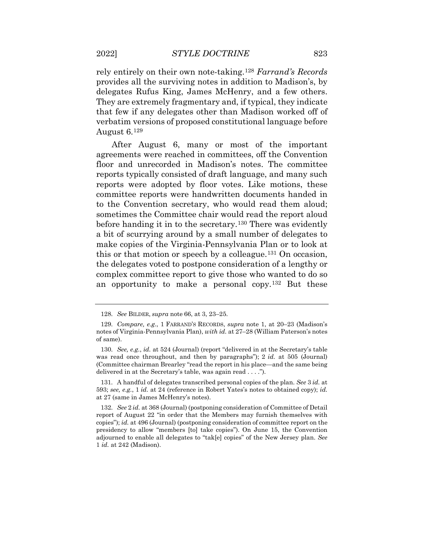rely entirely on their own note-taking.[128](#page-44-3) *Farrand's Records*  provides all the surviving notes in addition to Madison's, by delegates Rufus King, James McHenry, and a few others. They are extremely fragmentary and, if typical, they indicate that few if any delegates other than Madison worked off of verbatim versions of proposed constitutional language before August 6.[129](#page-44-4)

 agreements were reached in committees, off the Convention reports were adopted by floor votes. Like motions, these After August 6, many or most of the important floor and unrecorded in Madison's notes. The committee reports typically consisted of draft language, and many such committee reports were handwritten documents handed in to the Convention secretary, who would read them aloud; sometimes the Committee chair would read the report aloud before handing it in to the secretary.[130](#page-45-0) There was evidently a bit of scurrying around by a small number of delegates to make copies of the Virginia-Pennsylvania Plan or to look at this or that motion or speech by a colleague.[131](#page-45-1) On occasion, the delegates voted to postpone consideration of a lengthy or complex committee report to give those who wanted to do so an opportunity to make a personal copy.[132](#page-45-2) But these

<span id="page-43-0"></span><sup>128.</sup> *See* BILDER, *supra* note 66, at 3, 23–25.

 129. *Compare, e.g*., 1 FARRAND'S RECORDS, *supra* note 1, at 20–23 (Madison's notes of Virginia-Pennsylvania Plan), *with id.* at 27–28 (William Paterson's notes of same).

 130. *See, e.g.*, *id.* at 524 (Journal) (report "delivered in at the Secretary's table was read once throughout, and then by paragraphs"); 2 *id.* at 505 (Journal) (Committee chairman Brearley "read the report in his place—and the same being delivered in at the Secretary's table, was again read . . . .").

<span id="page-43-1"></span><sup>131.</sup> A handful of delegates transcribed personal copies of the plan. *See* 3 *id.* at 593; *see, e.g.*, 1 *id.* at 24 (reference in Robert Yates's notes to obtained copy); *id.*  at 27 (same in James McHenry's notes).

<span id="page-43-3"></span><span id="page-43-2"></span> 132. *See* 2 *id.* at 368 (Journal) (postponing consideration of Committee of Detail  copies"); *id.* at 496 (Journal) (postponing consideration of committee report on the 1 *id.* at 242 (Madison). report of August 22 "in order that the Members may furnish themselves with presidency to allow "members [to] take copies"). On June 15, the Convention adjourned to enable all delegates to "tak[e] copies" of the New Jersey plan. *See*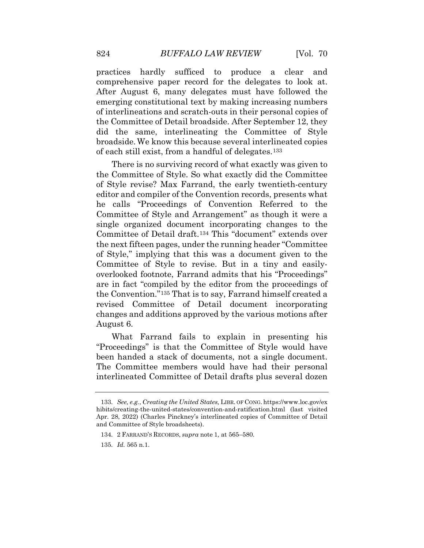the Committee of Detail broadside. After September 12, they practices hardly sufficed to produce a clear and comprehensive paper record for the delegates to look at. After August 6, many delegates must have followed the emerging constitutional text by making increasing numbers of interlineations and scratch-outs in their personal copies of did the same, interlineating the Committee of Style broadside. We know this because several interlineated copies of each still exist, from a handful of delegates.[133](#page-45-3) 

 of Style revise? Max Farrand, the early twentieth-century he calls "Proceedings of Convention Referred to the There is no surviving record of what exactly was given to the Committee of Style. So what exactly did the Committee editor and compiler of the Convention records, presents what Committee of Style and Arrangement" as though it were a single organized document incorporating changes to the Committee of Detail draft.[134](#page-46-0) This "document" extends over the next fifteen pages, under the running header "Committee of Style," implying that this was a document given to the Committee of Style to revise. But in a tiny and easilyoverlooked footnote, Farrand admits that his "Proceedings" are in fact "compiled by the editor from the proceedings of the Convention."[135](#page-46-1) That is to say, Farrand himself created a revised Committee of Detail document incorporating changes and additions approved by the various motions after August 6.

What Farrand fails to explain in presenting his "Proceedings" is that the Committee of Style would have been handed a stack of documents, not a single document. The Committee members would have had their personal interlineated Committee of Detail drafts plus several dozen

<span id="page-44-4"></span><span id="page-44-3"></span><span id="page-44-2"></span><span id="page-44-1"></span><span id="page-44-0"></span> 133. *See, e.g.*, *Creating the United States,* LIBR. OF CONG.<https://www.loc.gov/ex> hibits/creating-the-united-states/convention-and-ratification.html (last visited Apr. 28, 2022) (Charles Pinckney's interlineated copies of Committee of Detail and Committee of Style broadsheets).

<sup>134. 2</sup> FARRAND'S RECORDS, *supra* note 1, at 565–580.

<sup>135.</sup> *Id.* 565 n.1.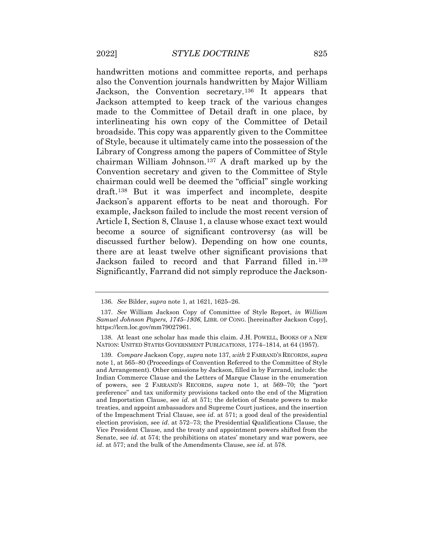Jackson attempted to keep track of the various changes broadside. This copy was apparently given to the Committee draft.[138](#page-47-0) But it was imperfect and incomplete, despite Article I, Section 8, Clause 1, a clause whose exact text would handwritten motions and committee reports, and perhaps also the Convention journals handwritten by Major William Jackson, the Convention secretary.[136](#page-46-2) It appears that made to the Committee of Detail draft in one place, by interlineating his own copy of the Committee of Detail of Style, because it ultimately came into the possession of the Library of Congress among the papers of Committee of Style chairman William Johnson.[137](#page-46-3) A draft marked up by the Convention secretary and given to the Committee of Style chairman could well be deemed the "official" single working Jackson's apparent efforts to be neat and thorough. For example, Jackson failed to include the most recent version of become a source of significant controversy (as will be discussed further below). Depending on how one counts, there are at least twelve other significant provisions that Jackson failed to record and that Farrand filled in.[139](#page-47-1) Significantly, Farrand did not simply reproduce the Jackson-

<sup>136.</sup> *See* Bilder, *supra* note 1, at 1621, 1625–26.

<span id="page-45-0"></span><sup>137.</sup> *See* William Jackson Copy of Committee of Style Report, *in William Samuel Johnson Papers, 1745–1936*, LIBR. OF CONG. [hereinafter Jackson Copy], [https://lccn.loc.gov/mm79027961.](https://lccn.loc.gov/mm79027961)

<span id="page-45-1"></span><sup>138.</sup> At least one scholar has made this claim. J.H. POWELL, BOOKS OF A NEW NATION: UNITED STATES GOVERNMENT PUBLICATIONS, 1774–1814, at 64 (1957).

<span id="page-45-3"></span><span id="page-45-2"></span> and Arrangement). Other omissions by Jackson, filled in by Farrand, include: the of powers, see 2 FARRAND'S RECORDS, *supra* note 1, at 569–70; the "port preference" and tax uniformity provisions tacked onto the end of the Migration and Importation Clause, see *id*. at 571; the deletion of Senate powers to make treaties, and appoint ambassadors and Supreme Court justices, and the insertion Vice President Clause, and the treaty and appointment powers shifted from the 139. *Compare* Jackson Copy, *supra* note 137, *with* 2 FARRAND'S RECORDS, *supra*  note 1, at 565–80 (Proceedings of Convention Referred to the Committee of Style Indian Commerce Clause and the Letters of Marque Clause in the enumeration of the Impeachment Trial Clause, see *id*. at 571; a good deal of the presidential election provision, see *id*. at 572–73; the Presidential Qualifications Clause, the Senate, see *id*. at 574; the prohibitions on states' monetary and war powers, see *id*. at 577; and the bulk of the Amendments Clause, see *id*. at 578.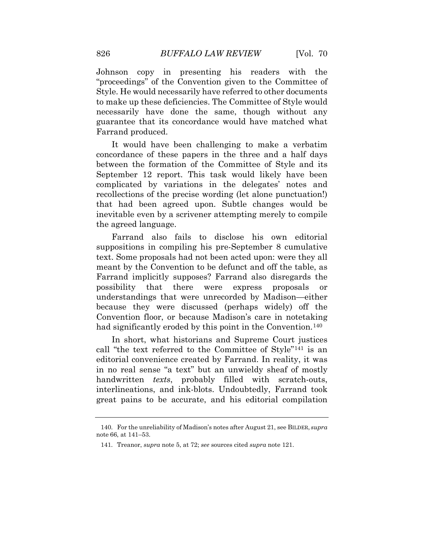Johnson copy in presenting his readers with the "proceedings" of the Convention given to the Committee of Style. He would necessarily have referred to other documents to make up these deficiencies. The Committee of Style would necessarily have done the same, though without any guarantee that its concordance would have matched what Farrand produced.

 September 12 report. This task would likely have been inevitable even by a scrivener attempting merely to compile It would have been challenging to make a verbatim concordance of these papers in the three and a half days between the formation of the Committee of Style and its complicated by variations in the delegates' notes and recollections of the precise wording (let alone punctuation!) that had been agreed upon. Subtle changes would be the agreed language.

Farrand also fails to disclose his own editorial suppositions in compiling his pre-September 8 cumulative text. Some proposals had not been acted upon: were they all meant by the Convention to be defunct and off the table, as Farrand implicitly supposes? Farrand also disregards the possibility that there were express proposals or understandings that were unrecorded by Madison—either because they were discussed (perhaps widely) off the Convention floor, or because Madison's care in notetaking had significantly eroded by this point in the Convention.<sup>140</sup>

 In short, what historians and Supreme Court justices handwritten *texts*, probably filled with scratch-outs, call "the text referred to the Committee of Style"[141](#page-48-1) is an editorial convenience created by Farrand. In reality, it was in no real sense "a text" but an unwieldy sheaf of mostly interlineations, and ink-blots. Undoubtedly, Farrand took great pains to be accurate, and his editorial compilation

<span id="page-46-3"></span><span id="page-46-2"></span><span id="page-46-1"></span><span id="page-46-0"></span><sup>140.</sup> For the unreliability of Madison's notes after August 21, see BILDER, *supra*  note 66, at 141–53.

<sup>141.</sup> Treanor, *supra* note 5, at 72; *see* sources cited *supra* note 121.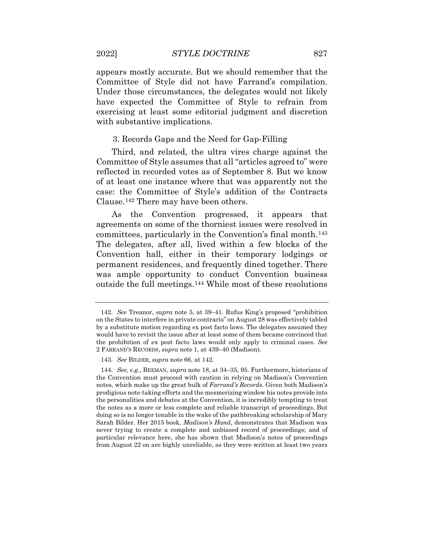appears mostly accurate. But we should remember that the Committee of Style did not have Farrand's compilation. Under those circumstances, the delegates would not likely have expected the Committee of Style to refrain from exercising at least some editorial judgment and discretion with substantive implications.

#### 3. Records Gaps and the Need for Gap-Filling

 Third, and related, the ultra vires charge against the reflected in recorded votes as of September 8. But we know Committee of Style assumes that all "articles agreed to" were of at least one instance where that was apparently not the case: the Committee of Style's addition of the Contracts Clause.[142](#page-49-0) There may have been others.

As the Convention progressed, it appears that agreements on some of the thorniest issues were resolved in committees, particularly in the Convention's final month.[143](#page-49-1) The delegates, after all, lived within a few blocks of the Convention hall, either in their temporary lodgings or permanent residences, and frequently dined together. There was ample opportunity to conduct Convention business outside the full meetings.[144](#page-49-2) While most of these resolutions

<span id="page-47-0"></span> by a substitute motion regarding ex post facto laws. The delegates assumed they would have to revisit the issue after at least some of them became convinced that 2 FARRAND'S RECORDS, *supra* note 1, at 439–40 (Madison). 142. *See* Treanor, *supra* note 5, at 39–41. Rufus King's proposed "prohibition on the States to interfere in private contracts" on August 28 was effectively tabled the prohibition of ex post facto laws would only apply to criminal cases. *See* 

<sup>143.</sup> *See* BILDER, *supra* note 66, at 142.

<span id="page-47-1"></span> 144. *See, e.g.*, BEEMAN, *supra* note 18, at 34–35, 95. Furthermore, historians of the Convention must proceed with caution in relying on Madison's Convention prodigious note-taking efforts and the mesmerizing window his notes provide into the notes as a more or less complete and reliable transcript of proceedings. But notes, which make up the great bulk of *Farrand's Records*. Given both Madison's the personalities and debates at the Convention, it is incredibly tempting to treat doing so is no longer tenable in the wake of the pathbreaking scholarship of Mary Sarah Bilder. Her 2015 book, *Madison's Hand*, demonstrates that Madison was never trying to create a complete and unbiased record of proceedings; and of particular relevance here, she has shown that Madison's notes of proceedings from August 22 on are highly unreliable, as they were written at least two years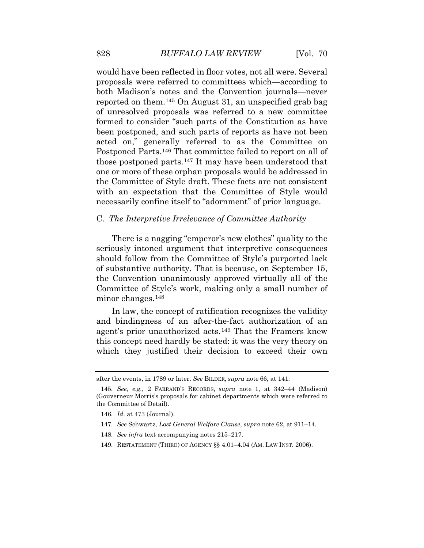would have been reflected in floor votes, not all were. Several proposals were referred to committees which—according to both Madison's notes and the Convention journals—never reported on them.[145](#page-49-3) On August 31, an unspecified grab bag of unresolved proposals was referred to a new committee formed to consider "such parts of the Constitution as have been postponed, and such parts of reports as have not been acted on," generally referred to as the Committee on Postponed Parts.[146](#page-50-0) That committee failed to report on all of those postponed parts.[147](#page-50-1) It may have been understood that one or more of these orphan proposals would be addressed in the Committee of Style draft. These facts are not consistent with an expectation that the Committee of Style would necessarily confine itself to "adornment" of prior language.

# C. *The Interpretive Irrelevance of Committee Authority*

There is a nagging "emperor's new clothes" quality to the seriously intoned argument that interpretive consequences should follow from the Committee of Style's purported lack of substantive authority. That is because, on September 15, the Convention unanimously approved virtually all of the Committee of Style's work, making only a small number of minor changes.[148](#page-50-2)

 agent's prior unauthorized acts.[149](#page-50-3) That the Framers knew In law, the concept of ratification recognizes the validity and bindingness of an after-the-fact authorization of an this concept need hardly be stated: it was the very theory on which they justified their decision to exceed their own

after the events, in 1789 or later. *See* BILDER, *supra* note 66, at 141.

<sup>145.</sup> *See, e.g.*, 2 FARRAND'S RECORDS, *supra* note 1, at 342–44 (Madison) (Gouverneur Morris's proposals for cabinet departments which were referred to the Committee of Detail).

<span id="page-48-0"></span><sup>146.</sup> *Id.* at 473 (Journal).

<span id="page-48-1"></span><sup>147.</sup> *See* Schwartz, *Lost General Welfare Clause*, *supra* note 62, at 911–14.

 148. *See infra* text accompanying notes 215–217.

<sup>149.</sup> RESTATEMENT (THIRD) OF AGENCY §§ [4.01–4.04](https://4.01�4.04) (AM. LAW INST. 2006).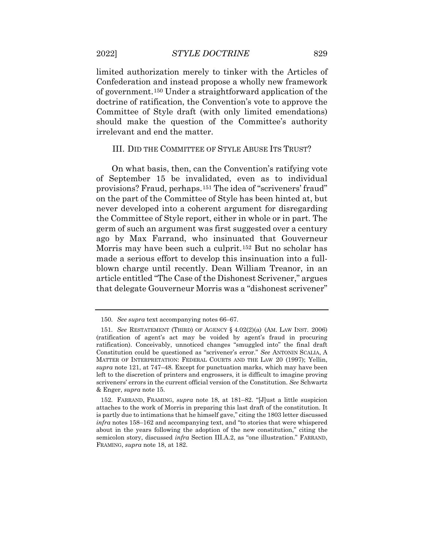limited authorization merely to tinker with the Articles of Confederation and instead propose a wholly new framework of government.[150](#page-50-4) Under a straightforward application of the doctrine of ratification, the Convention's vote to approve the Committee of Style draft (with only limited emendations) should make the question of the Committee's authority irrelevant and end the matter.

#### III. DID THE COMMITTEE OF STYLE ABUSE ITS TRUST?

On what basis, then, can the Convention's ratifying vote of September 15 be invalidated, even as to individual provisions? Fraud, perhaps.[151](#page-51-0) The idea of "scriveners' fraud" on the part of the Committee of Style has been hinted at, but never developed into a coherent argument for disregarding the Committee of Style report, either in whole or in part. The germ of such an argument was first suggested over a century ago by Max Farrand, who insinuated that Gouverneur Morris may have been such a culprit.[152](#page-51-1) But no scholar has made a serious effort to develop this insinuation into a fullblown charge until recently. Dean William Treanor, in an article entitled "The Case of the Dishonest Scrivener," argues that delegate Gouverneur Morris was a "dishonest scrivener"

<span id="page-49-0"></span><sup>150.</sup> *See supra* text accompanying notes 66–67.

<span id="page-49-2"></span><span id="page-49-1"></span> (ratification of agent's act may be voided by agent's fraud in procuring ratification). Conceivably, unnoticed changes "smuggled into" the final draft Constitution could be questioned as "scrivener's error." *See* ANTONIN SCALIA, A scriveners' errors in the current official version of the Constitution. *See* Schwartz 151. *See* RESTATEMENT (THIRD) OF AGENCY § 4.02(2)(a) (AM. LAW INST. 2006) MATTER OF INTERPRETATION: FEDERAL COURTS AND THE LAW 20 (1997); Yellin, *supra* note 121, at 747–48*.* Except for punctuation marks, which may have been left to the discretion of printers and engrossers, it is difficult to imagine proving & Enger, *supra* note 15.

<span id="page-49-3"></span> attaches to the work of Morris in preparing this last draft of the constitution. It is partly due to intimations that he himself gave," citing the 1803 letter discussed *infra* notes 158–162 and accompanying text, and "to stories that were whispered about in the years following the adoption of the new constitution," citing the 152. FARRAND, FRAMING, *supra* note 18, at 181–82. "[J]ust a little suspicion semicolon story, discussed *infra* Section III.A.2, as "one illustration." FARRAND, FRAMING, *supra* note 18, at 182.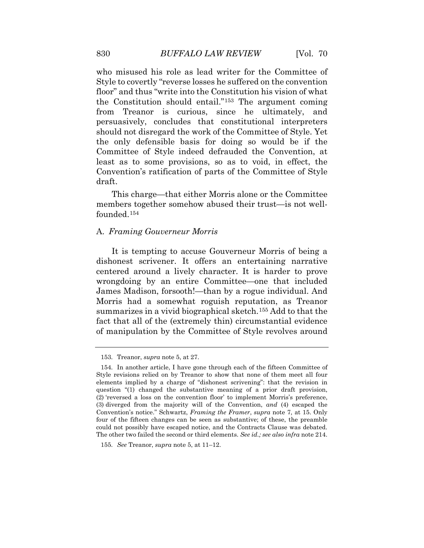from Treanor is curious, since he ultimately, and least as to some provisions, so as to void, in effect, the who misused his role as lead writer for the Committee of Style to covertly "reverse losses he suffered on the convention floor" and thus "write into the Constitution his vision of what the Constitution should entail."[153](#page-51-2) The argument coming persuasively, concludes that constitutional interpreters should not disregard the work of the Committee of Style. Yet the only defensible basis for doing so would be if the Committee of Style indeed defrauded the Convention, at Convention's ratification of parts of the Committee of Style draft.

This charge—that either Morris alone or the Committee members together somehow abused their trust—is not wellfounded.[154](#page-52-0) 

# A. *Framing Gouverneur Morris*

 It is tempting to accuse Gouverneur Morris of being a dishonest scrivener. It offers an entertaining narrative centered around a lively character. It is harder to prove wrongdoing by an entire Committee—one that included James Madison, forsooth!—than by a rogue individual. And Morris had a somewhat roguish reputation, as Treanor summarizes in a vivid biographical sketch.[155](#page-52-1) Add to that the fact that all of the (extremely thin) circumstantial evidence of manipulation by the Committee of Style revolves around

<sup>153.</sup> Treanor, *supra* note 5, at 27.

<span id="page-50-1"></span><span id="page-50-0"></span> Style revisions relied on by Treanor to show that none of them meet all four question "(1) changed the substantive meaning of a prior draft provision, (3) diverged from the majority will of the Convention, *and* (4) escaped the Convention's notice." Schwartz, *Framing the Framer*, *supra* note 7, at 15. Only four of the fifteen changes can be seen as substantive; of these, the preamble  The other two failed the second or third elements. *See id.; see also infra* note 214. 154. In another article, I have gone through each of the fifteen Committee of elements implied by a charge of "dishonest scrivening": that the revision in (2) 'reversed a loss on the convention floor' to implement Morris's preference, could not possibly have escaped notice, and the Contracts Clause was debated.

<span id="page-50-4"></span><span id="page-50-3"></span><span id="page-50-2"></span><sup>155.</sup> *See* Treanor, *supra* note 5, at 11–12.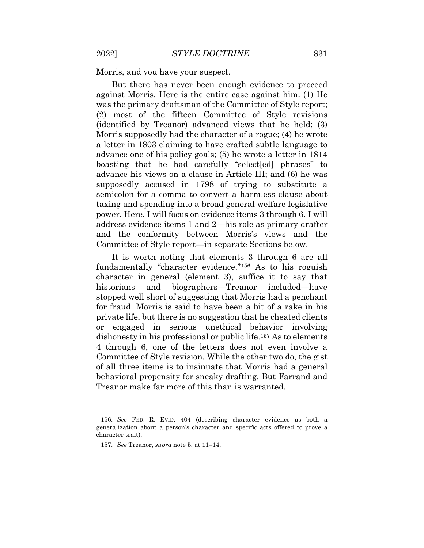Morris, and you have your suspect.

 advance one of his policy goals; (5) he wrote a letter in 1814 advance his views on a clause in Article III; and (6) he was But there has never been enough evidence to proceed against Morris. Here is the entire case against him. (1) He was the primary draftsman of the Committee of Style report; (2) most of the fifteen Committee of Style revisions (identified by Treanor) advanced views that he held; (3) Morris supposedly had the character of a rogue; (4) he wrote a letter in 1803 claiming to have crafted subtle language to boasting that he had carefully "select[ed] phrases" to supposedly accused in 1798 of trying to substitute a semicolon for a comma to convert a harmless clause about taxing and spending into a broad general welfare legislative power. Here, I will focus on evidence items 3 through 6. I will address evidence items 1 and 2—his role as primary drafter and the conformity between Morris's views and the Committee of Style report—in separate Sections below.

<span id="page-51-0"></span> Committee of Style revision. While the other two do, the gist It is worth noting that elements 3 through 6 are all fundamentally "character evidence."[156](#page-53-0) As to his roguish character in general (element 3), suffice it to say that historians and biographers—Treanor included—have stopped well short of suggesting that Morris had a penchant for fraud. Morris is said to have been a bit of a rake in his private life, but there is no suggestion that he cheated clients or engaged in serious unethical behavior involving dishonesty in his professional or public life.[157](#page-53-1) As to elements 4 through 6, one of the letters does not even involve a of all three items is to insinuate that Morris had a general behavioral propensity for sneaky drafting. But Farrand and Treanor make far more of this than is warranted.

<span id="page-51-2"></span><span id="page-51-1"></span> 156. *See* FED. R. EVID. 404 (describing character evidence as both a generalization about a person's character and specific acts offered to prove a character trait).

<sup>157.</sup> *See* Treanor, *supra* note 5, at 11–14.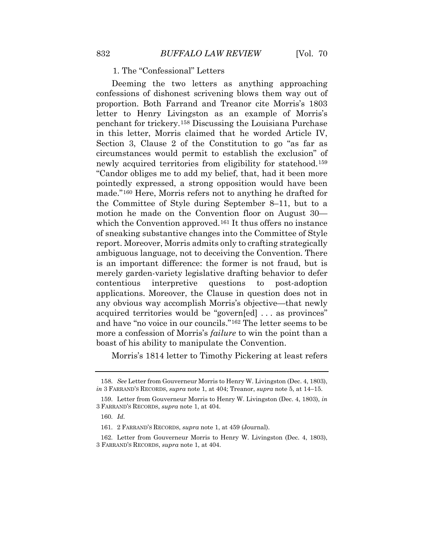1. The "Confessional" Letters

 in this letter, Morris claimed that he worded Article IV, "Candor obliges me to add my belief, that, had it been more made."[160](#page-54-2) Here, Morris refers not to anything he drafted for acquired territories would be "govern[ed] . . . as provinces" more a confession of Morris's *failure* to win the point than a Deeming the two letters as anything approaching confessions of dishonest scrivening blows them way out of proportion. Both Farrand and Treanor cite Morris's 1803 letter to Henry Livingston as an example of Morris's penchant for trickery.[158](#page-54-0) Discussing the Louisiana Purchase Section 3, Clause 2 of the Constitution to go "as far as circumstances would permit to establish the exclusion" of newly acquired territories from eligibility for statehood.[159](#page-54-1) pointedly expressed, a strong opposition would have been the Committee of Style during September 8–11, but to a motion he made on the Convention floor on August 30 which the Convention approved.<sup>161</sup> It thus offers no instance of sneaking substantive changes into the Committee of Style report. Moreover, Morris admits only to crafting strategically ambiguous language, not to deceiving the Convention. There is an important difference: the former is not fraud, but is merely garden-variety legislative drafting behavior to defer contentious interpretive questions to post-adoption applications. Moreover, the Clause in question does not in any obvious way accomplish Morris's objective—that newly and have "no voice in our councils."[162](#page-54-4) The letter seems to be boast of his ability to manipulate the Convention.

Morris's 1814 letter to Timothy Pickering at least refers

<span id="page-52-0"></span><sup>158.</sup> *See* Letter from Gouverneur Morris to Henry W. Livingston (Dec. 4, 1803), *in* 3 FARRAND'S RECORDS, *supra* note 1, at 404; Treanor, *supra* note 5, at 14–15.

<sup>159.</sup> Letter from Gouverneur Morris to Henry W. Livingston (Dec. 4, 1803), *in*  3 FARRAND'S RECORDS, *supra* note 1, at 404.

 160. *Id.* 

<sup>161. 2</sup> FARRAND'S RECORDS, *supra* note 1, at 459 (Journal).

<span id="page-52-1"></span> 3 FARRAND'S RECORDS, *supra* note 1, at 404. 162. Letter from Gouverneur Morris to Henry W. Livingston (Dec. 4, 1803),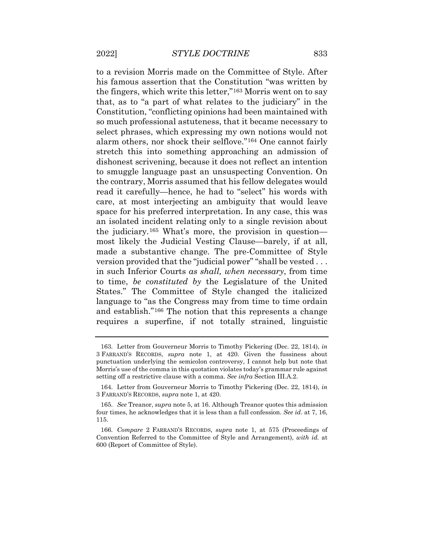his famous assertion that the Constitution "was written by select phrases, which expressing my own notions would not to smuggle language past an unsuspecting Convention. On most likely the Judicial Vesting Clause—barely, if at all, version provided that the "judicial power" "shall be vested . . . to a revision Morris made on the Committee of Style. After the fingers, which write this letter,"[163](#page-54-5) Morris went on to say that, as to "a part of what relates to the judiciary" in the Constitution, "conflicting opinions had been maintained with so much professional astuteness, that it became necessary to alarm others, nor shock their selflove."[164](#page-55-0) One cannot fairly stretch this into something approaching an admission of dishonest scrivening, because it does not reflect an intention the contrary, Morris assumed that his fellow delegates would read it carefully—hence, he had to "select" his words with care, at most interjecting an ambiguity that would leave space for his preferred interpretation. In any case, this was an isolated incident relating only to a single revision about the judiciary.[165](#page-55-1) What's more, the provision in question made a substantive change. The pre-Committee of Style in such Inferior Courts *as shall, when necessary*, from time to time, *be constituted by* the Legislature of the United States." The Committee of Style changed the italicized language to "as the Congress may from time to time ordain and establish."[166](#page-55-2) The notion that this represents a change requires a superfine, if not totally strained, linguistic

 163. Letter from Gouverneur Morris to Timothy Pickering (Dec. 22, 1814), *in*  3 FARRAND'S RECORDS, *supra* note 1, at 420. Given the fussiness about punctuation underlying the semicolon controversy, I cannot help but note that Morris's use of the comma in this quotation violates today's grammar rule against setting off a restrictive clause with a comma. *See infra* Section III.A.2.

<sup>164.</sup> Letter from Gouverneur Morris to Timothy Pickering (Dec. 22, 1814), *in*  3 FARRAND'S RECORDS, *supra* note 1, at 420.

<span id="page-53-0"></span> four times, he acknowledges that it is less than a full confession. *See id*. at 7, 16, 165. *See* Treanor, *supra* note 5, at 16. Although Treanor quotes this admission 115.

<span id="page-53-1"></span> Convention Referred to the Committee of Style and Arrangement), *with id.* at 166. *Compare* 2 FARRAND'S RECORDS, *supra* note 1, at 575 (Proceedings of 600 (Report of Committee of Style).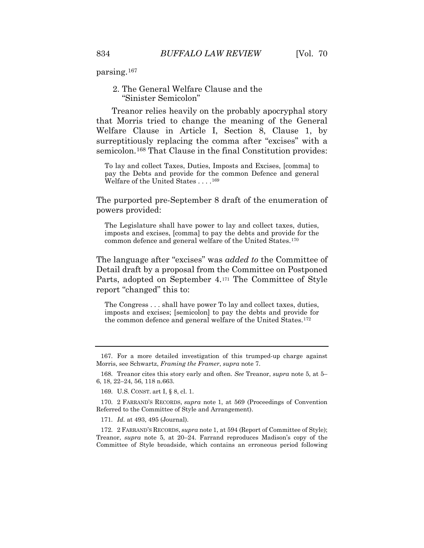parsing.[167](#page-55-3)

## 2. The General Welfare Clause and the "Sinister Semicolon"

Treanor relies heavily on the probably apocryphal story that Morris tried to change the meaning of the General Welfare Clause in Article I, Section 8, Clause 1, by surreptitiously replacing the comma after "excises" with a semicolon.<sup>168</sup> That Clause in the final Constitution provides:

 To lay and collect Taxes, Duties, Imposts and Excises, [comma] to pay the Debts and provide for the common Defence and general Welfare of the United States . . . .[16](#page-56-1)9

The purported pre-September 8 draft of the enumeration of powers provided:

 imposts and excises, [comma] to pay the debts and provide for the common defence and general welfare of the United States.[1](#page-56-2)70 The Legislature shall have power to lay and collect taxes, duties,

 The language after "excises" was *added to* the Committee of Detail draft by a proposal from the Committee on Postponed Parts, adopted on September 4.[1](#page-56-3)71 The Committee of Style report "changed" this to:

 The Congress . . . shall have power To lay and collect taxes, duties, the common defence and general welfare of the United States.<sup>[17](#page-56-4)2</sup> imposts and excises; [semicolon] to pay the debts and provide for

171. *Id.* at 493, 495 (Journal).

<span id="page-54-5"></span><span id="page-54-4"></span> Treanor, *supra* note 5, at 20–24. Farrand reproduces Madison's copy of the 172. 2 FARRAND'S RECORDS, *supra* note 1, at 594 (Report of Committee of Style); Committee of Style broadside, which contains an erroneous period following

 Morris, see Schwartz, *Framing the Framer*, *supra* note 7. 167. For a more detailed investigation of this trumped-up charge against

<span id="page-54-1"></span><span id="page-54-0"></span><sup>168.</sup> Treanor cites this story early and often. *See* Treanor, *supra* note 5, at 5– 6, 18, 22–24, 56, 118 n.663.

<sup>169.</sup> U.S. CONST. art I, § 8, cl. 1.

<span id="page-54-3"></span><span id="page-54-2"></span><sup>170. 2</sup> FARRAND'S RECORDS, *supra* note 1, at 569 (Proceedings of Convention Referred to the Committee of Style and Arrangement).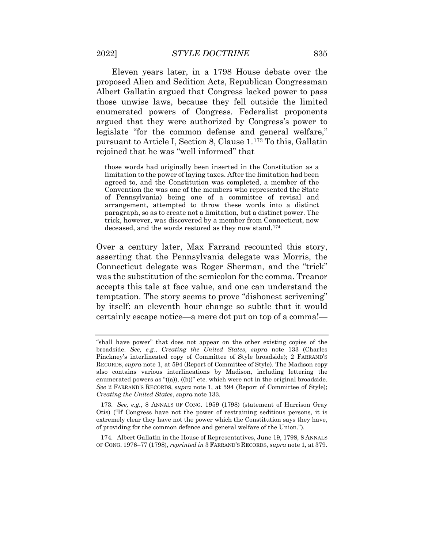Eleven years later, in a 1798 House debate over the proposed Alien and Sedition Acts, Republican Congressman argued that they were authorized by Congress's power to pursuant to Article I, Section 8, Clause 1.[173](#page-57-0) To this, Gallatin Albert Gallatin argued that Congress lacked power to pass those unwise laws, because they fell outside the limited enumerated powers of Congress. Federalist proponents legislate "for the common defense and general welfare," rejoined that he was "well informed" that

 limitation to the power of laying taxes. After the limitation had been Convention (he was one of the members who represented the State of Pennsylvania) being one of a committee of revisal and paragraph, so as to create not a limitation, but a distinct power. The trick, however, was discovered by a member from Connecticut, now deceased, and the words restored as they now stand.[17](#page-57-1)4 those words had originally been inserted in the Constitution as a agreed to, and the Constitution was completed, a member of the arrangement, attempted to throw these words into a distinct

 asserting that the Pennsylvania delegate was Morris, the was the substitution of the semicolon for the comma. Treanor accepts this tale at face value, and one can understand the temptation. The story seems to prove "dishonest scrivening" certainly escape notice—a mere dot put on top of a comma!— Over a century later, Max Farrand recounted this story, Connecticut delegate was Roger Sherman, and the "trick" by itself: an eleventh hour change so subtle that it would

<span id="page-55-3"></span>174. Albert Gallatin in the House of Representatives, June 19, 1798, 8 ANNALS OF CONG. 1976–77 (1798), *reprinted in* 3 FARRAND'S RECORDS, *supra* note 1, at 379.

<span id="page-55-0"></span> broadside. *See, e.g.*, *Creating the United States*, *supra* note 133 (Charles *See* 2 FARRAND'S RECORDS, *supra* note 1, at 594 (Report of Committee of Style); *Creating the United States*, *supra* note 133. "shall have power" that does not appear on the other existing copies of the Pinckney's interlineated copy of Committee of Style broadside); 2 FARRAND'S RECORDS, *supra* note 1, at 594 (Report of Committee of Style). The Madison copy also contains various interlineations by Madison, including lettering the enumerated powers as " $((a))$ ,  $((b))$ " etc. which were not in the original broadside.

<span id="page-55-2"></span><span id="page-55-1"></span> 173. *See, e.g.*, 8 ANNALS OF CONG. 1959 (1798) (statement of Harrison Gray Otis) ("If Congress have not the power of restraining seditious persons, it is extremely clear they have not the power which the Constitution says they have, of providing for the common defence and general welfare of the Union.").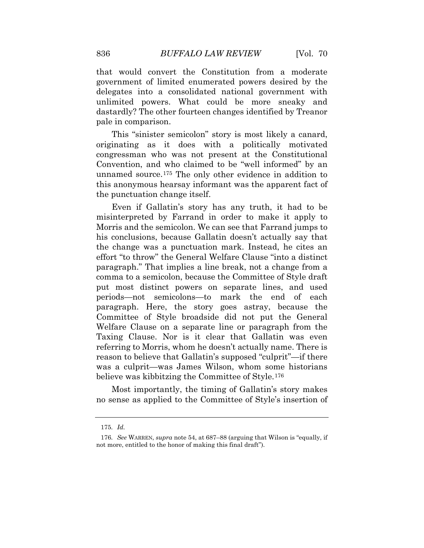dastardly? The other fourteen changes identified by Treanor that would convert the Constitution from a moderate government of limited enumerated powers desired by the delegates into a consolidated national government with unlimited powers. What could be more sneaky and pale in comparison.

This "sinister semicolon" story is most likely a canard, originating as it does with a politically motivated congressman who was not present at the Constitutional Convention, and who claimed to be "well informed" by an unnamed source.[175](#page-58-0) The only other evidence in addition to this anonymous hearsay informant was the apparent fact of the punctuation change itself.

 Even if Gallatin's story has any truth, it had to be misinterpreted by Farrand in order to make it apply to Morris and the semicolon. We can see that Farrand jumps to his conclusions, because Gallatin doesn't actually say that the change was a punctuation mark. Instead, he cites an effort "to throw" the General Welfare Clause "into a distinct paragraph." That implies a line break, not a change from a comma to a semicolon, because the Committee of Style draft put most distinct powers on separate lines, and used periods—not semicolons—to mark the end of each paragraph. Here, the story goes astray, because the Committee of Style broadside did not put the General Welfare Clause on a separate line or paragraph from the Taxing Clause. Nor is it clear that Gallatin was even referring to Morris, whom he doesn't actually name. There is reason to believe that Gallatin's supposed "culprit"—if there was a culprit—was James Wilson, whom some historians believe was kibbitzing the Committee of Style.[176](#page-58-1) 

<span id="page-56-4"></span><span id="page-56-3"></span><span id="page-56-2"></span><span id="page-56-1"></span><span id="page-56-0"></span>Most importantly, the timing of Gallatin's story makes no sense as applied to the Committee of Style's insertion of

 175. *Id.* 

 176. *See* WARREN, *supra* note 54, at 687–88 (arguing that Wilson is "equally, if not more, entitled to the honor of making this final draft").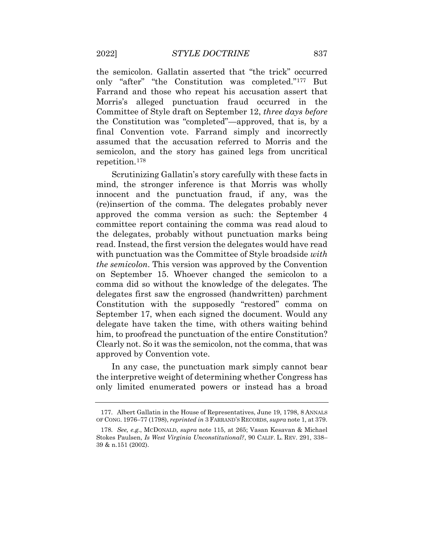assumed that the accusation referred to Morris and the semicolon, and the story has gained legs from uncritical the semicolon. Gallatin asserted that "the trick" occurred only "after" "the Constitution was completed."[177](#page-59-0) But Farrand and those who repeat his accusation assert that Morris's alleged punctuation fraud occurred in the Committee of Style draft on September 12, *three days before*  the Constitution was "completed"—approved, that is, by a final Convention vote. Farrand simply and incorrectly repetition.[178](#page-59-1) 

 him, to proofread the punctuation of the entire Constitution? Scrutinizing Gallatin's story carefully with these facts in mind, the stronger inference is that Morris was wholly innocent and the punctuation fraud, if any, was the (re)insertion of the comma. The delegates probably never approved the comma version as such: the September 4 committee report containing the comma was read aloud to the delegates, probably without punctuation marks being read. Instead, the first version the delegates would have read with punctuation was the Committee of Style broadside *with the semicolon*. This version was approved by the Convention on September 15. Whoever changed the semicolon to a comma did so without the knowledge of the delegates. The delegates first saw the engrossed (handwritten) parchment Constitution with the supposedly "restored" comma on September 17, when each signed the document. Would any delegate have taken the time, with others waiting behind Clearly not. So it was the semicolon, not the comma, that was approved by Convention vote.

 only limited enumerated powers or instead has a broad In any case, the punctuation mark simply cannot bear the interpretive weight of determining whether Congress has

<span id="page-57-0"></span><sup>177.</sup> Albert Gallatin in the House of Representatives, June 19, 1798, 8 ANNALS OF CONG. 1976–77 (1798), *reprinted in* 3 FARRAND'S RECORDS, *supra* note 1, at 379.

<span id="page-57-1"></span> 178. *See, e.g.*, MCDONALD, *supra* note 115, at 265; Vasan Kesavan & Michael Stokes Paulsen, *Is West Virginia Unconstitutional?*, 90 CALIF. L. REV. 291, 338– 39 & n.151 (2002).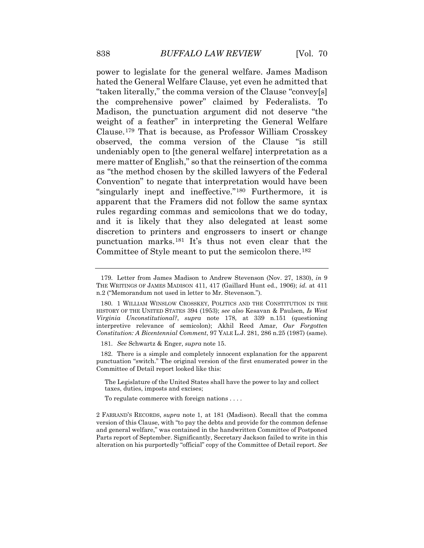power to legislate for the general welfare. James Madison apparent that the Framers did not follow the same syntax hated the General Welfare Clause, yet even he admitted that "taken literally," the comma version of the Clause "convey[s] the comprehensive power" claimed by Federalists. To Madison, the punctuation argument did not deserve "the weight of a feather" in interpreting the General Welfare Clause.[179](#page-60-0) That is because, as Professor William Crosskey observed, the comma version of the Clause "is still undeniably open to [the general welfare] interpretation as a mere matter of English," so that the reinsertion of the comma as "the method chosen by the skilled lawyers of the Federal Convention" to negate that interpretation would have been "singularly inept and ineffective."[180](#page-60-1) Furthermore, it is rules regarding commas and semicolons that we do today, and it is likely that they also delegated at least some discretion to printers and engrossers to insert or change punctuation marks.[181](#page-60-2) It's thus not even clear that the Committee of Style meant to put the semicolon there.[182](#page-60-3)

181. *See* Schwartz & Enger, *supra* note 15.

 punctuation "switch." The original version of the first enumerated power in the 182. There is a simple and completely innocent explanation for the apparent Committee of Detail report looked like this:

 The Legislature of the United States shall have the power to lay and collect taxes, duties, imposts and excises;

To regulate commerce with foreign nations . . . .

<span id="page-58-1"></span><span id="page-58-0"></span>2 FARRAND'S RECORDS, *supra* note 1, at 181 (Madison). Recall that the comma version of this Clause, with "to pay the debts and provide for the common defense and general welfare," was contained in the handwritten Committee of Postponed Parts report of September. Significantly, Secretary Jackson failed to write in this alteration on his purportedly "official" copy of the Committee of Detail report. *See* 

<sup>179.</sup> Letter from James Madison to Andrew Stevenson (Nov. 27, 1830), *in* 9 THE WRITINGS OF JAMES MADISON 411, 417 (Gaillard Hunt ed., 1906); *id.* at 411 n.2 ("Memorandum not used in letter to Mr. Stevenson.").

 HISTORY OF THE UNITED STATES 394 (1953); *see also* Kesavan & Paulsen, *Is West Virginia Unconstitutional?*, *supra* note 178*,* at 339 n.151 (questioning 180. 1 WILLIAM WINSLOW CROSSKEY, POLITICS AND THE CONSTITUTION IN THE interpretive relevance of semicolon); Akhil Reed Amar, *Our Forgotten Constitution: A Bicentennial Comment*, 97 YALE L.J. 281, 286 n.25 (1987) (same).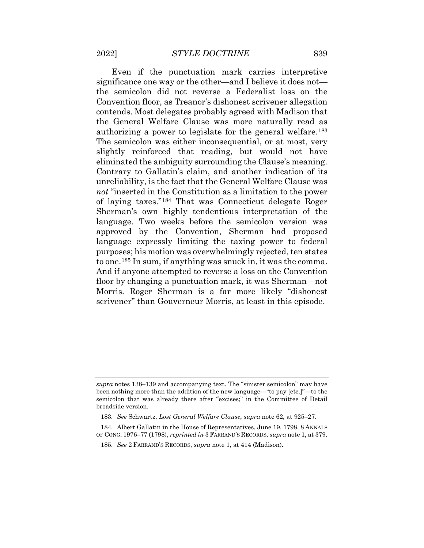Convention floor, as Treanor's dishonest scrivener allegation contends. Most delegates probably agreed with Madison that eliminated the ambiguity surrounding the Clause's meaning. Even if the punctuation mark carries interpretive significance one way or the other—and I believe it does not the semicolon did not reverse a Federalist loss on the the General Welfare Clause was more naturally read as authorizing a power to legislate for the general welfare.[183](#page-61-0) The semicolon was either inconsequential, or at most, very slightly reinforced that reading, but would not have Contrary to Gallatin's claim, and another indication of its unreliability, is the fact that the General Welfare Clause was *not* "inserted in the Constitution as a limitation to the power of laying taxes."[184](#page-61-1) That was Connecticut delegate Roger Sherman's own highly tendentious interpretation of the language. Two weeks before the semicolon version was approved by the Convention, Sherman had proposed language expressly limiting the taxing power to federal purposes; his motion was overwhelmingly rejected, ten states to one.[185](#page-61-2) In sum, if anything was snuck in, it was the comma. And if anyone attempted to reverse a loss on the Convention floor by changing a punctuation mark, it was Sherman—not Morris. Roger Sherman is a far more likely "dishonest scrivener" than Gouverneur Morris, at least in this episode.

<span id="page-59-0"></span> *supra* notes 138–139 and accompanying text. The "sinister semicolon" may have semicolon that was already there after "excises;" in the Committee of Detail been nothing more than the addition of the new language—"to pay [etc.]"—to the broadside version.

<sup>183.</sup> *See* Schwartz, *Lost General Welfare Clause*, *supra* note 62, at 925–27.

<span id="page-59-1"></span><sup>184.</sup> Albert Gallatin in the House of Representatives, June 19, 1798, 8 ANNALS OF CONG. 1976–77 (1798), *reprinted in* 3 FARRAND'S RECORDS, *supra* note 1, at 379.

 185. *See* 2 FARRAND'S RECORDS, *supra* note 1, at 414 (Madison).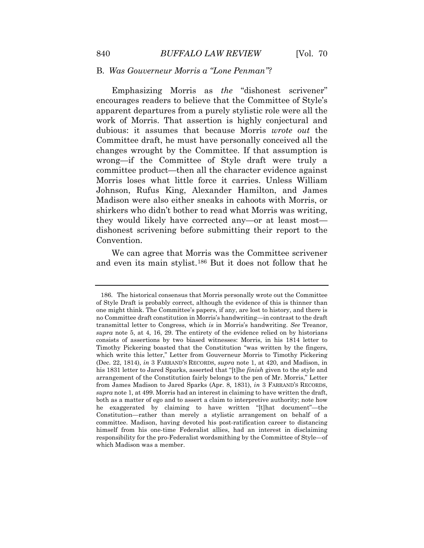# B. *Was Gouverneur Morris a "Lone Penman"?*

 shirkers who didn't bother to read what Morris was writing, Emphasizing Morris as *the* "dishonest scrivener" encourages readers to believe that the Committee of Style's apparent departures from a purely stylistic role were all the work of Morris. That assertion is highly conjectural and dubious: it assumes that because Morris *wrote out* the Committee draft, he must have personally conceived all the changes wrought by the Committee. If that assumption is wrong—if the Committee of Style draft were truly a committee product—then all the character evidence against Morris loses what little force it carries. Unless William Johnson, Rufus King, Alexander Hamilton, and James Madison were also either sneaks in cahoots with Morris, or they would likely have corrected any—or at least most dishonest scrivening before submitting their report to the Convention.

 We can agree that Morris was the Committee scrivener and even its main stylist.[186](#page-62-0) But it does not follow that he

<span id="page-60-3"></span><span id="page-60-2"></span><span id="page-60-1"></span><span id="page-60-0"></span> transmittal letter to Congress, which *is* in Morris's handwriting. *See* Treanor, Timothy Pickering boasted that the Constitution "was written by the fingers, (Dec. 22, 1814), *in* 3 FARRAND'S RECORDS, *supra* note 1, at 420, and Madison, in his 1831 letter to Jared Sparks, asserted that "[t]he *finish* given to the style and arrangement of the Constitution fairly belongs to the pen of Mr. Morris," Letter *supra* note 1, at 499. Morris had an interest in claiming to have written the draft, both as a matter of ego and to assert a claim to interpretive authority; note how Constitution—rather than merely a stylistic arrangement on behalf of a committee. Madison, having devoted his post-ratification career to distancing 186. The historical consensus that Morris personally wrote out the Committee of Style Draft is probably correct, although the evidence of this is thinner than one might think. The Committee's papers, if any, are lost to history, and there is no Committee draft constitution in Morris's handwriting—in contrast to the draft *supra* note 5, at 4, 16, 29. The entirety of the evidence relied on by historians consists of assertions by two biased witnesses: Morris, in his 1814 letter to which write this letter," Letter from Gouverneur Morris to Timothy Pickering from James Madison to Jared Sparks (Apr. 8, 1831), *in* 3 FARRAND'S RECORDS, he exaggerated by claiming to have written "[t]hat document"—the himself from his one-time Federalist allies, had an interest in disclaiming responsibility for the pro-Federalist wordsmithing by the Committee of Style—of which Madison was a member.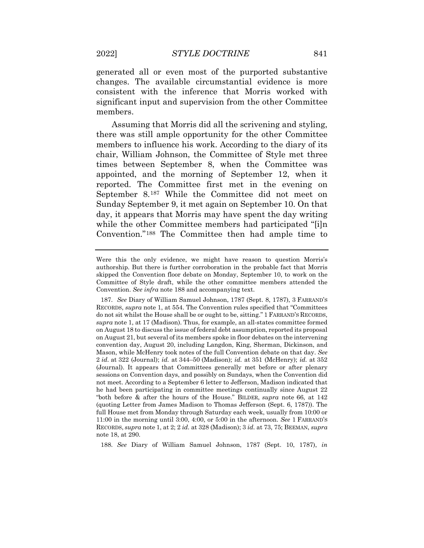generated all or even most of the purported substantive changes. The available circumstantial evidence is more consistent with the inference that Morris worked with significant input and supervision from the other Committee members.

 members to influence his work. According to the diary of its Sunday September 9, it met again on September 10. On that Assuming that Morris did all the scrivening and styling, there was still ample opportunity for the other Committee chair, William Johnson, the Committee of Style met three times between September 8, when the Committee was appointed, and the morning of September 12, when it reported. The Committee first met in the evening on September 8.[187](#page-63-0) While the Committee did not meet on day, it appears that Morris may have spent the day writing while the other Committee members had participated "[i]n Convention."[188](#page-64-0) The Committee then had ample time to

<span id="page-61-2"></span><span id="page-61-1"></span><span id="page-61-0"></span>188. *See* Diary of William Samuel Johnson, 1787 (Sept. 10, 1787), *in* 

 Were this the only evidence, we might have reason to question Morris's authorship. But there is further corroboration in the probable fact that Morris Committee of Style draft, while the other committee members attended the skipped the Convention floor debate on Monday, September 10, to work on the Convention. *See infra* note 188 and accompanying text.

 RECORDS, *supra* note 1, at 554. The Convention rules specified that "Committees do not sit whilst the House shall be or ought to be, sitting." 1 FARRAND'S RECORDS, *supra* note 1, at 17 (Madison). Thus, for example, an all-states committee formed on August 18 to discuss the issue of federal debt assumption, reported its proposal on August 21, but several of its members spoke in floor debates on the intervening 2 *id.* at 322 (Journal); *id.* at 344–50 (Madison); *id.* at 351 (McHenry); *id.* at 352 he had been participating in committee meetings continually since August 22 "both before & after the hours of the House." BILDER, *supra* note 66, at 142 11:00 in the morning until 3:00, 4:00, or 5:00 in the afternoon. *See* 1 FARRAND'S RECORDS, *supra* note 1, at 2; 2 *id.* at 328 (Madison); 3 *id.* at 73, 75; BEEMAN, *supra*  187. *See* Diary of William Samuel Johnson, 1787 (Sept. 8, 1787), 3 FARRAND'S convention day, August 20, including Langdon, King, Sherman, Dickinson, and Mason, while McHenry took notes of the full Convention debate on that day. *See*  (Journal). It appears that Committees generally met before or after plenary sessions on Convention days, and possibly on Sundays, when the Convention did not meet. According to a September 6 letter to Jefferson, Madison indicated that (quoting Letter from James Madison to Thomas Jefferson (Sept. 6, 1787)). The full House met from Monday through Saturday each week, usually from 10:00 or note 18, at 290.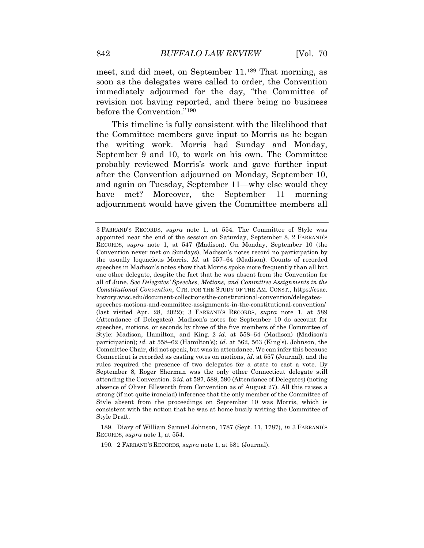meet, and did meet, on September 11.[189](#page-64-1) That morning, as revision not having reported, and there being no business soon as the delegates were called to order, the Convention immediately adjourned for the day, "the Committee of before the Convention."[190](#page-64-2)

 after the Convention adjourned on Monday, September 10, This timeline is fully consistent with the likelihood that the Committee members gave input to Morris as he began the writing work. Morris had Sunday and Monday, September 9 and 10, to work on his own. The Committee probably reviewed Morris's work and gave further input and again on Tuesday, September 11—why else would they have met? Moreover, the September 11 morning adjournment would have given the Committee members all

190. 2 FARRAND'S RECORDS, *supra* note 1, at 581 (Journal).

<span id="page-62-0"></span> all of June. *See Delegates' Speeches, Motions, and Committee Assignments in the*  (last visited Apr. 28, 2022); 3 FARRAND'S RECORDS, *supra* note 1, at 589 (Attendance of Delegates). Madison's notes for September 10 do account for speeches, motions, or seconds by three of the five members of the Committee of Style: Madison, Hamilton, and King. 2 *id.* at 558–64 (Madison) (Madison's  participation); *id.* at 558–62 (Hamilton's); *id.* at 562, 563 (King's). Johnson, the Committee Chair, did not speak, but was in attendance. We can infer this because Connecticut is recorded as casting votes on motions, *id.* at 557 (Journal), and the rules required the presence of two delegates for a state to cast a vote. By attending the Convention. 3 *id.* at 587, 588, 590 (Attendance of Delegates) (noting absence of Oliver Ellsworth from Convention as of August 27). All this raises a strong (if not quite ironclad) inference that the only member of the Committee of 3 FARRAND'S RECORDS, *supra* note 1, at 554. The Committee of Style was appointed near the end of the session on Saturday, September 8. 2 FARRAND'S RECORDS, *supra* note 1, at 547 (Madison). On Monday, September 10 (the Convention never met on Sundays), Madison's notes record no participation by the usually loquacious Morris. *Id.* at 557–64 (Madison). Counts of recorded speeches in Madison's notes show that Morris spoke more frequently than all but one other delegate, despite the fact that he was absent from the Convention for *Constitutional Convention*, CTR. FOR THE STUDY OF THE AM. CONST., <https://csac>. [history.wisc.edu/document-collections/the-constitutional-convention/delegates](https://history.wisc.edu/document-collections/the-constitutional-convention/delegates)speeches-motions-and-committee-assignments-in-the-constitutional-convention/ September 8, Roger Sherman was the only other Connecticut delegate still Style absent from the proceedings on September 10 was Morris, which is consistent with the notion that he was at home busily writing the Committee of Style Draft.

<sup>189.</sup> Diary of William Samuel Johnson, 1787 (Sept. 11, 1787), *in* 3 FARRAND'S RECORDS, *supra* note 1, at 554.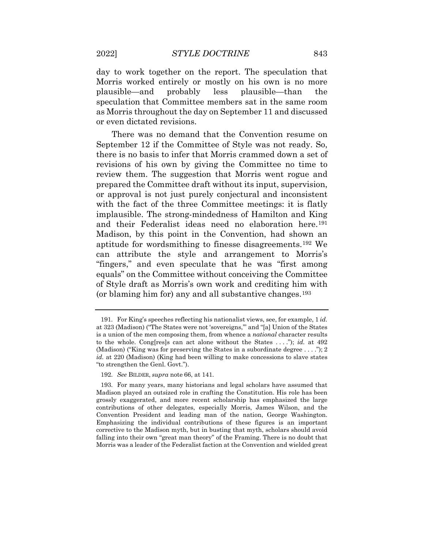Morris worked entirely or mostly on his own is no more speculation that Committee members sat in the same room day to work together on the report. The speculation that plausible—and probably less plausible—than the as Morris throughout the day on September 11 and discussed or even dictated revisions.

 there is no basis to infer that Morris crammed down a set of Madison, by this point in the Convention, had shown an aptitude for wordsmithing to finesse disagreements.[192](#page-65-1) We of Style draft as Morris's own work and crediting him with There was no demand that the Convention resume on September 12 if the Committee of Style was not ready. So, revisions of his own by giving the Committee no time to review them. The suggestion that Morris went rogue and prepared the Committee draft without its input, supervision, or approval is not just purely conjectural and inconsistent with the fact of the three Committee meetings: it is flatly implausible. The strong-mindedness of Hamilton and King and their Federalist ideas need no elaboration here.[191](#page-65-0) can attribute the style and arrangement to Morris's "fingers," and even speculate that he was "first among equals" on the Committee without conceiving the Committee (or blaming him for) any and all substantive changes.[193](#page-65-2)

<span id="page-63-0"></span> to the whole. Cong[res]s can act alone without the States . . . ."); *id.* at 492 (Madison) ("King was for preserving the States in a subordinate degree  $\dots$ "); 2 *id.* at 220 (Madison) (King had been willing to make concessions to slave states 191. For King's speeches reflecting his nationalist views, see, for example, 1 *id.*  at 323 (Madison) ("The States were not 'sovereigns,'" and "[a] Union of the States is a union of the men composing them, from whence a *national* character results "to strengthen the Genl. Govt.").

<sup>192.</sup> *See* BILDER, *supra* note 66, at 141.

 Madison played an outsized role in crafting the Constitution. His role has been contributions of other delegates, especially Morris, James Wilson, and the falling into their own "great man theory" of the Framing. There is no doubt that 193. For many years, many historians and legal scholars have assumed that grossly exaggerated, and more recent scholarship has emphasized the large Convention President and leading man of the nation, George Washington. Emphasizing the individual contributions of these figures is an important corrective to the Madison myth, but in busting that myth, scholars should avoid Morris was a leader of the Federalist faction at the Convention and wielded great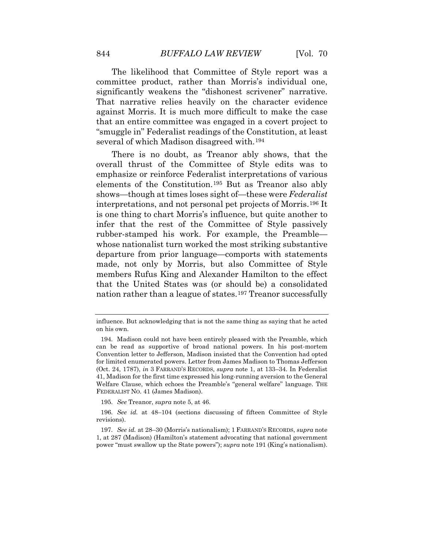The likelihood that Committee of Style report was a committee product, rather than Morris's individual one, significantly weakens the "dishonest scrivener" narrative. That narrative relies heavily on the character evidence against Morris. It is much more difficult to make the case that an entire committee was engaged in a covert project to "smuggle in" Federalist readings of the Constitution, at least several of which Madison disagreed with.[194](#page-66-0) 

<span id="page-64-0"></span> made, not only by Morris, but also Committee of Style that the United States was (or should be) a consolidated There is no doubt, as Treanor ably shows, that the overall thrust of the Committee of Style edits was to emphasize or reinforce Federalist interpretations of various elements of the Constitution.[195](#page-66-1) But as Treanor also ably shows—though at times loses sight of—these were *Federalist*  interpretations, and not personal pet projects of Morris.[196](#page-66-2) It is one thing to chart Morris's influence, but quite another to infer that the rest of the Committee of Style passively rubber-stamped his work. For example, the Preamble whose nationalist turn worked the most striking substantive departure from prior language—comports with statements members Rufus King and Alexander Hamilton to the effect nation rather than a league of states.[197](#page-67-0) Treanor successfully

195. *See* Treanor, *supra* note 5, at 46.

influence. But acknowledging that is not the same thing as saying that he acted on his own.

 for limited enumerated powers. Letter from James Madison to Thomas Jefferson (Oct. 24, 1787), *in* 3 FARRAND'S RECORDS, *supra* note 1, at 133–34. In Federalist 194. Madison could not have been entirely pleased with the Preamble, which can be read as supportive of broad national powers. In his post-mortem Convention letter to Jefferson, Madison insisted that the Convention had opted 41, Madison for the first time expressed his long-running aversion to the General Welfare Clause, which echoes the Preamble's "general welfare" language. THE FEDERALIST NO. 41 (James Madison).

<span id="page-64-1"></span><sup>196.</sup> *See id.* at 48–104 (sections discussing of fifteen Committee of Style revisions).

<span id="page-64-2"></span> 1, at 287 (Madison) (Hamilton's statement advocating that national government power "must swallow up the State powers"); *supra* note 191 (King's nationalism). 197. *See id.* at 28–30 (Morris's nationalism); 1 FARRAND'S RECORDS, *supra* note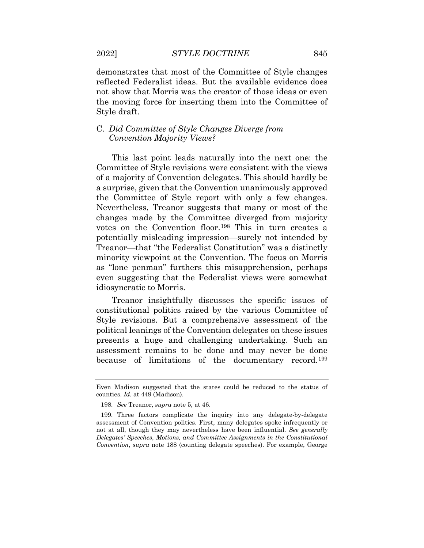demonstrates that most of the Committee of Style changes reflected Federalist ideas. But the available evidence does not show that Morris was the creator of those ideas or even the moving force for inserting them into the Committee of Style draft.

# C. *Did Committee of Style Changes Diverge from Convention Majority Views?*

 the Committee of Style report with only a few changes. changes made by the Committee diverged from majority minority viewpoint at the Convention. The focus on Morris This last point leads naturally into the next one: the Committee of Style revisions were consistent with the views of a majority of Convention delegates. This should hardly be a surprise, given that the Convention unanimously approved Nevertheless, Treanor suggests that many or most of the votes on the Convention floor.[198](#page-67-1) This in turn creates a potentially misleading impression—surely not intended by Treanor—that "the Federalist Constitution" was a distinctly as "lone penman" furthers this misapprehension, perhaps even suggesting that the Federalist views were somewhat idiosyncratic to Morris.

 presents a huge and challenging undertaking. Such an Treanor insightfully discusses the specific issues of constitutional politics raised by the various Committee of Style revisions. But a comprehensive assessment of the political leanings of the Convention delegates on these issues assessment remains to be done and may never be done because of limitations of the documentary record.[199](#page-68-0)

<span id="page-65-0"></span> Even Madison suggested that the states could be reduced to the status of counties. *Id.* at 449 (Madison).

<sup>198.</sup> *See* Treanor, *supra* note 5, at 46.

<span id="page-65-2"></span><span id="page-65-1"></span> assessment of Convention politics. First, many delegates spoke infrequently or 199. Three factors complicate the inquiry into any delegate-by-delegate not at all, though they may nevertheless have been influential. *See generally Delegates' Speeches, Motions, and Committee Assignments in the Constitutional Convention*, *supra* note 188 (counting delegate speeches). For example, George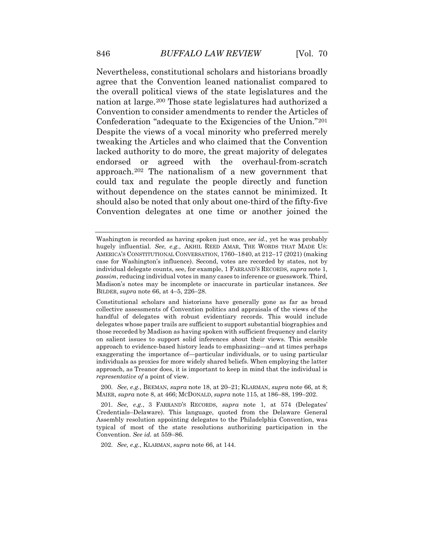Nevertheless, constitutional scholars and historians broadly Convention to consider amendments to render the Articles of Despite the views of a vocal minority who preferred merely agree that the Convention leaned nationalist compared to the overall political views of the state legislatures and the nation at large.[200](#page-68-1) Those state legislatures had authorized a Confederation "adequate to the Exigencies of the Union."[201](#page-68-2) tweaking the Articles and who claimed that the Convention lacked authority to do more, the great majority of delegates endorsed or agreed with the overhaul-from-scratch approach.[202](#page-69-0) The nationalism of a new government that could tax and regulate the people directly and function without dependence on the states cannot be minimized. It should also be noted that only about one-third of the fifty-five Convention delegates at one time or another joined the

<span id="page-66-0"></span>200. *See, e.g.*, BEEMAN, *supra* note 18, at 20–21; KLARMAN, *supra* note 66, at 8; MAIER, *supra* note 8, at 466; MCDONALD, *supra* note 115, at 186–88, 199–202.

202. *See, e.g.*, KLARMAN, *supra* note 66, at 144.

 Washington is recorded as having spoken just once, *see id.,* yet he was probably hugely influential. *See, e.g.*, AKHIL REED AMAR, THE WORDS THAT MADE US: AMERICA'S CONSTITUTIONAL CONVERSATION, 1760–1840, at 212–17 (2021) (making *passim*, reducing individual votes in many cases to inference or guesswork. Third, BILDER, *supra* note 66, at 4–5, 226–28. case for Washington's influence). Second, votes are recorded by states, not by individual delegate counts, see, for example, 1 FARRAND'S RECORDS, *supra* note 1, Madison's notes may be incomplete or inaccurate in particular instances. *See* 

 Constitutional scholars and historians have generally gone as far as broad collective assessments of Convention politics and appraisals of the views of the on salient issues to support solid inferences about their views. This sensible approach to evidence-based history leads to emphasizing—and at times perhaps individuals as proxies for more widely shared beliefs. When employing the latter approach, as Treanor does, it is important to keep in mind that the individual is handful of delegates with robust evidentiary records. This would include delegates whose paper trails are sufficient to support substantial biographies and those recorded by Madison as having spoken with sufficient frequency and clarity exaggerating the importance of—particular individuals, or to using particular *representative of* a point of view.

<span id="page-66-2"></span><span id="page-66-1"></span><sup>201.</sup> *See, e.g.*, 3 FARRAND'S RECORDS, *supra* note 1, at 574 (Delegates' Credentials–Delaware). This language, quoted from the Delaware General Assembly resolution appointing delegates to the Philadelphia Convention, was typical of most of the state resolutions authorizing participation in the Convention. *See id.* at 559–86.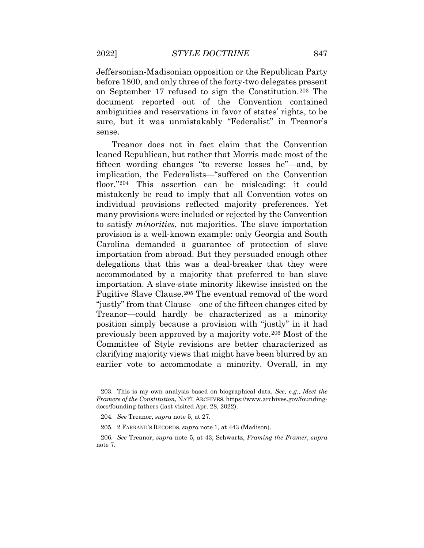before 1800, and only three of the forty-two delegates present document reported out of the Convention contained sure, but it was unmistakably "Federalist" in Treanor's Jeffersonian-Madisonian opposition or the Republican Party on September 17 refused to sign the Constitution.[203](#page-69-1) The ambiguities and reservations in favor of states' rights, to be sense.

 floor."[204](#page-69-2) This assertion can be misleading: it could many provisions were included or rejected by the Convention previously been approved by a majority vote.[206](#page-70-0) Most of the Treanor does not in fact claim that the Convention leaned Republican, but rather that Morris made most of the fifteen wording changes "to reverse losses he"—and, by implication, the Federalists—"suffered on the Convention mistakenly be read to imply that all Convention votes on individual provisions reflected majority preferences. Yet to satisfy *minorities*, not majorities. The slave importation provision is a well-known example: only Georgia and South Carolina demanded a guarantee of protection of slave importation from abroad. But they persuaded enough other delegations that this was a deal-breaker that they were accommodated by a majority that preferred to ban slave importation. A slave-state minority likewise insisted on the Fugitive Slave Clause.[205](#page-69-3) The eventual removal of the word "justly" from that Clause—one of the fifteen changes cited by Treanor—could hardly be characterized as a minority position simply because a provision with "justly" in it had Committee of Style revisions are better characterized as clarifying majority views that might have been blurred by an earlier vote to accommodate a minority. Overall, in my

<span id="page-67-0"></span><sup>203.</sup> This is my own analysis based on biographical data. *See, e.g.*, *Meet the Framers of the Constitution*, NAT'L ARCHIVES,<https://www.archives.gov/founding>docs/founding-fathers (last visited Apr. 28, 2022).

<sup>204.</sup> *See* Treanor, *supra* note 5, at 27.

<sup>205. 2</sup> FARRAND'S RECORDS, *supra* note 1, at 443 (Madison).

<span id="page-67-1"></span> 206. *See* Treanor, *supra* note 5, at 43; Schwartz, *Framing the Framer*, *supra*  note 7.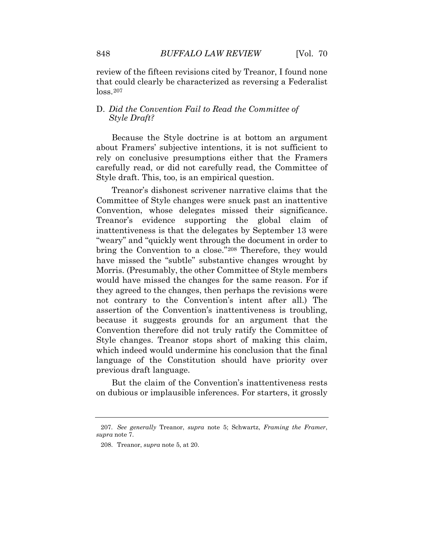that could clearly be characterized as reversing a Federalist review of the fifteen revisions cited by Treanor, I found none loss.[207](#page-70-1)

# D. *Did the Convention Fail to Read the Committee of Style Draft?*

 rely on conclusive presumptions either that the Framers Because the Style doctrine is at bottom an argument about Framers' subjective intentions, it is not sufficient to carefully read, or did not carefully read, the Committee of Style draft. This, too, is an empirical question.

<span id="page-68-0"></span> Treanor's dishonest scrivener narrative claims that the Committee of Style changes were snuck past an inattentive Convention, whose delegates missed their significance. Treanor's evidence supporting the global claim of inattentiveness is that the delegates by September 13 were "weary" and "quickly went through the document in order to bring the Convention to a close."[208](#page-70-2) Therefore, they would have missed the "subtle" substantive changes wrought by Morris. (Presumably, the other Committee of Style members would have missed the changes for the same reason. For if they agreed to the changes, then perhaps the revisions were not contrary to the Convention's intent after all.) The assertion of the Convention's inattentiveness is troubling, because it suggests grounds for an argument that the Convention therefore did not truly ratify the Committee of Style changes. Treanor stops short of making this claim, which indeed would undermine his conclusion that the final language of the Constitution should have priority over previous draft language.

<span id="page-68-2"></span><span id="page-68-1"></span>But the claim of the Convention's inattentiveness rests on dubious or implausible inferences. For starters, it grossly

 207. *See generally* Treanor, *supra* note 5; Schwartz, *Framing the Framer*, *supra* note 7.

<sup>208.</sup> Treanor, *supra* note 5, at 20.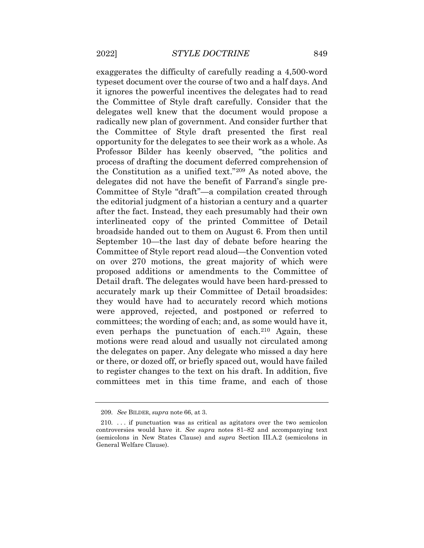typeset document over the course of two and a half days. And it ignores the powerful incentives the delegates had to read delegates well knew that the document would propose a the Committee of Style draft presented the first real opportunity for the delegates to see their work as a whole. As Professor Bilder has keenly observed, "the politics and the editorial judgment of a historian a century and a quarter Committee of Style report read aloud—the Convention voted they would have had to accurately record which motions committees; the wording of each; and, as some would have it, motions were read aloud and usually not circulated among exaggerates the difficulty of carefully reading a 4,500-word the Committee of Style draft carefully. Consider that the radically new plan of government. And consider further that process of drafting the document deferred comprehension of the Constitution as a unified text."[209](#page-71-0) As noted above, the delegates did not have the benefit of Farrand's single pre-Committee of Style "draft"—a compilation created through after the fact. Instead, they each presumably had their own interlineated copy of the printed Committee of Detail broadside handed out to them on August 6. From then until September 10—the last day of debate before hearing the on over 270 motions, the great majority of which were proposed additions or amendments to the Committee of Detail draft. The delegates would have been hard-pressed to accurately mark up their Committee of Detail broadsides: were approved, rejected, and postponed or referred to even perhaps the punctuation of each.[210](#page-72-0) Again, these the delegates on paper. Any delegate who missed a day here or there, or dozed off, or briefly spaced out, would have failed to register changes to the text on his draft. In addition, five committees met in this time frame, and each of those

<sup>209.</sup> *See* BILDER, *supra* note 66, at 3.

<span id="page-69-3"></span><span id="page-69-2"></span><span id="page-69-1"></span><span id="page-69-0"></span> controversies would have it. *See supra* notes 81–82 and accompanying text 210. . . . if punctuation was as critical as agitators over the two semicolon (semicolons in New States Clause) and *supra* Section III.A.2 (semicolons in General Welfare Clause).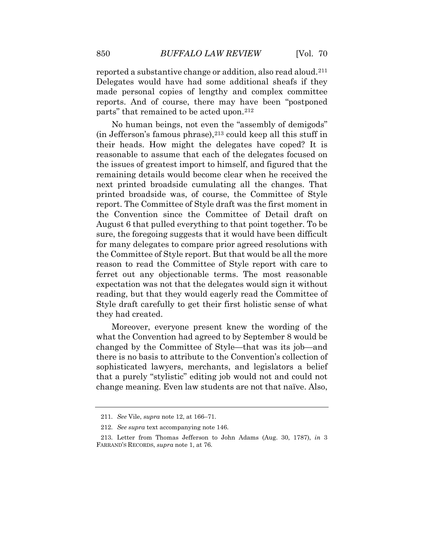reported a substantive change or addition, also read aloud.[211](#page-72-1) Delegates would have had some additional sheafs if they made personal copies of lengthy and complex committee reports. And of course, there may have been "postponed parts" that remained to be acted upon.[212](#page-72-2)

 No human beings, not even the "assembly of demigods"  $(in Jefferson's famous phrase),<sup>213</sup> could keep all this stuff in$  $(in Jefferson's famous phrase),<sup>213</sup> could keep all this stuff in$  $(in Jefferson's famous phrase),<sup>213</sup> could keep all this stuff in$ their heads. How might the delegates have coped? It is reasonable to assume that each of the delegates focused on the issues of greatest import to himself, and figured that the remaining details would become clear when he received the next printed broadside cumulating all the changes. That printed broadside was, of course, the Committee of Style report. The Committee of Style draft was the first moment in the Convention since the Committee of Detail draft on August 6 that pulled everything to that point together. To be sure, the foregoing suggests that it would have been difficult for many delegates to compare prior agreed resolutions with the Committee of Style report. But that would be all the more reason to read the Committee of Style report with care to ferret out any objectionable terms. The most reasonable expectation was not that the delegates would sign it without reading, but that they would eagerly read the Committee of Style draft carefully to get their first holistic sense of what they had created.

 sophisticated lawyers, merchants, and legislators a belief that a purely "stylistic" editing job would not and could not Moreover, everyone present knew the wording of the what the Convention had agreed to by September 8 would be changed by the Committee of Style—that was its job—and there is no basis to attribute to the Convention's collection of change meaning. Even law students are not that naïve. Also,

<span id="page-70-0"></span> 211. *See* Vile, *supra* note 12, at 166–71.

<sup>212.</sup> *See supra* text accompanying note 146.

<span id="page-70-2"></span><span id="page-70-1"></span><sup>213.</sup> Letter from Thomas Jefferson to John Adams (Aug. 30, 1787), *in* 3 FARRAND'S RECORDS, *supra* note 1, at 76.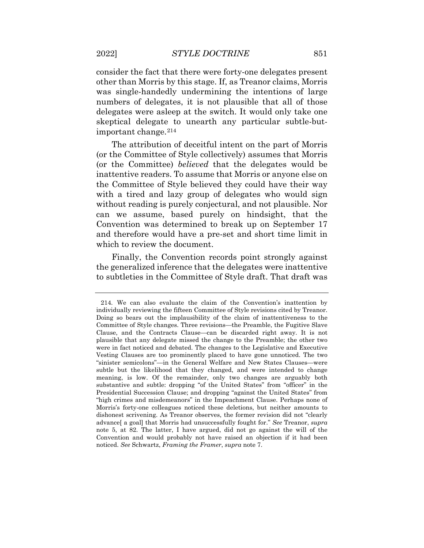other than Morris by this stage. If, as Treanor claims, Morris consider the fact that there were forty-one delegates present was single-handedly undermining the intentions of large numbers of delegates, it is not plausible that all of those delegates were asleep at the switch. It would only take one skeptical delegate to unearth any particular subtle-butimportant change.[214](#page-73-0) 

 The attribution of deceitful intent on the part of Morris the Committee of Style believed they could have their way which to review the document. (or the Committee of Style collectively) assumes that Morris (or the Committee) *believed* that the delegates would be inattentive readers. To assume that Morris or anyone else on with a tired and lazy group of delegates who would sign without reading is purely conjectural, and not plausible. Nor can we assume, based purely on hindsight, that the Convention was determined to break up on September 17 and therefore would have a pre-set and short time limit in

Finally, the Convention records point strongly against the generalized inference that the delegates were inattentive to subtleties in the Committee of Style draft. That draft was

<span id="page-71-0"></span> Committee of Style changes. Three revisions—the Preamble, the Fugitive Slave plausible that any delegate missed the change to the Preamble; the other two were in fact noticed and debated. The changes to the Legislative and Executive "sinister semicolons"—in the General Welfare and New States Clauses—were meaning, is low. Of the remainder, only two changes are arguably both Presidential Succession Clause; and dropping "against the United States" from dishonest scrivening. As Treanor observes, the former revision did not "clearly advance[ a goal] that Morris had unsuccessfully fought for." *See* Treanor, *supra*  note 5, at 82. The latter, I have argued, did not go against the will of the Convention and would probably not have raised an objection if it had been noticed. *See* Schwartz, *Framing the Framer*, *supra* note 7. 214. We can also evaluate the claim of the Convention's inattention by individually reviewing the fifteen Committee of Style revisions cited by Treanor. Doing so bears out the implausibility of the claim of inattentiveness to the Clause, and the Contracts Clause—can be discarded right away. It is not Vesting Clauses are too prominently placed to have gone unnoticed. The two subtle but the likelihood that they changed, and were intended to change substantive and subtle: dropping "of the United States" from "officer" in the "high crimes and misdemeanors" in the Impeachment Clause. Perhaps none of Morris's forty-one colleagues noticed these deletions, but neither amounts to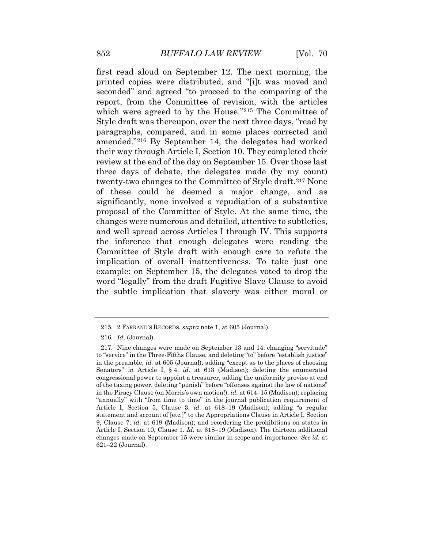seconded" and agreed "to proceed to the comparing of the twenty-two changes to the Committee of Style draft.<sup>217</sup> None proposal of the Committee of Style. At the same time, the and well spread across Articles I through IV. This supports example: on September 15, the delegates voted to drop the the subtle implication that slavery was either moral or first read aloud on September 12. The next morning, the printed copies were distributed, and "[i]t was moved and report, from the Committee of revision, with the articles which were agreed to by the House."[215](#page-74-0) The Committee of Style draft was thereupon, over the next three days, "read by paragraphs, compared, and in some places corrected and amended."[216](#page-74-1) By September 14, the delegates had worked their way through Article I, Section 10. They completed their review at the end of the day on September 15. Over those last three days of debate, the delegates made (by my count) of these could be deemed a major change, and as significantly, none involved a repudiation of a substantive changes were numerous and detailed, attentive to subtleties, the inference that enough delegates were reading the Committee of Style draft with enough care to refute the implication of overall inattentiveness. To take just one word "legally" from the draft Fugitive Slave Clause to avoid

<sup>215. 2</sup> FARRAND'S RECORDS, *supra* note 1, at 605 (Journal).

 216. *Id*. (Journal).

 Senators" in Article I, § 4, *id.* at 613 (Madison); deleting the enumerated 9, Clause 7, *id.* at 619 (Madison); and reordering the prohibitions on states in Article I, Section 10, Clause 1. *Id.* at 618–19 (Madison). The thirteen additional changes made on September 15 were similar in scope and importance. *See id.* at 217. Nine changes were made on September 13 and 14: changing "servitude" to "service" in the Three-Fifths Clause, and deleting "to" before "establish justice" in the preamble, *id.* at 605 (Journal); adding "except as to the places of choosing congressional power to appoint a treasurer, adding the uniformity proviso at end of the taxing power, deleting "punish" before "offenses against the law of nations" in the Piracy Clause (on Morris's own motion!), *id.* at 614–15 (Madison); replacing "annually" with "from time to time" in the journal publication requirement of Article I, Section 5, Clause 3, *id.* at 618–19 (Madison); adding "a regular statement and account of [etc.]" to the Appropriations Clause in Article I, Section 621–22 (Journal).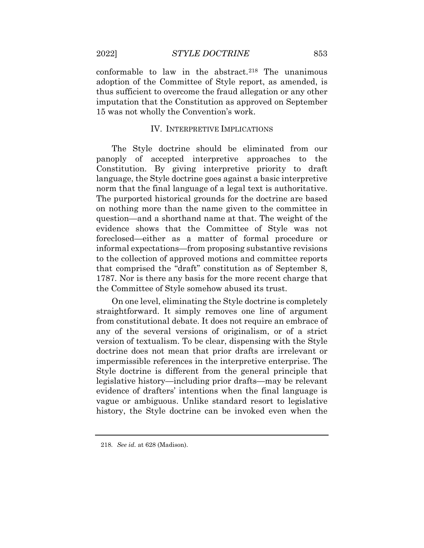conformable to law in the abstract.<sup>[218](#page-75-0)</sup> The unanimous adoption of the Committee of Style report, as amended, is thus sufficient to overcome the fraud allegation or any other imputation that the Constitution as approved on September 15 was not wholly the Convention's work.

## IV. INTERPRETIVE IMPLICATIONS

 panoply of accepted interpretive approaches to the The purported historical grounds for the doctrine are based to the collection of approved motions and committee reports The Style doctrine should be eliminated from our Constitution. By giving interpretive priority to draft language, the Style doctrine goes against a basic interpretive norm that the final language of a legal text is authoritative. on nothing more than the name given to the committee in question—and a shorthand name at that. The weight of the evidence shows that the Committee of Style was not foreclosed—either as a matter of formal procedure or informal expectations—from proposing substantive revisions that comprised the "draft" constitution as of September 8, 1787. Nor is there any basis for the more recent charge that the Committee of Style somehow abused its trust.

 any of the several versions of originalism, or of a strict On one level, eliminating the Style doctrine is completely straightforward. It simply removes one line of argument from constitutional debate. It does not require an embrace of version of textualism. To be clear, dispensing with the Style doctrine does not mean that prior drafts are irrelevant or impermissible references in the interpretive enterprise. The Style doctrine is different from the general principle that legislative history—including prior drafts—may be relevant evidence of drafters' intentions when the final language is vague or ambiguous. Unlike standard resort to legislative history, the Style doctrine can be invoked even when the

 218. *See id.* at 628 (Madison).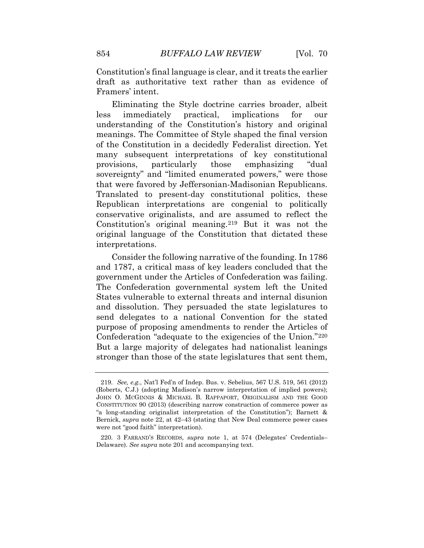Constitution's final language is clear, and it treats the earlier draft as authoritative text rather than as evidence of Framers' intent.

implications Eliminating the Style doctrine carries broader, albeit less immediately practical, implications for our understanding of the Constitution's history and original meanings. The Committee of Style shaped the final version of the Constitution in a decidedly Federalist direction. Yet many subsequent interpretations of key constitutional provisions, particularly those emphasizing "dual sovereignty" and "limited enumerated powers," were those that were favored by Jeffersonian-Madisonian Republicans. Translated to present-day constitutional politics, these Republican interpretations are congenial to politically conservative originalists, and are assumed to reflect the Constitution's original meaning.[219](#page-76-0) But it was not the original language of the Constitution that dictated these interpretations.

<span id="page-74-0"></span> and 1787, a critical mass of key leaders concluded that the government under the Articles of Confederation was failing. Consider the following narrative of the founding. In 1786 The Confederation governmental system left the United States vulnerable to external threats and internal disunion and dissolution. They persuaded the state legislatures to send delegates to a national Convention for the stated purpose of proposing amendments to render the Articles of Confederation "adequate to the exigencies of the Union."[220](#page-77-0) But a large majority of delegates had nationalist leanings stronger than those of the state legislatures that sent them,

<span id="page-74-2"></span><span id="page-74-1"></span> 219. *See, e.g.*, Nat'l Fed'n of Indep. Bus. v. Sebelius, 567 U.S. 519, 561 (2012) (Roberts, C.J.) (adopting Madison's narrow interpretation of implied powers); JOHN O. MCGINNIS & MICHAEL B. RAPPAPORT, ORIGINALISM AND THE GOOD CONSTITUTION 90 (2013) (describing narrow construction of commerce power as "a long-standing originalist interpretation of the Constitution"); Barnett & Bernick, *supra* note 22, at 42–43 (stating that New Deal commerce power cases were not "good faith" interpretation).

<sup>220. 3</sup> FARRAND'S RECORDS, *supra* note 1, at 574 (Delegates' Credentials– Delaware). *See supra* note 201 and accompanying text.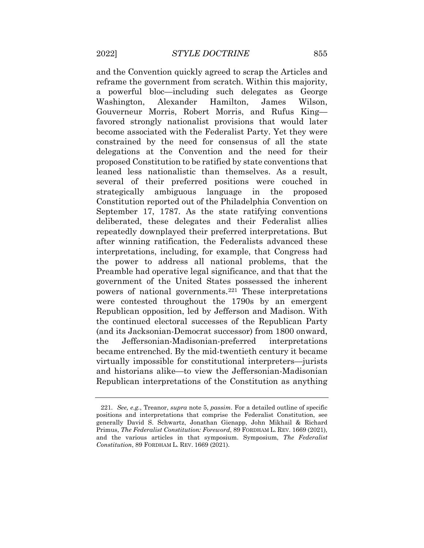reframe the government from scratch. Within this majority, Washington, Alexander Hamilton, James Wilson, leaned less nationalistic than themselves. As a result, Republican interpretations of the Constitution as anything and the Convention quickly agreed to scrap the Articles and a powerful bloc—including such delegates as George Gouverneur Morris, Robert Morris, and Rufus King favored strongly nationalist provisions that would later become associated with the Federalist Party. Yet they were constrained by the need for consensus of all the state delegations at the Convention and the need for their proposed Constitution to be ratified by state conventions that several of their preferred positions were couched in strategically ambiguous language in the proposed Constitution reported out of the Philadelphia Convention on September 17, 1787. As the state ratifying conventions deliberated, these delegates and their Federalist allies repeatedly downplayed their preferred interpretations. But after winning ratification, the Federalists advanced these interpretations, including, for example, that Congress had the power to address all national problems, that the Preamble had operative legal significance, and that that the government of the United States possessed the inherent powers of national governments.[221](#page-77-1) These interpretations were contested throughout the 1790s by an emergent Republican opposition, led by Jefferson and Madison. With the continued electoral successes of the Republican Party (and its Jacksonian-Democrat successor) from 1800 onward, the Jeffersonian-Madisonian-preferred interpretations became entrenched. By the mid-twentieth century it became virtually impossible for constitutional interpreters—jurists and historians alike—to view the Jeffersonian-Madisonian

<span id="page-75-0"></span> 221. *See, e.g.*, Treanor, *supra* note 5, *passim*. For a detailed outline of specific positions and interpretations that comprise the Federalist Constitution, see and the various articles in that symposium. Symposium, *The Federalist Constitution*, 89 FORDHAM L. REV. 1669 (2021). generally David S. Schwartz, Jonathan Gienapp, John Mikhail & Richard Primus, *The Federalist Constitution: Foreword*, 89 FORDHAM L. REV. 1669 (2021),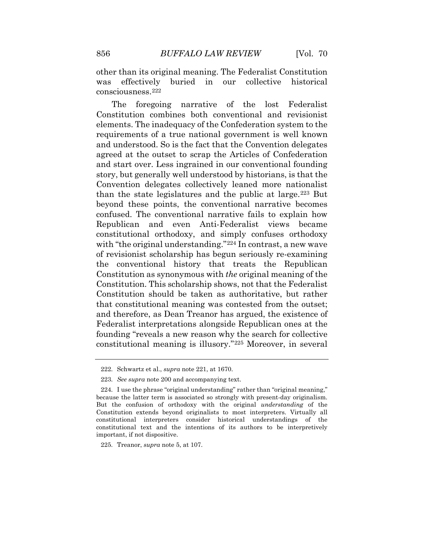other than its original meaning. The Federalist Constitution was effectively buried in our collective historical consciousness[.222](#page-77-2) 

 Constitution combines both conventional and revisionist and start over. Less ingrained in our conventional founding story, but generally well understood by historians, is that the with "the original understanding."<sup>[224](#page-77-4)</sup> In contrast, a new wave The foregoing narrative of the lost Federalist elements. The inadequacy of the Confederation system to the requirements of a true national government is well known and understood. So is the fact that the Convention delegates agreed at the outset to scrap the Articles of Confederation Convention delegates collectively leaned more nationalist than the state legislatures and the public at large.[223](#page-77-3) But beyond these points, the conventional narrative becomes confused. The conventional narrative fails to explain how Republican and even Anti-Federalist views became constitutional orthodoxy, and simply confuses orthodoxy of revisionist scholarship has begun seriously re-examining the conventional history that treats the Republican Constitution as synonymous with *the* original meaning of the Constitution. This scholarship shows, not that the Federalist Constitution should be taken as authoritative, but rather that constitutional meaning was contested from the outset; and therefore, as Dean Treanor has argued, the existence of Federalist interpretations alongside Republican ones at the founding "reveals a new reason why the search for collective constitutional meaning is illusory."[225](#page-77-5) Moreover, in several

<sup>222.</sup> Schwartz et al., *supra* note 221, at 1670.

 223. *See supra* note 200 and accompanying text.

<span id="page-76-0"></span><sup>224.</sup> I use the phrase "original understanding" rather than "original meaning," because the latter term is associated so strongly with present-day originalism. But the confusion of orthodoxy with the original *understanding* of the Constitution extends beyond originalists to most interpreters. Virtually all constitutional interpreters consider historical understandings of the constitutional text and the intentions of its authors to be interpretively important, if not dispositive.

<sup>225.</sup> Treanor, *supra* note 5, at 107.